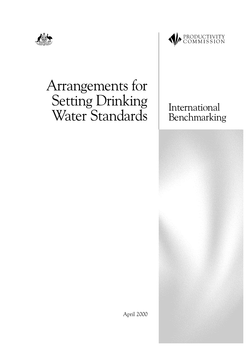



# Arrangements for Setting Drinking<br>Water Standards

### International Benchmarking

April 2000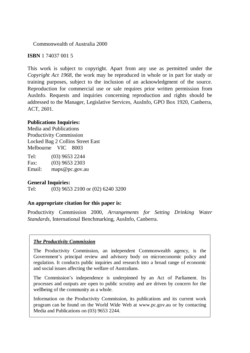Commonwealth of Australia 2000

#### **ISBN** 1 74037 001 5

This work is subject to copyright. Apart from any use as permitted under the *Copyright Act 1968*, the work may be reproduced in whole or in part for study or training purposes, subject to the inclusion of an acknowledgment of the source. Reproduction for commercial use or sale requires prior written permission from AusInfo. Requests and inquiries concerning reproduction and rights should be addressed to the Manager, Legislative Services, AusInfo, GPO Box 1920, Canberra, ACT, 2601.

#### **Publications Inquiries:**

Media and Publications Productivity Commission Locked Bag 2 Collins Street East Melbourne VIC 8003

| Tel:   | $(03)$ 9653 2244 |
|--------|------------------|
| Fax:   | $(03)$ 9653 2303 |
| Email: | maps@pc.gov.au   |

#### **General Inquiries:**

Tel: (03) 9653 2100 or (02) 6240 3200

#### **An appropriate citation for this paper is:**

Productivity Commission 2000, *Arrangements for Setting Drinking Water Standards*, International Benchmarking, AusInfo, Canberra.

#### *The Productivity Commission*

The Productivity Commission, an independent Commonwealth agency, is the Government's principal review and advisory body on microeconomic policy and regulation. It conducts public inquiries and research into a broad range of economic and social issues affecting the welfare of Australians.

The Commission's independence is underpinned by an Act of Parliament. Its processes and outputs are open to public scrutiny and are driven by concern for the wellbeing of the community as a whole.

Information on the Productivity Commission, its publications and its current work program can be found on the World Wide Web at www.pc.gov.au or by contacting Media and Publications on (03) 9653 2244.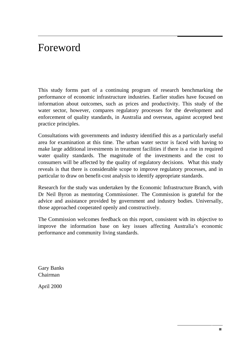### Foreword

This study forms part of a continuing program of research benchmarking the performance of economic infrastructure industries. Earlier studies have focused on information about outcomes, such as prices and productivity. This study of the water sector, however, compares regulatory processes for the development and enforcement of quality standards, in Australia and overseas, against accepted best practice principles.

Consultations with governments and industry identified this as a particularly useful area for examination at this time. The urban water sector is faced with having to make large additional investments in treatment facilities if there is a rise in required water quality standards. The magnitude of the investments and the cost to consumers will be affected by the quality of regulatory decisions. What this study reveals is that there is considerable scope to improve regulatory processes, and in particular to draw on benefit-cost analysis to identify appropriate standards.

Research for the study was undertaken by the Economic Infrastructure Branch, with Dr Neil Byron as mentoring Commissioner. The Commission is grateful for the advice and assistance provided by government and industry bodies. Universally, those approached cooperated openly and constructively.

The Commission welcomes feedback on this report, consistent with its objective to improve the information base on key issues affecting Australia's economic performance and community living standards.

Gary Banks Chairman

April 2000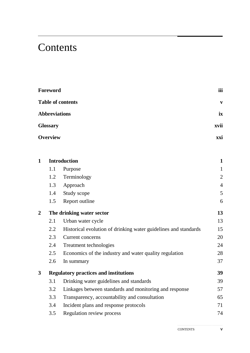### **Contents**

|                | Foreword             |                                                                 | iii            |
|----------------|----------------------|-----------------------------------------------------------------|----------------|
|                |                      | <b>Table of contents</b>                                        | V              |
|                | <b>Abbreviations</b> |                                                                 | ix             |
|                | <b>Glossary</b>      |                                                                 | xvii           |
|                | <b>Overview</b>      |                                                                 | xxi            |
|                |                      |                                                                 |                |
| 1              |                      | <b>Introduction</b>                                             | $\mathbf{1}$   |
|                | 1.1                  | Purpose                                                         | $\mathbf{1}$   |
|                | 1.2                  | Terminology                                                     | $\overline{2}$ |
|                | 1.3                  | Approach                                                        | $\overline{4}$ |
|                | 1.4                  | Study scope                                                     | 5              |
|                | 1.5                  | Report outline                                                  | 6              |
| $\overline{2}$ |                      | The drinking water sector                                       | 13             |
|                | 2.1                  | Urban water cycle                                               | 13             |
|                | 2.2                  | Historical evolution of drinking water guidelines and standards | 15             |
|                | 2.3                  | Current concerns                                                | 20             |
|                | 2.4                  | Treatment technologies                                          | 24             |
|                | 2.5                  | Economics of the industry and water quality regulation          | 28             |
|                | 2.6                  | In summary                                                      | 37             |
| 3              |                      | <b>Regulatory practices and institutions</b>                    | 39             |
|                | 3.1                  | Drinking water guidelines and standards                         | 39             |
|                | 3.2                  | Linkages between standards and monitoring and response          | 57             |
|                | 3.3                  | Transparency, accountability and consultation                   | 65             |
|                | 3.4                  | Incident plans and response protocols                           | 71             |
|                | 3.5                  | Regulation review process                                       | 74             |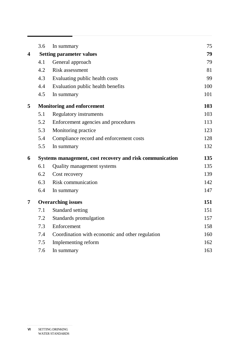|                         | 3.6 | In summary                                               | 75  |
|-------------------------|-----|----------------------------------------------------------|-----|
| $\overline{\mathbf{4}}$ |     | <b>Setting parameter values</b>                          | 79  |
|                         | 4.1 | General approach                                         | 79  |
|                         | 4.2 | <b>Risk assessment</b>                                   | 81  |
|                         | 4.3 | Evaluating public health costs                           | 99  |
|                         | 4.4 | Evaluation public health benefits                        | 100 |
|                         | 4.5 | In summary                                               | 101 |
| 5                       |     | <b>Monitoring and enforcement</b>                        | 103 |
|                         | 5.1 | <b>Regulatory instruments</b>                            | 103 |
|                         | 5.2 | Enforcement agencies and procedures                      | 113 |
|                         | 5.3 | Monitoring practice                                      | 123 |
|                         | 5.4 | Compliance record and enforcement costs                  | 128 |
|                         | 5.5 | In summary                                               | 132 |
| 6                       |     | Systems management, cost recovery and risk communication | 135 |
|                         | 6.1 | <b>Quality management systems</b>                        | 135 |
|                         | 6.2 | Cost recovery                                            | 139 |
|                         | 6.3 | <b>Risk communication</b>                                | 142 |
|                         | 6.4 | In summary                                               | 147 |
| $\overline{7}$          |     | <b>Overarching issues</b>                                | 151 |
|                         | 7.1 | Standard setting                                         | 151 |
|                         | 7.2 | Standards promulgation                                   | 157 |
|                         | 7.3 | Enforcement                                              | 158 |
|                         | 7.4 | Coordination with economic and other regulation          | 160 |
|                         | 7.5 | Implementing reform                                      | 162 |
|                         | 7.6 | In summary                                               | 163 |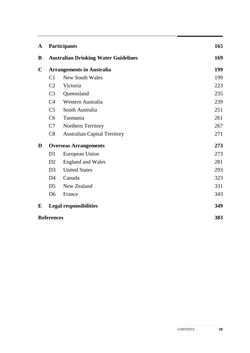| $\mathbf{A}$ | <b>Participants</b>              |                                             | 165 |
|--------------|----------------------------------|---------------------------------------------|-----|
| B            |                                  | <b>Australian Drinking Water Guidelines</b> | 169 |
| $\mathbf C$  | <b>Arrangements in Australia</b> |                                             | 199 |
|              | C <sub>1</sub>                   | <b>New South Wales</b>                      | 199 |
|              | C <sub>2</sub>                   | Victoria                                    | 223 |
|              | C <sub>3</sub>                   | Queensland                                  | 235 |
|              | C4                               | Western Australia                           | 239 |
|              | C <sub>5</sub>                   | South Australia                             | 251 |
|              | C <sub>6</sub>                   | Tasmania                                    | 261 |
|              | C7                               | Northern Territory                          | 267 |
|              | C8                               | <b>Australian Capital Territory</b>         | 271 |
| D            | <b>Overseas Arrangements</b>     |                                             | 273 |
|              | D <sub>1</sub>                   | European Union                              | 273 |
|              | D <sub>2</sub>                   | <b>England and Wales</b>                    | 281 |
|              | D <sub>3</sub>                   | <b>United States</b>                        | 293 |
|              | D <sub>4</sub>                   | Canada                                      | 323 |
|              | D <sub>5</sub>                   | New Zealand                                 | 331 |
|              | D <sub>6</sub>                   | France                                      | 343 |
| E            |                                  | <b>Legal responsibilities</b>               | 349 |
|              | <b>References</b>                |                                             | 383 |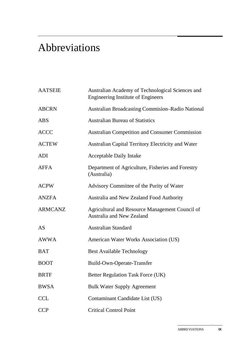## Abbreviations

| <b>AATSEIE</b> | Australian Academy of Technological Sciences and<br><b>Engineering Institute of Engineers</b> |
|----------------|-----------------------------------------------------------------------------------------------|
| <b>ABCRN</b>   | Australian Broadcasting Commision-Radio National                                              |
| <b>ABS</b>     | <b>Australian Bureau of Statistics</b>                                                        |
| <b>ACCC</b>    | <b>Australian Competition and Consumer Commission</b>                                         |
| <b>ACTEW</b>   | Australian Capital Territory Electricity and Water                                            |
| ADI            | <b>Acceptable Daily Intake</b>                                                                |
| <b>AFFA</b>    | Department of Agriculture, Fisheries and Forestry<br>(Australia)                              |
| <b>ACPW</b>    | Advisory Committee of the Purity of Water                                                     |
| <b>ANZFA</b>   | Australia and New Zealand Food Authority                                                      |
| <b>ARMCANZ</b> | Agricultural and Resource Management Council of<br><b>Australia and New Zealand</b>           |
| AS             | <b>Australian Standard</b>                                                                    |
| <b>AWWA</b>    | American Water Works Association (US)                                                         |
| <b>BAT</b>     | <b>Best Available Technology</b>                                                              |
| <b>BOOT</b>    | Build-Own-Operate-Transfer                                                                    |
| <b>BRTF</b>    | Better Regulation Task Force (UK)                                                             |
| <b>BWSA</b>    | <b>Bulk Water Supply Agreement</b>                                                            |
| <b>CCL</b>     | Contaminant Candidate List (US)                                                               |
| <b>CCP</b>     | <b>Critical Control Point</b>                                                                 |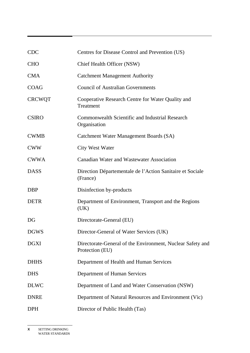| <b>CDC</b>    | Centres for Disease Control and Prevention (US)                               |
|---------------|-------------------------------------------------------------------------------|
| <b>CHO</b>    | Chief Health Officer (NSW)                                                    |
| <b>CMA</b>    | <b>Catchment Management Authority</b>                                         |
| <b>COAG</b>   | <b>Council of Australian Governments</b>                                      |
| <b>CRCWQT</b> | Cooperative Research Centre for Water Quality and<br>Treatment                |
| <b>CSIRO</b>  | Commonwealth Scientific and Industrial Research<br>Organisation               |
| <b>CWMB</b>   | Catchment Water Management Boards (SA)                                        |
| <b>CWW</b>    | <b>City West Water</b>                                                        |
| <b>CWWA</b>   | <b>Canadian Water and Wastewater Association</b>                              |
| <b>DASS</b>   | Direction Départementale de l'Action Sanitaire et Sociale<br>(France)         |
| <b>DBP</b>    | Disinfection by-products                                                      |
| <b>DETR</b>   | Department of Environment, Transport and the Regions<br>(UK)                  |
| DG            | Directorate-General (EU)                                                      |
| <b>DGWS</b>   | Director-General of Water Services (UK)                                       |
| <b>DGXI</b>   | Directorate-General of the Environment, Nuclear Safety and<br>Protection (EU) |
| <b>DHHS</b>   | Department of Health and Human Services                                       |
| <b>DHS</b>    | Department of Human Services                                                  |
| <b>DLWC</b>   | Department of Land and Water Conservation (NSW)                               |
| <b>DNRE</b>   | Department of Natural Resources and Environment (Vic)                         |
| <b>DPH</b>    | Director of Public Health (Tas)                                               |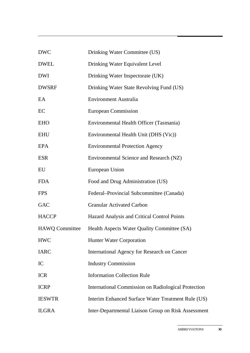| <b>DWC</b>            | Drinking Water Committee (US)                       |
|-----------------------|-----------------------------------------------------|
| <b>DWEL</b>           | Drinking Water Equivalent Level                     |
| <b>DWI</b>            | Drinking Water Inspectorate (UK)                    |
| <b>DWSRF</b>          | Drinking Water State Revolving Fund (US)            |
| EA                    | <b>Environment Australia</b>                        |
| EC                    | <b>European Commission</b>                          |
| <b>EHO</b>            | Environmental Health Officer (Tasmania)             |
| <b>EHU</b>            | Environmental Health Unit (DHS (Vic))               |
| EPA                   | <b>Environmental Protection Agency</b>              |
| <b>ESR</b>            | Environmental Science and Research (NZ)             |
| EU                    | European Union                                      |
| <b>FDA</b>            | Food and Drug Administration (US)                   |
| <b>FPS</b>            | Federal–Provincial Subcommittee (Canada)            |
| <b>GAC</b>            | <b>Granular Activated Carbon</b>                    |
| <b>HACCP</b>          | Hazard Analysis and Critical Control Points         |
| <b>HAWQ Committee</b> | Health Aspects Water Quality Committee (SA)         |
| <b>HWC</b>            | <b>Hunter Water Corporation</b>                     |
| <b>IARC</b>           | International Agency for Research on Cancer         |
| IC                    | <b>Industry Commission</b>                          |
| <b>ICR</b>            | <b>Information Collection Rule</b>                  |
| <b>ICRP</b>           | International Commission on Radiological Protection |
| <b>IESWTR</b>         | Interim Enhanced Surface Water Treatment Rule (US)  |
| <b>ILGRA</b>          | Inter-Departmental Liaison Group on Risk Assessment |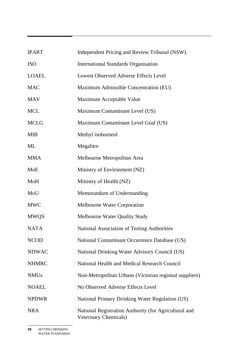| <b>IPART</b> | Independent Pricing and Review Tribunal (NSW)                                  |
|--------------|--------------------------------------------------------------------------------|
| <b>ISO</b>   | <b>International Standards Organisation</b>                                    |
| <b>LOAEL</b> | Lowest Observed Adverse Effects Level                                          |
| <b>MAC</b>   | Maximum Admissible Concentration (EU)                                          |
| <b>MAV</b>   | Maximum Acceptable Value                                                       |
| <b>MCL</b>   | Maximum Contaminant Level (US)                                                 |
| <b>MCLG</b>  | Maximum Contaminant Level Goal (US)                                            |
| <b>MIB</b>   | Methyl isoborneol                                                              |
| ML           | Megalitre                                                                      |
| <b>MMA</b>   | Melbourne Metropolitan Area                                                    |
| MoE          | Ministry of Environment (NZ)                                                   |
| MoH          | Ministry of Health (NZ)                                                        |
| MoU          | Memorandum of Understanding                                                    |
| <b>MWC</b>   | Melbourne Water Corporation                                                    |
| <b>MWQS</b>  | Melbourne Water Quality Study                                                  |
| <b>NATA</b>  | National Association of Testing Authorities                                    |
| <b>NCOD</b>  | National Contaminant Occurrence Database (US)                                  |
| <b>NDWAC</b> | National Drinking Water Advisory Council (US)                                  |
| <b>NHMRC</b> | National Health and Medical Research Council                                   |
| <b>NMUs</b>  | Non-Metropolitan Urbans (Victorian regional suppliers)                         |
| <b>NOAEL</b> | No Observed Adverse Effects Level                                              |
| <b>NPDWR</b> | <b>National Primary Drinking Water Regulation (US)</b>                         |
| <b>NRA</b>   | National Registration Authority (for Agricultural and<br>Veterinary Chemicals) |

**XII** SETTING DRINKING WATER STANDARDS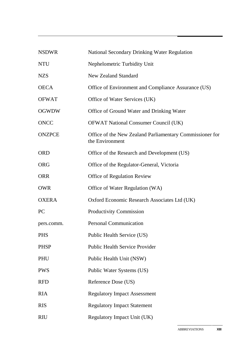| <b>NSDWR</b>  | <b>National Secondary Drinking Water Regulation</b>                         |
|---------------|-----------------------------------------------------------------------------|
| <b>NTU</b>    | Nephelometric Turbidity Unit                                                |
| <b>NZS</b>    | <b>New Zealand Standard</b>                                                 |
| <b>OECA</b>   | Office of Environment and Compliance Assurance (US)                         |
| <b>OFWAT</b>  | Office of Water Services (UK)                                               |
| <b>OGWDW</b>  | Office of Ground Water and Drinking Water                                   |
| <b>ONCC</b>   | <b>OFWAT National Consumer Council (UK)</b>                                 |
| <b>ONZPCE</b> | Office of the New Zealand Parliamentary Commissioner for<br>the Environment |
| <b>ORD</b>    | Office of the Research and Development (US)                                 |
| <b>ORG</b>    | Office of the Regulator-General, Victoria                                   |
| <b>ORR</b>    | <b>Office of Regulation Review</b>                                          |
| <b>OWR</b>    | Office of Water Regulation (WA)                                             |
| <b>OXERA</b>  | Oxford Economic Research Associates Ltd (UK)                                |
| <b>PC</b>     | Productivity Commission                                                     |
| pers.comm.    | <b>Personal Communication</b>                                               |
| <b>PHS</b>    | Public Health Service (US)                                                  |
| <b>PHSP</b>   | <b>Public Health Service Provider</b>                                       |
| <b>PHU</b>    | Public Health Unit (NSW)                                                    |
| <b>PWS</b>    | Public Water Systems (US)                                                   |
| <b>RFD</b>    | Reference Dose (US)                                                         |
| <b>RIA</b>    | <b>Regulatory Impact Assessment</b>                                         |
| <b>RIS</b>    | <b>Regulatory Impact Statement</b>                                          |
| <b>RIU</b>    | Regulatory Impact Unit (UK)                                                 |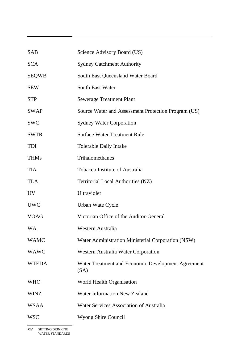| <b>SAB</b>   | Science Advisory Board (US)                                |
|--------------|------------------------------------------------------------|
| <b>SCA</b>   | <b>Sydney Catchment Authority</b>                          |
| <b>SEQWB</b> | South East Queensland Water Board                          |
| <b>SEW</b>   | South East Water                                           |
| <b>STP</b>   | <b>Sewerage Treatment Plant</b>                            |
| <b>SWAP</b>  | Source Water and Assessment Protection Program (US)        |
| <b>SWC</b>   | <b>Sydney Water Corporation</b>                            |
| <b>SWTR</b>  | <b>Surface Water Treatment Rule</b>                        |
| <b>TDI</b>   | Tolerable Daily Intake                                     |
| <b>THMs</b>  | Trihalomethanes                                            |
| <b>TIA</b>   | Tobacco Institute of Australia                             |
| <b>TLA</b>   | Territorial Local Authorities (NZ)                         |
| UV           | Ultraviolet                                                |
| <b>UWC</b>   | Urban Wate Cycle                                           |
| <b>VOAG</b>  | Victorian Office of the Auditor-General                    |
| WA           | Western Australia                                          |
| <b>WAMC</b>  | Water Administration Ministerial Corporation (NSW)         |
| <b>WAWC</b>  | Western Australia Water Corporation                        |
| <b>WTEDA</b> | Water Treatment and Economic Development Agreement<br>(SA) |
| <b>WHO</b>   | World Health Organisation                                  |
| <b>WINZ</b>  | <b>Water Information New Zealand</b>                       |
| <b>WSAA</b>  | Water Services Association of Australia                    |
| <b>WSC</b>   | Wyong Shire Council                                        |
|              |                                                            |

**XIV** SETTING DRINKING WATER STANDARDS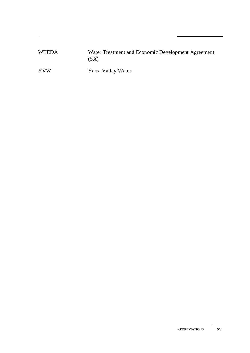| <b>WTEDA</b> | Water Treatment and Economic Development Agreement<br>(SA) |
|--------------|------------------------------------------------------------|
| <b>YVW</b>   | <b>Yarra Valley Water</b>                                  |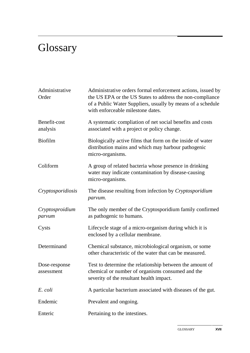# **Glossary**

| Administrative<br>Order     | Administrative orders formal enforcement actions, issued by<br>the US EPA or the US States to address the non-compliance<br>of a Public Water Suppliers, usually by means of a schedule<br>with enforceable milestone dates. |
|-----------------------------|------------------------------------------------------------------------------------------------------------------------------------------------------------------------------------------------------------------------------|
| Benefit-cost<br>analysis    | A systematic compliation of net social benefits and costs<br>associated with a project or policy change.                                                                                                                     |
| <b>Biofilm</b>              | Biologically active films that form on the inside of water<br>distribution mains and which may harbour pathogenic<br>micro-organisms.                                                                                        |
| Coliform                    | A group of related bacteria whose presence in drinking<br>water may indicate contamination by disease-causing<br>micro-organisms.                                                                                            |
| Cryptosporidiosis           | The disease resulting from infection by Cryptosporidium<br>parvum.                                                                                                                                                           |
| Cryptosproidium<br>parvum   | The only member of the Cryptosporidium family confirmed<br>as pathogenic to humans.                                                                                                                                          |
| Cysts                       | Lifecycle stage of a micro-organism during which it is<br>enclosed by a cellular membrane.                                                                                                                                   |
| Determinand                 | Chemical substance, microbiological organism, or some<br>other characteristic of the water that can be measured.                                                                                                             |
| Dose-response<br>assessment | Test to determine the relationship between the amount of<br>chemical or number of organisms consumed and the<br>severity of the resultant health impact.                                                                     |
| E. coli                     | A particular bacterium associated with diseases of the gut.                                                                                                                                                                  |
| Endemic                     | Prevalent and ongoing.                                                                                                                                                                                                       |
| Enteric                     | Pertaining to the intestines.                                                                                                                                                                                                |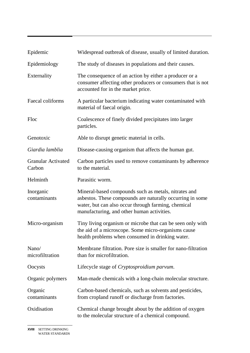| Epidemic                            | Widespread outbreak of disease, usually of limited duration.                                                                                                                                                           |  |
|-------------------------------------|------------------------------------------------------------------------------------------------------------------------------------------------------------------------------------------------------------------------|--|
| Epidemiology                        | The study of diseases in populations and their causes.                                                                                                                                                                 |  |
| Externality                         | The consequence of an action by either a producer or a<br>consumer affecting other producers or consumers that is not<br>accounted for in the market price.                                                            |  |
| Faecal coliforms                    | A particular bacterium indicating water contaminated with<br>material of faecal origin.                                                                                                                                |  |
| Floc                                | Coalescence of finely divided precipitates into larger<br>particles.                                                                                                                                                   |  |
| Genotoxic                           | Able to disrupt genetic material in cells.                                                                                                                                                                             |  |
| Giardia lamblia                     | Disease-causing organism that affects the human gut.                                                                                                                                                                   |  |
| <b>Granular Activated</b><br>Carbon | Carbon particles used to remove contaminants by adherence<br>to the material.                                                                                                                                          |  |
| Helminth                            | Parasitic worm.                                                                                                                                                                                                        |  |
| Inorganic<br>contaminants           | Mineral-based compounds such as metals, nitrates and<br>asbestos. These compounds are naturally occurring in some<br>water, but can also occur through farming, chemical<br>manufacturing, and other human activities. |  |
| Micro-organism                      | Tiny living organism or microbe that can be seen only with<br>the aid of a microscope. Some micro-organisms cause<br>health problems when consumed in drinking water.                                                  |  |
| Nano/<br>microfiltration            | Membrane filtration. Pore size is smaller for nano-filtration<br>than for microfiltration.                                                                                                                             |  |
| Oocysts                             | Lifecycle stage of Cryptosproidium parvum.                                                                                                                                                                             |  |
| Organic polymers                    | Man-made chemicals with a long-chain molecular structure.                                                                                                                                                              |  |
| Organic<br>contaminants             | Carbon-based chemicals, such as solvents and pesticides,<br>from cropland runoff or discharge from factories.                                                                                                          |  |
| Oxidisation                         | Chemical change brought about by the addition of oxygen<br>to the molecular structure of a chemical compound.                                                                                                          |  |

**XVIII** SETTING DRINKING WATER STANDARDS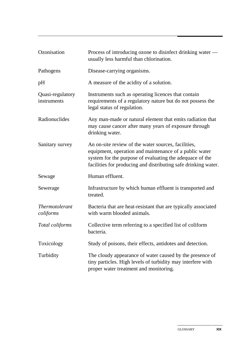| Ozonisation                        | Process of introducing ozone to disinfect drinking water -<br>usually less harmful than chlorination.                                                                                                                                       |  |  |
|------------------------------------|---------------------------------------------------------------------------------------------------------------------------------------------------------------------------------------------------------------------------------------------|--|--|
| Pathogens                          | Disease-carrying organisms.                                                                                                                                                                                                                 |  |  |
| pH                                 | A measure of the acidity of a solution.                                                                                                                                                                                                     |  |  |
| Quasi-regulatory<br>instruments    | Instruments such as operating licences that contain<br>requirements of a regulatory nature but do not possess the<br>legal status of regulation.                                                                                            |  |  |
| Radionuclides                      | Any man-made or natural element that emits radiation that<br>may cause cancer after many years of exposure through<br>drinking water.                                                                                                       |  |  |
| Sanitary survey                    | An on-site review of the water sources, facilities,<br>equipment, operation and maintenance of a public water<br>system for the purpose of evaluating the adequace of the<br>facilities for producing and distributing safe drinking water. |  |  |
| Sewage                             | Human effluent.                                                                                                                                                                                                                             |  |  |
| Sewerage                           | Infrastructure by which human effluent is transported and<br>treated.                                                                                                                                                                       |  |  |
| <i>Thermotolerant</i><br>coliforms | Bacteria that are heat-resistant that are typically associated<br>with warm blooded animals.                                                                                                                                                |  |  |
| Total coliforms                    | Collective term referring to a specified list of coliform<br>bacteria.                                                                                                                                                                      |  |  |
| Toxicology                         | Study of poisons, their effects, antidotes and detection.                                                                                                                                                                                   |  |  |
| Turbidity                          | The cloudy appearance of water caused by the presence of<br>tiny particles. High levels of turbidity may interfere with<br>proper water treatment and monitoring.                                                                           |  |  |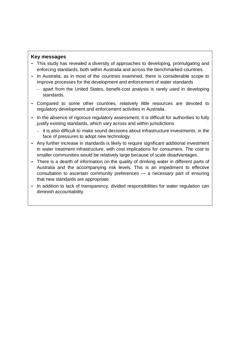#### **Key messages**

- This study has revealed a diversity of approaches to developing, promulgating and enforcing standards, both within Australia and across the benchmarked countries.
- In Australia, as in most of the countries examined, there is considerable scope to improve processes for the development and enforcement of water standards
	- apart from the United States, benefit-cost analysis is rarely used in developing standards.
- Compared to some other countries, relatively little resources are devoted to regulatory development and enforcement activities in Australia.
- In the absence of rigorous regulatory assessment, it is difficult for authorities to fully justify existing standards, which vary across and within jurisdictions
	- it is also difficult to make sound decisions about infrastructure investments, in the face of pressures to adopt new technology.
- Any further increase in standards is likely to require significant additional investment in water treatment infrastructure, with cost implications for consumers. The cost to smaller communities would be relatively large because of scale disadvantages.
- There is a dearth of information on the quality of drinking water in different parts of Australia and the accompanying risk levels. This is an impediment to effective consultation to ascertain community preferences — a necessary part of ensuring that new standards are appropriate.
- In addition to lack of transparency, divided responsibilities for water regulation can diminish accountability.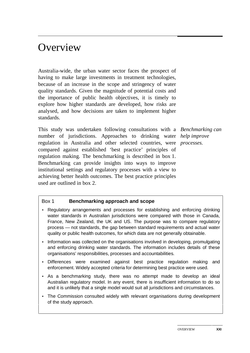### **Overview**

Australia-wide, the urban water sector faces the prospect of having to make large investments in treatment technologies, because of an increase in the scope and stringency of water quality standards. Given the magnitude of potential costs and the importance of public health objectives, it is timely to explore how higher standards are developed, how risks are analysed, and how decisions are taken to implement higher standards.

This study was undertaken following consultations with a *Benchmarking can* number of jurisdictions. Approaches to drinking water *help improve* regulation in Australia and other selected countries, were *processes.* compared against established 'best practice' principles of regulation making. The benchmarking is described in box 1. Benchmarking can provide insights into ways to improve institutional settings and regulatory processes with a view to achieving better health outcomes. The best practice principles used are outlined in box 2.

#### Box 1 **Benchmarking approach and scope**

- Regulatory arrangements and processes for establishing and enforcing drinking water standards in Australian jurisdictions were compared with those in Canada, France, New Zealand, the UK and US. The purpose was to compare regulatory process — not standards, the gap between standard requirements and actual water quality or public health outcomes, for which data are not generally obtainable.
- Information was collected on the organisations involved in developing, promulgating and enforcing drinking water standards. The information includes details of these organisations' responsibilities, processes and accountabilities.
- Differences were examined against best practice regulation making and enforcement. Widely accepted criteria for determining best practice were used.
- As a benchmarking study, there was no attempt made to develop an ideal Australian regulatory model. In any event, there is insufficient information to do so and it is unlikely that a single model would suit all jurisdictions and circumstances.
- The Commission consulted widely with relevant organisations during development of the study approach.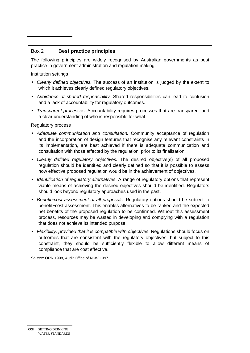#### Box 2 **Best practice principles**

The following principles are widely recognised by Australian governments as best practice in government administration and regulation making.

Institution settings

- Clearly defined objectives. The success of an institution is judged by the extent to which it achieves clearly defined regulatory objectives.
- Avoidance of shared responsibility. Shared responsibilities can lead to confusion and a lack of accountability for regulatory outcomes.
- Transparent processes. Accountability requires processes that are transparent and a clear understanding of who is responsible for what.

Regulatory process

- Adequate communication and consultation. Community acceptance of regulation and the incorporation of design features that recognise any relevant constraints in its implementation, are best achieved if there is adequate communication and consultation with those affected by the regulation, prior to its finalisation.
- Clearly defined regulatory objectives. The desired objective(s) of all proposed regulation should be identified and clearly defined so that it is possible to assess how effective proposed regulation would be in the achievement of objectives.
- Identification of regulatory alternatives. A range of regulatory options that represent viable means of achieving the desired objectives should be identified. Regulators should look beyond regulatory approaches used in the past.
- Benefit−cost assessment of all proposals. Regulatory options should be subject to benefit−cost assessment. This enables alternatives to be ranked and the expected net benefits of the proposed regulation to be confirmed. Without this assessment process, resources may be wasted in developing and complying with a regulation that does not achieve its intended purpose.
- Flexibility, provided that it is compatible with objectives. Regulations should focus on outcomes that are consistent with the regulatory objectives, but subject to this constraint, they should be sufficiently flexible to allow different means of compliance that are cost effective.

Source: ORR 1998, Audit Office of NSW 1997.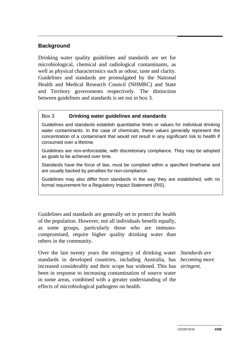#### **Background**

Drinking water quality guidelines and standards are set for microbiological, chemical and radiological contaminants, as well as physical characteristics such as odour, taste and clarity. Guidelines and standards are promulgated by the National Health and Medical Research Council (NHMRC) and State and Territory governments respectively. The distinction between guidelines and standards is set out in box 3.

#### Box 3 **Drinking water guidelines and standards**

Guidelines and standards establish quantitative limits or values for individual drinking water contaminants. In the case of chemicals, these values generally represent the concentration of a contaminant that would not result in any significant risk to health if consumed over a lifetime.

Guidelines are non-enforceable, with discretionary compliance. They may be adopted as goals to be achieved over time.

Standards have the force of law, must be complied within a specified timeframe and are usually backed by penalties for non-compliance.

Guidelines may also differ from standards in the way they are established, with no formal requirement for a Regulatory Impact Statement (RIS).

Guidelines and standards are generally set to protect the health of the population. However, not all individuals benefit equally, as some groups, particularly those who are immunocompromised, require higher quality drinking water than others in the community.

Over the last twenty years the stringency of drinking water *Standards are* standards in developed countries, including Australia, has *becoming more* increased considerably and their scope has widened. This has been in response to increasing contamination of source water in some areas, combined with a greater understanding of the effects of microbiological pathogens on health. *stringent.*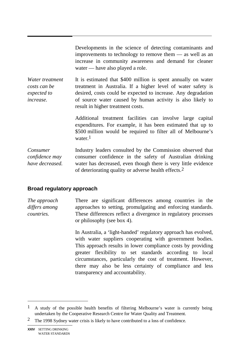Developments in the science of detecting contaminants and improvements to technology to remove them — as well as an increase in community awareness and demand for cleaner water — have also played a role.

*Water treatment costs can be expected to increase.* It is estimated that \$400 million is spent annually on water treatment in Australia. If a higher level of water safety is desired, costs could be expected to increase. Any degradation of source water caused by human activity is also likely to result in higher treatment costs.

> Additional treatment facilities can involve large capital expenditures. For example, it has been estimated that up to \$500 million would be required to filter all of Melbourne's water.<sup>1</sup>

*Consumer confidence may have decreased.* Industry leaders consulted by the Commission observed that consumer confidence in the safety of Australian drinking water has decreased, even though there is very little evidence of deteriorating quality or adverse health effects.2

#### **Broad regulatory approach**

*The approach differs among countries.* There are significant differences among countries in the approaches to setting, promulgating and enforcing standards. These differences reflect a divergence in regulatory processes or philosophy (see box 4).

> In Australia, a 'light-handed' regulatory approach has evolved, with water suppliers cooperating with government bodies. This approach results in lower compliance costs by providing greater flexibility to set standards according to local circumstances, particularly the cost of treatment. However, there may also be less certainty of compliance and less transparency and accountability.

 $\overline{a}$ 

<sup>1</sup> A study of the possible health benefits of filtering Melbourne's water is currently being undertaken by the Cooperative Research Centre for Water Quality and Treatment.

<sup>&</sup>lt;sup>2</sup> The 1998 Sydney water crisis is likely to have contributed to a loss of confidence.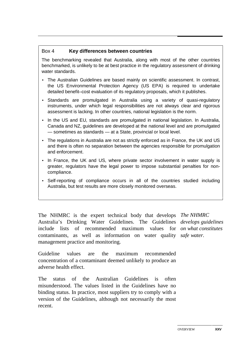#### Box 4 **Key differences between countries**

The benchmarking revealed that Australia, along with most of the other countries benchmarked, is unlikely to be at best practice in the regulatory assessment of drinking water standards.

- The Australian Guidelines are based mainly on scientific assessment. In contrast, the US Environmental Protection Agency (US EPA) is required to undertake detailed benefit–cost evaluation of its regulatory proposals, which it publishes.
- Standards are promulgated in Australia using a variety of quasi-regulatory instruments, under which legal responsibilities are not always clear and rigorous assessment is lacking. In other countries, national legislation is the norm.
- In the US and EU, standards are promulgated in national legislation. In Australia, Canada and NZ, guidelines are developed at the national level and are promulgated — sometimes as standards — at a State, provincial or local level.
- The regulations in Australia are not as strictly enforced as in France, the UK and US and there is often no separation between the agencies responsible for promulgation and enforcement.
- In France, the UK and US, where private sector involvement in water supply is greater, regulators have the legal power to impose substantial penalties for noncompliance.
- Self-reporting of compliance occurs in all of the countries studied including Australia, but test results are more closely monitored overseas.

The NHMRC is the expert technical body that develops *The NHMRC* Australia's Drinking Water Guidelines. The Guidelines *develops guidelines* include lists of recommended maximum values contaminants, as well as information on water quality *safe water.* management practice and monitoring.

*on what constitutes*

Guideline values are the maximum recommended concentration of a contaminant deemed unlikely to produce an adverse health effect.

The status of the Australian Guidelines is often misunderstood. The values listed in the Guidelines have no binding status. In practice, most suppliers try to comply with a version of the Guidelines, although not necessarily the most recent.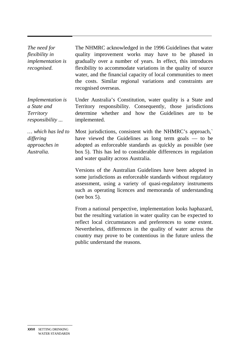| The need for<br><i>flexibility in</i><br><i>implementation is</i><br>recognised. | The NHMRC acknowledged in the 1996 Guidelines that water<br>quality improvement works may have to be phased in<br>gradually over a number of years. In effect, this introduces<br>flexibility to accommodate variations in the quality of source<br>water, and the financial capacity of local communities to meet<br>the costs. Similar regional variations and constraints are<br>recognised overseas. |
|----------------------------------------------------------------------------------|----------------------------------------------------------------------------------------------------------------------------------------------------------------------------------------------------------------------------------------------------------------------------------------------------------------------------------------------------------------------------------------------------------|
|                                                                                  |                                                                                                                                                                                                                                                                                                                                                                                                          |

*Implementation is a State and Territory responsibility ...* Under Australia's Constitution, water quality is a State and Territory responsibility. Consequently, those jurisdictions determine whether and how the Guidelines are to be implemented.

*… which has led to differing approaches in Australia.* Most jurisdictions, consistent with the NHMRC's approach,` have viewed the Guidelines as long term goals — to be adopted as enforceable standards as quickly as possible (see box 5). This has led to considerable differences in regulation and water quality across Australia.

> Versions of the Australian Guidelines have been adopted in some jurisdictions as enforceable standards without regulatory assessment, using a variety of quasi-regulatory instruments such as operating licences and memoranda of understanding (see box 5).

> From a national perspective, implementation looks haphazard, but the resulting variation in water quality can be expected to reflect local circumstances and preferences to some extent. Nevertheless, differences in the quality of water across the country may prove to be contentious in the future unless the public understand the reasons.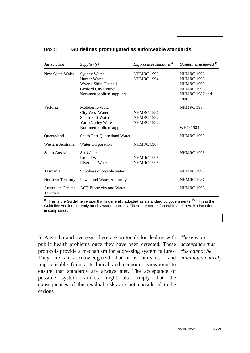| <i>Jurisdiction</i>             | Supplier(s)                      | Enforceable standard <sup>a</sup> | Guidelines achieved <b>b</b> |
|---------------------------------|----------------------------------|-----------------------------------|------------------------------|
| New South Wales                 | <b>Sydney Water</b>              | <b>NHMRC 1996</b>                 | <b>NHMRC 1996</b>            |
|                                 | <b>Hunter Water</b>              | <b>NHMRC 1994</b>                 | <b>NHMRC 1996</b>            |
|                                 | Wyong Shire Council              |                                   | <b>NHMRC 1996</b>            |
|                                 | <b>Gosford City Council</b>      |                                   | <b>NHMRC 1996</b>            |
|                                 | Non-metropolitan suppliers       |                                   | NHMRC 1987 and               |
|                                 |                                  |                                   | 1996                         |
| Victoria                        | Melbourne Water                  |                                   | <b>NHMRC 1987</b>            |
|                                 | City West Water                  | <b>NHMRC 1987</b>                 |                              |
|                                 | South East Water                 | <b>NHMRC 1987</b>                 |                              |
|                                 | Yarra Valley Water               | <b>NHMRC 1987</b>                 |                              |
|                                 | Non-metropolitan suppliers       |                                   | <b>WHO 1984</b>              |
| Queensland                      | South East Queensland Water      |                                   | <b>NHMRC 1996</b>            |
| Western Australia               | Water Corporation                | <b>NHMRC 1987</b>                 |                              |
| South Australia                 | <b>SA Water</b>                  |                                   | <b>NHMRC 1996</b>            |
|                                 | <b>United Water</b>              | <b>NHMRC 1996</b>                 |                              |
|                                 | <b>Riverland Water</b>           | <b>NHMRC 1996</b>                 |                              |
| Tasmania                        | Suppliers of potable water       |                                   | <b>NHMRC 1996</b>            |
| Northern Territory              | Power and Water Authority        |                                   | <b>NHMRC 1987</b>            |
| Australian Capital<br>Territory | <b>ACT</b> Electricity and Water |                                   | <b>NHMRC 1996</b>            |

In Australia and overseas, there are protocols for dealing with *There is an* public health problems once they have been detected. These *acceptance that* protocols provide a mechanism for addressing system failures. *risk cannot be* They are an acknowledgment that it is unrealistic and *eliminated entirely.*impracticable from a technical and economic viewpoint to ensure that standards are always met. The acceptance of possible system failures might also imply that the consequences of the residual risks are not considered to be serious.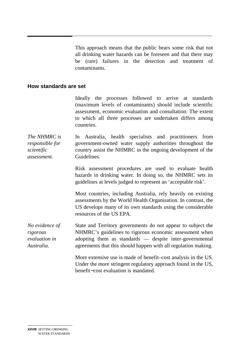This approach means that the public bears some risk that not all drinking water hazards can be foreseen and that there may be (rare) failures in the detection and treatment of contaminants.

#### **How standards are set**

Ideally the processes followed to arrive at standards (maximum levels of contaminants) should include scientific assessment, economic evaluation and consultation. The extent to which all three processes are undertaken differs among countries.

*The NHMRC is responsible for scientific assessment.* In Australia, health specialists and practitioners from government-owned water supply authorities throughout the country assist the NHMRC in the ongoing development of the **Guidelines** 

> Risk assessment procedures are used to evaluate health hazards in drinking water. In doing so, the NHMRC sets its guidelines at levels judged to represent an 'acceptable risk'.

> Most countries, including Australia, rely heavily on existing assessments by the World Health Organisation. In contrast, the US develops many of its own standards using the considerable resources of the US EPA.

*No evidence of rigorous evaluation in Australia.* State and Territory governments do not appear to subject the NHMRC's guidelines to rigorous economic assessment when adopting them as standards — despite inter-governmental agreements that this should happen with all regulation making.

> More extensive use is made of benefit–cost analysis in the US. Under the more stringent regulatory approach found in the US, benefit−cost evaluation is mandated.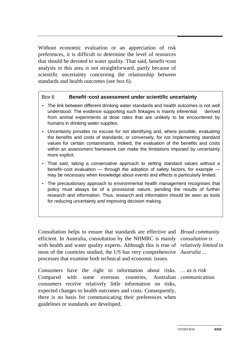Without economic evaluation or an appreciation of risk preferences, it is difficult to determine the level of resources that should be devoted to water quality. That said, benefit−cost analysis in this area is not straightforward, partly because of scientific uncertainty concerning the relationship between standards and health outcomes (see box 6).

#### Box 6 **Benefit**−**cost assessment under scientific uncertainty**

- The link between different drinking water standards and health outcomes is not well understood. The evidence supporting such linkages is mainly inferential - derived from animal experiments at dose rates that are unlikely to be encountered by humans in drinking water supplies.
- Uncertainty provides no excuse for not identifying and, where possible, evaluating the benefits and costs of standards; or conversely, for not implementing standard values for certain contaminants. Indeed, the evaluation of the benefits and costs within an assessment framework can make the limitations imposed by uncertainty more explicit.
- That said, taking a conservative approach to setting standard values without a benefit–cost evaluation — through the adoption of safety factors, for example may be necessary when knowledge about events and effects is particularly limited.
- The precautionary approach to environmental health management recognises that policy must always be of a provisional nature, pending the results of further research and information. Thus, research and information should be seen as tools for reducing uncertainty and improving decision making.

Consultation helps to ensure that standards are effective and *Broad community* efficient. In Australia, consultation by the NHMRC is mainly *consultation is* with health and water quality experts. Although this is true of *relatively limited in* most of the countries studied, the US has very comprehensive *Australia ...* processes that examine both technical and economic issues.

Consumers have the right to information about risks. *… as is risk* Compared with some overseas countries, Australian *communication.*consumers receive relatively little information on risks, expected changes to health outcomes and costs. Consequently, there is no basis for communicating their preferences when guidelines or standards are developed.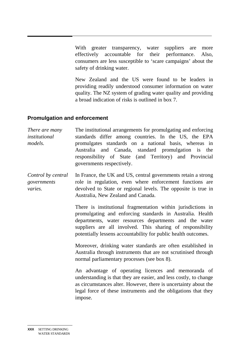With greater transparency, water suppliers are more effectively accountable for their performance. Also, consumers are less susceptible to 'scare campaigns' about the safety of drinking water.

New Zealand and the US were found to be leaders in providing readily understood consumer information on water quality. The NZ system of grading water quality and providing a broad indication of risks is outlined in box 7.

#### **Promulgation and enforcement**

*There are many institutional models.* The institutional arrangements for promulgating and enforcing standards differ among countries. In the US, the EPA promulgates standards on a national basis, whereas in Australia and Canada, standard promulgation is the responsibility of State (and Territory) and Provincial governments respectively.

*Control by central governments varies.* In France, the UK and US, central governments retain a strong role in regulation, even where enforcement functions are devolved to State or regional levels. The opposite is true in Australia, New Zealand and Canada.

> There is institutional fragmentation within jurisdictions in promulgating and enforcing standards in Australia. Health departments, water resources departments and the water suppliers are all involved. This sharing of responsibility potentially lessens accountability for public health outcomes.

> Moreover, drinking water standards are often established in Australia through instruments that are not scrutinised through normal parliamentary processes (see box 8).

> An advantage of operating licences and memoranda of understanding is that they are easier, and less costly, to change as circumstances alter. However, there is uncertainty about the legal force of these instruments and the obligations that they impose.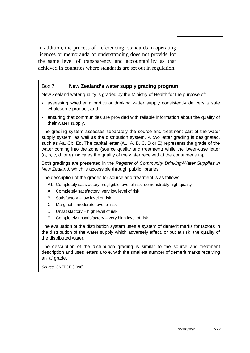In addition, the process of 'referencing' standards in operating licences or memoranda of understanding does not provide for the same level of transparency and accountability as that achieved in countries where standards are set out in regulation.

#### Box 7 **New Zealand's water supply grading program**

New Zealand water quality is graded by the Ministry of Health for the purpose of:

- assessing whether a particular drinking water supply consistently delivers a safe wholesome product; and
- ensuring that communities are provided with reliable information about the quality of their water supply.

The grading system assesses separately the source and treatment part of the water supply system, as well as the distribution system. A two letter grading is designated, such as Aa, Cb, Ed. The capital letter (A1, A, B, C, D or E) represents the grade of the water coming into the zone (source quality and treatment) while the lower-case letter (a, b, c, d, or e) indicates the quality of the water received at the consumer's tap.

Both gradings are presented in the Register of Community Drinking-Water Supplies in New Zealand, which is accessible through public libraries.

The description of the grades for source and treatment is as follows:

- A1 Completely satisfactory, negligible level of risk, demonstrably high quality
- A Completely satisfactory, very low level of risk
- B Satisfactory low level of risk
- C Marginal moderate level of risk
- D Unsatisfactory high level of risk
- E Completely unsatisfactory very high level of risk

The evaluation of the distribution system uses a system of demerit marks for factors in the distribution of the water supply which adversely affect, or put at risk, the quality of the distributed water.

The description of the distribution grading is similar to the source and treatment description and uses letters a to e, with the smallest number of demerit marks receiving an 'a' grade.

Source: ONZPCE (1996).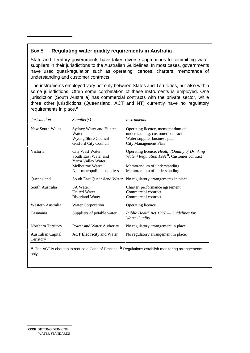#### Box 8 **Regulating water quality requirements in Australia**

State and Territory governments have taken diverse approaches to committing water suppliers in their jurisdictions to the Australian Guidelines. In most cases, governments have used quasi-regulation such as operating licences, charters, memoranda of understanding and customer contracts.

The instruments employed vary not only between States and Territories, but also within some jurisdictions. Often some combination of these instruments is employed. One jurisdiction (South Australia) has commercial contracts with the private sector, while three other jurisdictions (Queensland, ACT and NT) currently have no regulatory requirements in place.**a**

| <i>Jurisdiction</i>                    | Supplier(s)                                                                     | <i>Instruments</i>                                                                                                           |
|----------------------------------------|---------------------------------------------------------------------------------|------------------------------------------------------------------------------------------------------------------------------|
| New South Wales                        | Sydney Water and Hunter<br>Water<br>Wyong Shire Council<br>Gosford City Council | Operating licence, memorandum of<br>understanding, customer contract<br>Water supplier business plan<br>City Management Plan |
| Victoria                               | City West Water,<br>South East Water and<br>Yarra Valley Water                  | Operating licence, <i>Health</i> (Quality of Drinking<br>Water) Regulation 1991 <sup>b</sup> , Customer contract             |
|                                        | Melbourne Water<br>Non-metropolitan suppliers                                   | Memorandum of understanding<br>Memorandum of understanding                                                                   |
| Queensland                             |                                                                                 | South East Queensland Water No regulatory arrangements in place.                                                             |
| South Australia                        | <b>SA Water</b><br><b>United Water</b><br><b>Riverland Water</b>                | Charter, performance agreement<br>Commercial contract<br>Commercial contract                                                 |
| Western Australia                      | Water Corporation                                                               | Operating licence                                                                                                            |
| Tasmania                               | Suppliers of potable water                                                      | Public Health Act 1997 — Guidelines for<br>Water Quality                                                                     |
| Northern Territory                     | Power and Water Authority                                                       | No regulatory arrangement in place.                                                                                          |
| <b>Australian Capital</b><br>Territory | <b>ACT</b> Electricity and Water                                                | No regulatory arrangement in place.                                                                                          |

**a** The ACT is about to introduce a Code of Practice. **b** Regulations establish monitoring arrangements only.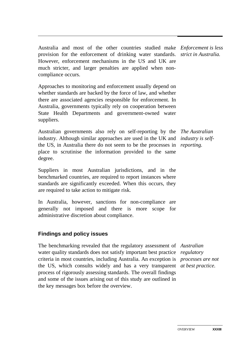Australia and most of the other countries studied make *Enforcement is less* provision for the enforcement of drinking water standards. *strict in Australia.* However, enforcement mechanisms in the US and UK are much stricter, and larger penalties are applied when noncompliance occurs.

Approaches to monitoring and enforcement usually depend on whether standards are backed by the force of law, and whether there are associated agencies responsible for enforcement. In Australia, governments typically rely on cooperation between State Health Departments and government-owned water suppliers.

Australian governments also rely on self-reporting by the *The Australian* industry. Although similar approaches are used in the UK and the US, in Australia there do not seem to be the processes in place to scrutinise the information provided to the same degree.

Suppliers in most Australian jurisdictions, and in the benchmarked countries, are required to report instances where standards are significantly exceeded. When this occurs, they are required to take action to mitigate risk.

In Australia, however, sanctions for non-compliance are generally not imposed and there is more scope for administrative discretion about compliance.

#### **Findings and policy issues**

The benchmarking revealed that the regulatory assessment of *Australian* water quality standards does not satisfy important best practice *regulatory* criteria in most countries, including Australia. An exception is *processes are not* the US, which consults widely and has a very transparent *at best practice.*process of rigorously assessing standards. The overall findings and some of the issues arising out of this study are outlined in the key messages box before the overview.

*industry is selfreporting.*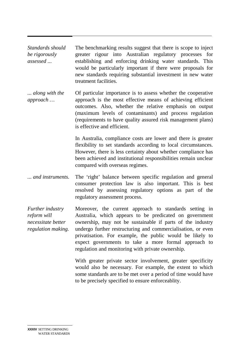*Standards should be rigorously assessed ...* The benchmarking results suggest that there is scope to inject greater rigour into Australian regulatory processes for establishing and enforcing drinking water standards. This would be particularly important if there were proposals for new standards requiring substantial investment in new water treatment facilities.

*... along with the approach …* Of particular importance is to assess whether the cooperative approach is the most effective means of achieving efficient outcomes. Also, whether the relative emphasis on output (maximum levels of contaminants) and process regulation (requirements to have quality assured risk management plans) is effective and efficient.

> In Australia, compliance costs are lower and there is greater flexibility to set standards according to local circumstances. However, there is less certainty about whether compliance has been achieved and institutional responsibilities remain unclear compared with overseas regimes.

*... and instruments.* The 'right' balance between specific regulation and general consumer protection law is also important. This is best resolved by assessing regulatory options as part of the regulatory assessment process.

*Further industry reform will necessitate better regulation making.* Moreover, the current approach to standards setting in Australia, which appears to be predicated on government ownership, may not be sustainable if parts of the industry undergo further restructuring and commercialisation, or even privatisation. For example, the public would be likely to expect governments to take a more formal approach to regulation and monitoring with private ownership.

> With greater private sector involvement, greater specificity would also be necessary. For example, the extent to which some standards are to be met over a period of time would have to be precisely specified to ensure enforceablity.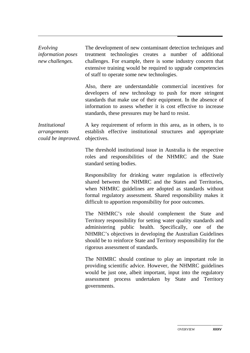*Evolving information poses new challenges.* The development of new contaminant detection techniques and treatment technologies creates a number of additional challenges. For example, there is some industry concern that extensive training would be required to upgrade competencies of staff to operate some new technologies.

> Also, there are understandable commercial incentives for developers of new technology to push for more stringent standards that make use of their equipment. In the absence of information to assess whether it is cost effective to increase standards, these pressures may be hard to resist.

*Institutional arrangements could be improved.* A key requirement of reform in this area, as in others, is to establish effective institutional structures and appropriate objectives.

> The threshold institutional issue in Australia is the respective roles and responsibilities of the NHMRC and the State standard setting bodies.

> Responsibility for drinking water regulation is effectively shared between the NHMRC and the States and Territories, when NHMRC guidelines are adopted as standards without formal regulatory assessment. Shared responsibility makes it difficult to apportion responsibility for poor outcomes.

> The NHMRC's role should complement the State and Territory responsibility for setting water quality standards and administering public health. Specifically, one of the NHMRC's objectives in developing the Australian Guidelines should be to reinforce State and Territory responsibility for the rigorous assessment of standards.

> The NHMRC should continue to play an important role in providing scientific advice. However, the NHMRC guidelines would be just one, albeit important, input into the regulatory assessment process undertaken by State and Territory governments.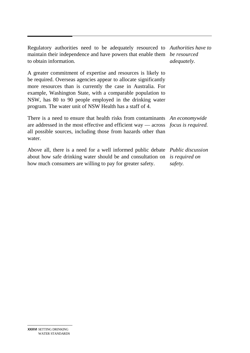| Regulatory authorities need to be adequately resourced to Authorities have to<br>maintain their independence and have powers that enable them be resourced<br>to obtain information.                                                                                                                                                                                               | <i>adequately.</i> |  |
|------------------------------------------------------------------------------------------------------------------------------------------------------------------------------------------------------------------------------------------------------------------------------------------------------------------------------------------------------------------------------------|--------------------|--|
| A greater commitment of expertise and resources is likely to<br>be required. Overseas agencies appear to allocate significantly<br>more resources than is currently the case in Australia. For<br>example, Washington State, with a comparable population to<br>NSW, has 80 to 90 people employed in the drinking water<br>program. The water unit of NSW Health has a staff of 4. |                    |  |
| There is a need to ensure that health risks from contaminants An economywide<br>are addressed in the most effective and efficient way — across focus is required.<br>all possible sources, including those from hazards other than<br>water.                                                                                                                                       |                    |  |
| Above all, there is a need for a well informed public debate Public discussion<br>about how safe drinking water should be and consultation on is required on<br>how much consumers are willing to pay for greater safety.                                                                                                                                                          | safety.            |  |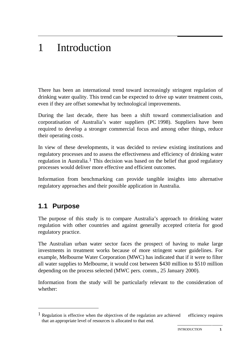### 1 Introduction

There has been an international trend toward increasingly stringent regulation of drinking water quality. This trend can be expected to drive up water treatment costs, even if they are offset somewhat by technological improvements.

During the last decade, there has been a shift toward commercialisation and corporatisation of Australia's water suppliers (PC 1998). Suppliers have been required to develop a stronger commercial focus and among other things, reduce their operating costs.

In view of these developments, it was decided to review existing institutions and regulatory processes and to assess the effectiveness and efficiency of drinking water regulation in Australia.<sup>1</sup> This decision was based on the belief that good regulatory processes would deliver more effective and efficient outcomes.

Information from benchmarking can provide tangible insights into alternative regulatory approaches and their possible application in Australia.

### **1.1 Purpose**

 $\overline{a}$ 

The purpose of this study is to compare Australia's approach to drinking water regulation with other countries and against generally accepted criteria for good regulatory practice.

The Australian urban water sector faces the prospect of having to make large investments in treatment works because of more stringent water guidelines. For example, Melbourne Water Corporation (MWC) has indicated that if it were to filter all water supplies to Melbourne, it would cost between \$430 million to \$510 million depending on the process selected (MWC pers. comm., 25 January 2000).

Information from the study will be particularly relevant to the consideration of whether:

<sup>&</sup>lt;sup>1</sup> Regulation is effective when the objectives of the regulation are achieved — efficiency requires that an appropriate level of resources is allocated to that end.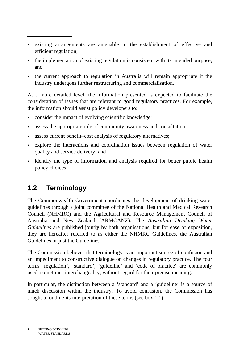- existing arrangements are amenable to the establishment of effective and efficient regulation;
- the implementation of existing regulation is consistent with its intended purpose; and
- the current approach to regulation in Australia will remain appropriate if the industry undergoes further restructuring and commercialisation.

At a more detailed level, the information presented is expected to facilitate the consideration of issues that are relevant to good regulatory practices. For example, the information should assist policy developers to:

- consider the impact of evolving scientific knowledge;
- assess the appropriate role of community awareness and consultation;
- assess current benefit–cost analysis of regulatory alternatives;
- explore the interactions and coordination issues between regulation of water quality and service delivery; and
- identify the type of information and analysis required for better public health policy choices.

### **1.2 Terminology**

The Commonwealth Government coordinates the development of drinking water guidelines through a joint committee of the National Health and Medical Research Council (NHMRC) and the Agricultural and Resource Management Council of Australia and New Zealand (ARMCANZ). The *Australian Drinking Water Guidelines* are published jointly by both organisations, but for ease of exposition, they are hereafter referred to as either the NHMRC Guidelines, the Australian Guidelines or just the Guidelines.

The Commission believes that terminology is an important source of confusion and an impediment to constructive dialogue on changes in regulatory practice. The four terms 'regulation', 'standard', 'guideline' and 'code of practice' are commonly used, sometimes interchangeably, without regard for their precise meaning.

In particular, the distinction between a 'standard' and a 'guideline' is a source of much discussion within the industry. To avoid confusion, the Commission has sought to outline its interpretation of these terms (see box 1.1).

**<sup>2</sup>** SETTING DRINKING WATER STANDARDS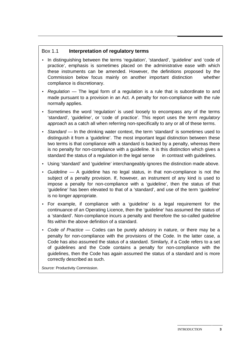#### Box 1.1 **Interpretation of regulatory terms**

- In distinguishing between the terms 'regulation', 'standard', 'guideline' and 'code of practice', emphasis is sometimes placed on the administrative ease with which these instruments can be amended. However, the definitions proposed by the Commission below focus mainly on another important distinction - whether compliance is discretionary.
- Regulation The legal form of a regulation is a rule that is subordinate to and made pursuant to a provision in an Act. A penalty for non-compliance with the rule normally applies.
- Sometimes the word 'regulation' is used loosely to encompass any of the terms 'standard', 'guideline', or 'code of practice'. This report uses the term regulatory approach as a catch all when referring non-specifically to any or all of these terms.
- Standard In the drinking water context, the term 'standard' is sometimes used to distinguish it from a 'guideline'. The most important legal distinction between these two terms is that compliance with a standard is backed by a penalty, whereas there is no penalty for non-compliance with a guideline. It is this distinction which gives a standard the status of a regulation in the legal sense - in contrast with guidelines.
- Using 'standard' and 'guideline' interchangeably ignores the distinction made above.
- Guideline A guideline has no legal status, in that non-compliance is not the subject of a penalty provision. If, however, an instrument of any kind is used to impose a penalty for non-compliance with a 'guideline', then the status of that 'guideline' has been elevated to that of a 'standard', and use of the term 'guideline' is no longer appropriate.
- For example, if compliance with a 'guideline' is a legal requirement for the continuance of an Operating Licence, then the 'guideline' has assumed the status of a 'standard'. Non-compliance incurs a penalty and therefore the so-called guideline fits within the above definition of a standard.
- Code of Practice Codes can be purely advisory in nature, or there may be a penalty for non-compliance with the provisions of the Code. In the latter case, a Code has also assumed the status of a standard. Similarly, if a Code refers to a set of guidelines and the Code contains a penalty for non-compliance with the guidelines, then the Code has again assumed the status of a standard and is more correctly described as such.

Source: Productivity Commission.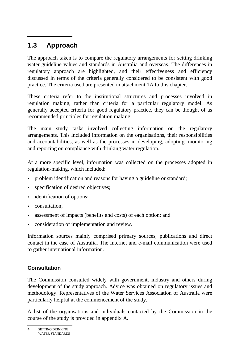# **1.3 Approach**

The approach taken is to compare the regulatory arrangements for setting drinking water guideline values and standards in Australia and overseas. The differences in regulatory approach are highlighted, and their effectiveness and efficiency discussed in terms of the criteria generally considered to be consistent with good practice. The criteria used are presented in attachment 1A to this chapter.

These criteria refer to the institutional structures and processes involved in regulation making, rather than criteria for a particular regulatory model. As generally accepted criteria for good regulatory practice, they can be thought of as recommended principles for regulation making.

The main study tasks involved collecting information on the regulatory arrangements. This included information on the organisations, their responsibilities and accountabilities, as well as the processes in developing, adopting, monitoring and reporting on compliance with drinking water regulation.

At a more specific level, information was collected on the processes adopted in regulation-making, which included:

- problem identification and reasons for having a guideline or standard;
- specification of desired objectives;
- identification of options;
- consultation:
- assessment of impacts (benefits and costs) of each option; and
- consideration of implementation and review.

Information sources mainly comprised primary sources, publications and direct contact in the case of Australia. The Internet and e-mail communication were used to gather international information.

# **Consultation**

The Commission consulted widely with government, industry and others during development of the study approach. Advice was obtained on regulatory issues and methodology. Representatives of the Water Services Association of Australia were particularly helpful at the commencement of the study.

A list of the organisations and individuals contacted by the Commission in the course of the study is provided in appendix A.

**<sup>4</sup>** SETTING DRINKING WATER STANDARDS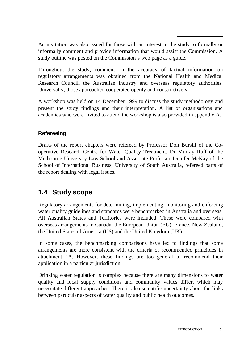An invitation was also issued for those with an interest in the study to formally or informally comment and provide information that would assist the Commission. A study outline was posted on the Commission's web page as a guide.

Throughout the study, comment on the accuracy of factual information on regulatory arrangements was obtained from the National Health and Medical Research Council, the Australian industry and overseas regulatory authorities. Universally, those approached cooperated openly and constructively.

A workshop was held on 14 December 1999 to discuss the study methodology and present the study findings and their interpretation. A list of organisations and academics who were invited to attend the workshop is also provided in appendix A.

# **Refereeing**

Drafts of the report chapters were refereed by Professor Don Bursill of the Cooperative Research Centre for Water Quality Treatment. Dr Murray Raff of the Melbourne University Law School and Associate Professor Jennifer McKay of the School of International Business, University of South Australia, refereed parts of the report dealing with legal issues.

# **1.4 Study scope**

Regulatory arrangements for determining, implementing, monitoring and enforcing water quality guidelines and standards were benchmarked in Australia and overseas. All Australian States and Territories were included. These were compared with overseas arrangements in Canada, the European Union (EU), France, New Zealand, the United States of America (US) and the United Kingdom (UK).

In some cases, the benchmarking comparisons have led to findings that some arrangements are more consistent with the criteria or recommended principles in attachment 1A. However, these findings are too general to recommend their application in a particular jurisdiction.

Drinking water regulation is complex because there are many dimensions to water quality and local supply conditions and community values differ, which may necessitate different approaches. There is also scientific uncertainty about the links between particular aspects of water quality and public health outcomes.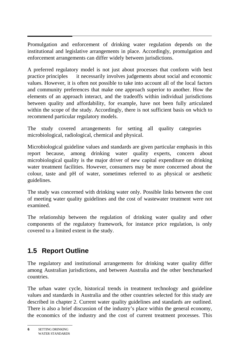Promulgation and enforcement of drinking water regulation depends on the institutional and legislative arrangements in place. Accordingly, promulgation and enforcement arrangements can differ widely between jurisdictions.

A preferred regulatory model is not just about processes that conform with best practice principles — it necessarily involves judgements about social and economic values. However, it is often not possible to take into account all of the local factors and community preferences that make one approach superior to another. How the elements of an approach interact, and the tradeoffs within individual jurisdictions between quality and affordability, for example, have not been fully articulated within the scope of the study. Accordingly, there is not sufficient basis on which to recommend particular regulatory models.

The study covered arrangements for setting all quality categories microbiological, radiological, chemical and physical.

Microbiological guideline values and standards are given particular emphasis in this report because, among drinking water quality experts, concern about microbiological quality is the major driver of new capital expenditure on drinking water treatment facilities. However, consumers may be more concerned about the colour, taste and pH of water, sometimes referred to as physical or aesthetic guidelines.

The study was concerned with drinking water only. Possible links between the cost of meeting water quality guidelines and the cost of wastewater treatment were not examined.

The relationship between the regulation of drinking water quality and other components of the regulatory framework, for instance price regulation, is only covered to a limited extent in the study.

# **1.5 Report Outline**

The regulatory and institutional arrangements for drinking water quality differ among Australian jurisdictions, and between Australia and the other benchmarked countries.

The urban water cycle, historical trends in treatment technology and guideline values and standards in Australia and the other countries selected for this study are described in chapter 2. Current water quality guidelines and standards are outlined. There is also a brief discussion of the industry's place within the general economy, the economics of the industry and the cost of current treatment processes. This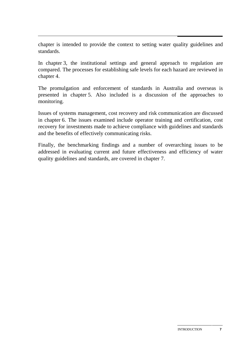chapter is intended to provide the context to setting water quality guidelines and standards.

In chapter 3, the institutional settings and general approach to regulation are compared. The processes for establishing safe levels for each hazard are reviewed in chapter 4.

The promulgation and enforcement of standards in Australia and overseas is presented in chapter 5. Also included is a discussion of the approaches to monitoring.

Issues of systems management, cost recovery and risk communication are discussed in chapter 6. The issues examined include operator training and certification, cost recovery for investments made to achieve compliance with guidelines and standards and the benefits of effectively communicating risks.

Finally, the benchmarking findings and a number of overarching issues to be addressed in evaluating current and future effectiveness and efficiency of water quality guidelines and standards, are covered in chapter 7.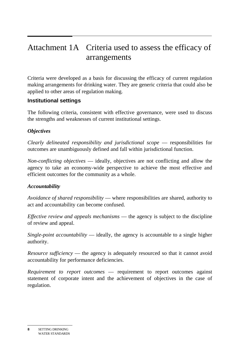# Attachment 1A Criteria used to assess the efficacy of arrangements

Criteria were developed as a basis for discussing the efficacy of current regulation making arrangements for drinking water. They are generic criteria that could also be applied to other areas of regulation making.

# **Institutional settings**

The following criteria, consistent with effective governance, were used to discuss the strengths and weaknesses of current institutional settings.

# *Objectives*

*Clearly delineated responsibility and jurisdictional scope* — responsibilities for outcomes are unambiguously defined and fall within jurisdictional function.

*Non-conflicting objectives* — ideally, objectives are not conflicting and allow the agency to take an economy-wide perspective to achieve the most effective and efficient outcomes for the community as a whole.

# *Accountability*

*Avoidance of shared responsibility* — where responsibilities are shared, authority to act and accountability can become confused.

*Effective review and appeals mechanisms* — the agency is subject to the discipline of review and appeal.

*Single-point accountability* — ideally, the agency is accountable to a single higher authority.

*Resource sufficiency* — the agency is adequately resourced so that it cannot avoid accountability for performance deficiencies.

*Requirement to report outcomes* — requirement to report outcomes against statement of corporate intent and the achievement of objectives in the case of regulation.

**<sup>8</sup>** SETTING DRINKING WATER STANDARDS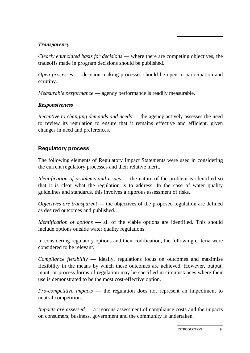### *Transparency*

*Clearly enunciated basis for decisions* — where there are competing objectives, the tradeoffs made in program decisions should be published.

*Open processes* — decision-making processes should be open to participation and scrutiny.

*Measurable performance* — agency performance is readily measurable.

### *Responsiveness*

*Receptive to changing demands and needs* — the agency actively assesses the need to review its regulation to ensure that it remains effective and efficient, given changes in need and preferences.

# **Regulatory process**

The following elements of Regulatory Impact Statements were used in considering the current regulatory processes and their relative merit.

*Identification of problems and issues* — the nature of the problem is identified so that it is clear what the regulation is to address. In the case of water quality guidelines and standards, this involves a rigorous assessment of risks.

*Objectives are transparent* — the objectives of the proposed regulation are defined as desired outcomes and published.

*Identification of options* — all of the viable options are identified. This should include options outside water quality regulations.

In considering regulatory options and their codification, the following criteria were considered to be relevant.

*Compliance flexibility* — ideally, regulations focus on outcomes and maximise flexibility in the means by which these outcomes are achieved. However, output, input, or process forms of regulation may be specified in circumstances where their use is demonstrated to be the most cost-effective option.

*Pro-competitive impacts* — the regulation does not represent an impediment to neutral competition.

*Impacts are assessed* — a rigorous assessment of compliance costs and the impacts on consumers, business, government and the community is undertaken.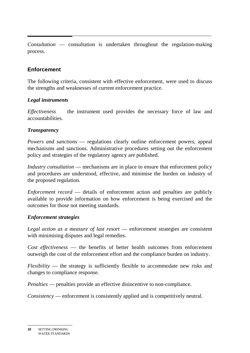*Consultation* — consultation is undertaken throughout the regulation-making process.

# **Enforcement**

The following criteria, consistent with effective enforcement, were used to discuss the strengths and weaknesses of current enforcement practice.

# *Legal instruments*

*Effectiveness* — the instrument used provides the necessary force of law and accountabilities.

# *Transparency*

*Powers and sanctions* — regulations clearly outline enforcement powers, appeal mechanisms and sanctions. Administrative procedures setting out the enforcement policy and strategies of the regulatory agency are published.

*Industry consultation* — mechanisms are in place to ensure that enforcement policy and procedures are understood, effective, and minimise the burden on industry of the proposed regulation.

*Enforcement record* — details of enforcement action and penalties are publicly available to provide information on how enforcement is being exercised and the outcomes for those not meeting standards.

# *Enforcement strategies*

*Legal action as a measure of last resort* — enforcement strategies are consistent with minimising disputes and legal remedies.

*Cost effectiveness* — the benefits of better health outcomes from enforcement outweigh the cost of the enforcement effort and the compliance burden on industry.

*Flexibility* — the strategy is sufficiently flexible to accommodate new risks and changes to compliance response.

*Penalties* — penalties provide an effective disincentive to non-compliance.

*Consistency* — enforcement is consistently applied and is competitively neutral.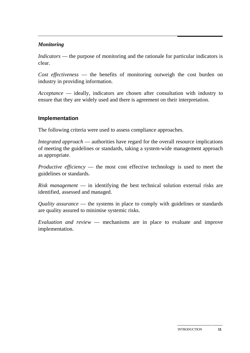# *Monitoring*

*Indicators* — the purpose of monitoring and the rationale for particular indicators is clear.

*Cost effectiveness* — the benefits of monitoring outweigh the cost burden on industry in providing information.

*Acceptance* — ideally, indicators are chosen after consultation with industry to ensure that they are widely used and there is agreement on their interpretation.

# **Implementation**

The following criteria were used to assess compliance approaches.

*Integrated approach* — authorities have regard for the overall resource implications of meeting the guidelines or standards, taking a system-wide management approach as appropriate.

*Productive efficiency* — the most cost effective technology is used to meet the guidelines or standards.

*Risk management* — in identifying the best technical solution external risks are identified, assessed and managed.

*Quality assurance* — the systems in place to comply with guidelines or standards are quality assured to minimise systemic risks.

*Evaluation and review* — mechanisms are in place to evaluate and improve implementation.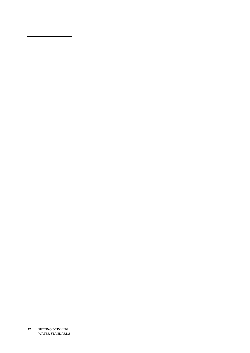**<sup>12</sup>** SETTING DRINKING WATER STANDARDS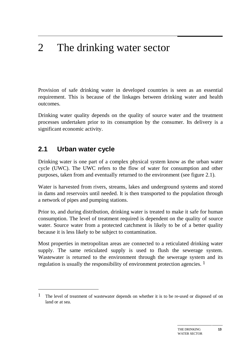# 2 The drinking water sector

Provision of safe drinking water in developed countries is seen as an essential requirement. This is because of the linkages between drinking water and health outcomes.

Drinking water quality depends on the quality of source water and the treatment processes undertaken prior to its consumption by the consumer. Its delivery is a significant economic activity.

# **2.1 Urban water cycle**

 $\overline{a}$ 

Drinking water is one part of a complex physical system know as the urban water cycle (UWC). The UWC refers to the flow of water for consumption and other purposes, taken from and eventually returned to the environment (see figure 2.1).

Water is harvested from rivers, streams, lakes and underground systems and stored in dams and reservoirs until needed. It is then transported to the population through a network of pipes and pumping stations.

Prior to, and during distribution, drinking water is treated to make it safe for human consumption. The level of treatment required is dependent on the quality of source water. Source water from a protected catchment is likely to be of a better quality because it is less likely to be subject to contamination.

Most properties in metropolitan areas are connected to a reticulated drinking water supply. The same reticulated supply is used to flush the sewerage system. Wastewater is returned to the environment through the sewerage system and its regulation is usually the responsibility of environment protection agencies. 1

<sup>&</sup>lt;sup>1</sup> The level of treatment of wastewater depends on whether it is to be re-used or disposed of on land or at sea.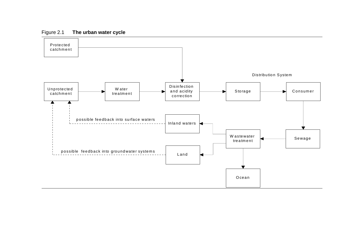

#### Figure 2.1 **The urban water cycle**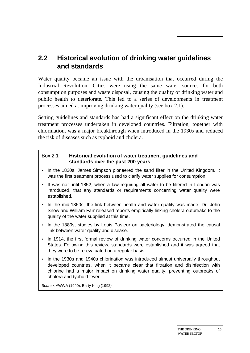# **2.2 Historical evolution of drinking water guidelines and standards**

Water quality became an issue with the urbanisation that occurred during the Industrial Revolution. Cities were using the same water sources for both consumption purposes and waste disposal, causing the quality of drinking water and public health to deteriorate*.* This led to a series of developments in treatment processes aimed at improving drinking water quality (see box 2.1).

Setting guidelines and standards has had a significant effect on the drinking water treatment processes undertaken in developed countries. Filtration, together with chlorination, was a major breakthrough when introduced in the 1930s and reduced the risk of diseases such as typhoid and cholera.

#### Box 2.1 **Historical evolution of water treatment guidelines and standards over the past 200 years**

- In the 1820s, James Simpson pioneered the sand filter in the United Kingdom. It was the first treatment process used to clarify water supplies for consumption.
- It was not until 1852, when a law requiring all water to be filtered in London was introduced, that any standards or requirements concerning water quality were established.
- In the mid-1850s, the link between health and water quality was made. Dr. John Snow and William Farr released reports empirically linking cholera outbreaks to the quality of the water supplied at this time.
- In the 1880s, studies by Louis Pasteur on bacteriology, demonstrated the causal link between water quality and disease.
- In 1914, the first formal review of drinking water concerns occurred in the United States. Following this review, standards were established and it was agreed that they were to be re-evaluated on a regular basis.
- In the 1930s and 1940s chlorination was introduced almost universally throughout developed countries, when it became clear that filtration and disinfection with chlorine had a major impact on drinking water quality, preventing outbreaks of cholera and typhoid fever.

Source: AWWA (1990); Barty-King (1992).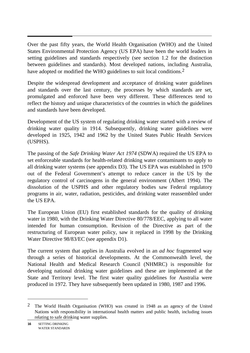Over the past fifty years, the World Health Organisation (WHO) and the United States Environmental Protection Agency (US EPA) have been the world leaders in setting guidelines and standards respectively (see section 1.2 for the distinction between guidelines and standards). Most developed nations, including Australia, have adopted or modified the WHO guidelines to suit local conditions.<sup>2</sup>

Despite the widespread development and acceptance of drinking water guidelines and standards over the last century, the processes by which standards are set, promulgated and enforced have been very different. These differences tend to reflect the history and unique characteristics of the countries in which the guidelines and standards have been developed.

Development of the US system of regulating drinking water started with a review of drinking water quality in 1914. Subsequently, drinking water guidelines were developed in 1925, 1942 and 1962 by the United States Public Health Services (USPHS).

The passing of the *Safe Drinking Water Act 1974* (SDWA) required the US EPA to set enforceable standards for health-related drinking water contaminants to apply to all drinking water systems (see appendix D3). The US EPA was established in 1970 out of the Federal Government's attempt to reduce cancer in the US by the regulatory control of carcinogens in the general environment (Albert 1994). The dissolution of the USPHS and other regulatory bodies saw Federal regulatory programs in air, water, radiation, pesticides, and drinking water reassembled under the US EPA.

The European Union (EU) first established standards for the quality of drinking water in 1980, with the Drinking Water Directive 80/778/EEC, applying to all water intended for human consumption. Revision of the Directive as part of the restructuring of European water policy, saw it replaced in 1998 by the Drinking Water Directive 98/83/EC (see appendix D1).

The current system that applies in Australia evolved in an *ad hoc* fragmented way through a series of historical developments. At the Commonwealth level, the National Health and Medical Research Council (NHMRC) is responsible for developing national drinking water guidelines and these are implemented at the State and Territory level. The first water quality guidelines for Australia were produced in 1972. They have subsequently been updated in 1980, 1987 and 1996.

 $\overline{a}$ 

<sup>2</sup> The World Health Organisation (WHO) was created in 1948 as an agency of the United Nations with responsibility in international health matters and public health, including issues relating to safe drinking water supplies.

**<sup>16</sup>** SETTING DRINKING WATER STANDARDS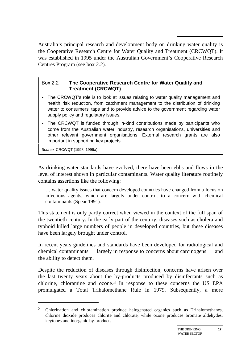Australia's principal research and development body on drinking water quality is the Cooperative Research Centre for Water Quality and Treatment (CRCWQT). It was established in 1995 under the Australian Government's Cooperative Research Centres Program (see box 2.2).

### Box 2.2 **The Cooperative Research Centre for Water Quality and Treatment (CRCWQT)**

- The CRCWQT's role is to look at issues relating to water quality management and health risk reduction, from catchment management to the distribution of drinking water to consumers' taps and to provide advice to the government regarding water supply policy and regulatory issues.
- The CRCWQT is funded through in-kind contributions made by participants who come from the Australian water industry, research organisations, universities and other relevant government organisations. External research grants are also important in supporting key projects.

Source: CRCWQT (1998, 1999a).

 $\overline{a}$ 

As drinking water standards have evolved, there have been ebbs and flows in the level of interest shown in particular contaminants. Water quality literature routinely contains assertions like the following:

… water quality issues that concern developed countries have changed from a focus on infectious agents, which are largely under control, to a concern with chemical contaminants (Spear 1991).

This statement is only partly correct when viewed in the context of the full span of the twentieth century. In the early part of the century, diseases such as cholera and typhoid killed large numbers of people in developed countries, but these diseases have been largely brought under control.

In recent years guidelines and standards have been developed for radiological and chemical contaminants — largely in response to concerns about carcinogens — and the ability to detect them.

Despite the reduction of diseases through disinfection, concerns have arisen over the last twenty years about the by-products produced by disinfectants such as chlorine, chloramine and ozone.<sup>3</sup> In response to these concerns the US EPA promulgated a Total Trihalomethane Rule in 1979. Subsequently, a more

 $3$  Chlorination and chloramination produce halogenated organics such as Trihalomethanes, chlorine dioxide produces chlorite and chlorate, while ozone produces bromate aldehydes, keytones and inorganic by-products.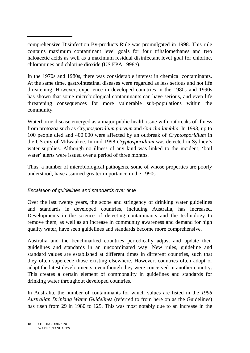comprehensive Disinfection By-products Rule was promulgated in 1998. This rule contains maximum contaminant level goals for four trihalomethanes and two haloacetic acids as well as a maximum residual disinfectant level goal for chlorine, chloramines and chlorine dioxide (US EPA 1998g).

In the 1970s and 1980s, there was considerable interest in chemical contaminants. At the same time, gastrointestinal diseases were regarded as less serious and not life threatening. However, experience in developed countries in the 1980s and 1990s has shown that some microbiological contaminants can have serious, and even life threatening consequences for more vulnerable sub-populations within the community.

Waterborne disease emerged as a major public health issue with outbreaks of illness from protozoa such as *Cryptosporidium parvum* and *Giardia lamblia*. In 1993, up to 100 people died and 400 000 were affected by an outbreak of *Cryptosporidium* in the US city of Milwaukee. In mid-1998 *Cryptosporidium* was detected in Sydney's water supplies. Although no illness of any kind was linked to the incident, 'boil water' alerts were issued over a period of three months.

Thus, a number of microbiological pathogens, some of whose properties are poorly understood, have assumed greater importance in the 1990s.

# Escalation of guidelines and standards over time

Over the last twenty years, the scope and stringency of drinking water guidelines and standards in developed countries, including Australia, has increased. Developments in the science of detecting contaminants and the technology to remove them, as well as an increase in community awareness and demand for high quality water, have seen guidelines and standards become more comprehensive.

Australia and the benchmarked countries periodically adjust and update their guidelines and standards in an uncoordinated way. New rules, guideline and standard values are established at different times in different countries, such that they often supercede those existing elsewhere. However, countries often adopt or adapt the latest developments, even though they were conceived in another country. This creates a certain element of commonality in guidelines and standards for drinking water throughout developed countries.

In Australia, the number of contaminants for which values are listed in the *1996 Australian Drinking Water Guidelines* (referred to from here on as the Guidelines) has risen from 29 in 1980 to 125. This was most notably due to an increase in the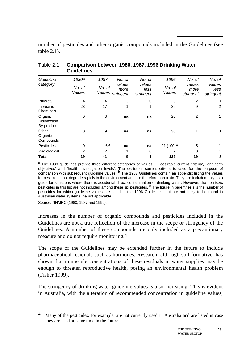number of pesticides and other organic compounds included in the Guidelines (see table 2.1).

| Guideline<br>category                         | 1980 <sup>a</sup><br>No. of<br>Values | 1987<br>No. of<br>Values | No. of<br>values<br>more<br>stringent | No. of<br>values<br>less<br>stringent | 1996<br>No. of<br>Values | No. of<br>values<br>more<br>stringent | No. of<br>values<br>less<br>stringent |
|-----------------------------------------------|---------------------------------------|--------------------------|---------------------------------------|---------------------------------------|--------------------------|---------------------------------------|---------------------------------------|
| Physical                                      | 4                                     | 4                        | 3                                     | 0                                     | 8                        | 2                                     | 0                                     |
| Inorganic<br>Chemicals                        | 23                                    | 17                       | 1                                     |                                       | 39                       | 9                                     | 2                                     |
| Organic<br><b>Disinfection</b><br>By-products | 0                                     | 3                        | na                                    | na                                    | 20                       | 2                                     | 1                                     |
| Other<br>Organic<br>Compounds                 | 0                                     | 9                        | na                                    | na                                    | 30                       | 1                                     | 3                                     |
| Pesticides                                    | 0                                     | 6 <sup>b</sup>           | na                                    | na                                    | 21 $(100)$ <sup>C</sup>  | 5                                     |                                       |
| Radiological                                  | $\overline{2}$                        | $\mathcal{P}$            | 1                                     | $\Omega$                              |                          | 0                                     | 1                                     |
| Total                                         | 29                                    | 41                       | 5                                     |                                       | 125                      | 19                                    | 8                                     |

#### Table 2.1 **Comparison between 1980, 1987, 1996 Drinking Water Guidelines**

**a** The 1980 guidelines provide three different categories of values — 'desirable current criteria', 'long term objectives' and 'health investigation levels'. The desirable current criteria is used for the purpose of comparison with subsequent guideline values. **b** The 1987 Guidelines contain an appendix listing the values for pesticides that degrade rapidly in the environment and are therefore non-toxic. They are included only as a guide for situations where there is accidental direct contamination of drinking water. However, the non-toxic pesticides in this list are not included among these six pesticides. **c** The figure in parenthesis is the number of pesticides for which guideline values are listed in the 1996 Guidelines, but are not likely to be found in Australian water systems. **na** not applicable.

Source: NHMRC (1980, 1987 and 1996).

 $\overline{a}$ 

Increases in the number of organic compounds and pesticides included in the Guidelines are not a true reflection of the increase in the scope or stringency of the Guidelines. A number of these compounds are only included as a precautionary measure and do not require monitoring.<sup>4</sup>

The scope of the Guidelines may be extended further in the future to include pharmaceutical residuals such as hormones. Research, although still formative, has shown that minuscule concentrations of these residuals in water supplies may be enough to threaten reproductive health, posing an environmental health problem (Fisher 1999).

The stringency of drinking water guideline values is also increasing. This is evident in Australia, with the alteration of recommended concentration in guideline values,

<sup>&</sup>lt;sup>4</sup> Many of the pesticides, for example, are not currently used in Australia and are listed in case they are used at some time in the future.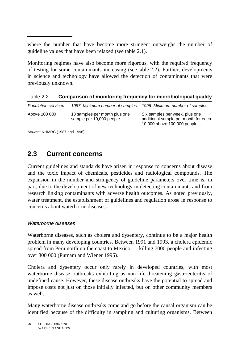where the number that have become more stringent outweighs the number of guideline values that have been relaxed (see table 2.1).

Monitoring regimes have also become more rigorous, with the required frequency of testing for some contaminants increasing (see table 2.2). Further, developments in science and technology have allowed the detection of contaminants that were previously unknown.

Table 2.2 **Comparison of monitoring frequency for microbiological quality**

| Population serviced | 1987: Minimum number of samples                            | 1996: Minimum number of samples                                                                        |
|---------------------|------------------------------------------------------------|--------------------------------------------------------------------------------------------------------|
| Above 100 000       | 13 samples per month plus one<br>sample per 10,000 people. | Six samples per week, plus one<br>additional sample per month for each<br>10,000 above 100,000 people. |

Source: NHMRC (1987 and 1996).

# **2.3 Current concerns**

Current guidelines and standards have arisen in response to concerns about disease and the toxic impact of chemicals, pesticides and radiological compounds. The expansion in the number and stringency of guideline parameters over time is, in part, due to the development of new technology in detecting contaminants and from research linking contaminants with adverse health outcomes. As noted previously, water treatment, the establishment of guidelines and regulation arose in response to concerns about waterborne diseases.

#### Waterborne diseases

Waterborne diseases, such as cholera and dysentery, continue to be a major health problem in many developing countries. Between 1991 and 1993, a cholera epidemic spread from Peru north up the coast to Mexico  $-$  killing 7000 people and infecting over 800 000 (Putnam and Wiener 1995).

Cholera and dysentery occur only rarely in developed countries, with most waterborne disease outbreaks exhibiting as non life-threatening gastroenteritis of undefined cause. However, these disease outbreaks have the potential to spread and impose costs not just on those initially infected, but on other community members as well.

Many waterborne disease outbreaks come and go before the causal organism can be identified because of the difficulty in sampling and culturing organisms. Between

**<sup>20</sup>** SETTING DRINKING WATER STANDARDS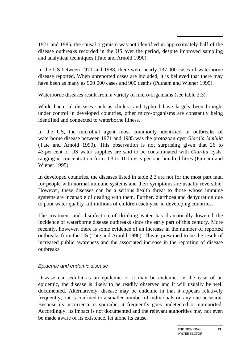1971 and 1985, the causal organism was not identified in approximately half of the disease outbreaks recorded in the US over the period, despite improved sampling and analytical techniques (Tate and Arnold 1990).

In the US between 1971 and 1988, there were nearly 137 000 cases of waterborne disease reported. When unreported cases are included, it is believed that there may have been as many as 900 000 cases and 900 deaths (Putnam and Wiener 1995).

Waterborne diseases result from a variety of micro-organisms (see table 2.3).

While bacterial diseases such as cholera and typhoid have largely been brought under control in developed countries, other micro-organisms are constantly being identified and connected to waterborne illness.

In the US, the microbial agent most commonly identified in outbreaks of waterborne disease between 1971 and 1985 was the protozoan cyst *Giardia lamblia* (Tate and Arnold 1990). This observation is not surprising given that 26 to 43 per cent of US water supplies are said to be contaminated with *Giardia* cysts, ranging in concentration from 0.3 to 100 cysts per one hundred litres (Putnam and Wiener 1995).

In developed countries, the diseases listed in table 2.3 are not for the most part fatal for people with normal immune systems and their symptoms are usually reversible. However, these diseases can be a serious health threat to those whose immune systems are incapable of dealing with them. Further, diarrhoea and dehydration due to poor water quality kill millions of children each year in developing countries.

The treatment and disinfection of drinking water has dramatically lowered the incidence of waterborne disease outbreaks since the early part of this century. More recently, however, there is some evidence of an increase in the number of reported outbreaks from the US (Tate and Arnold 1990). This is presumed to be the result of increased public awareness and the associated increase in the reporting of disease outbreaks.

#### Epidemic and endemic disease

Disease can exhibit as an epidemic or it may be endemic. In the case of an epidemic, the disease is likely to be readily observed and it will usually be well documented. Alternatively, disease may be endemic in that it appears relatively frequently, but is confined to a smaller number of individuals on any one occasion. Because its occurrence is sporadic, it frequently goes undetected or unreported. Accordingly, its impact is not documented and the relevant authorities may not even be made aware of its existence, let alone its cause.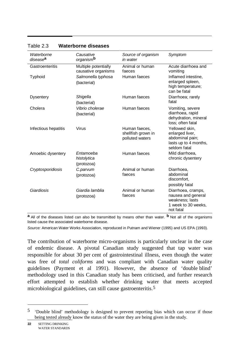| Waterborne<br>disease <sup>a</sup> | Causative<br>organism <sup>b</sup>          | Source of organism<br>in water                         | Symptom                                                                                         |
|------------------------------------|---------------------------------------------|--------------------------------------------------------|-------------------------------------------------------------------------------------------------|
| Gastroenteritis                    | Multiple potentially<br>causative organisms | Animal or human<br>faeces                              | Acute diarrhoea and<br>vomiting                                                                 |
| <b>Typhoid</b>                     | Salmonella typhosa<br>(bacterial)           | Human faeces                                           | Inflamed intestine,<br>enlarged spleen,<br>high temperature;<br>can be fatal                    |
| <b>Dysentery</b>                   | Shigella<br>(bacterial)                     | Human faeces                                           | Diarrhoea; rarely<br>fatal                                                                      |
| Cholera                            | Vibrio cholerae<br>(bacterial)              | Human faeces                                           | Vomiting, severe<br>diarrhoea, rapid<br>dehydration, mineral<br>loss; often fatal               |
| Infectious hepatitis               | Virus                                       | Human faeces,<br>shellfish grown in<br>polluted waters | Yellowed skin,<br>enlarged liver,<br>abdominal pain;<br>lasts up to 4 months,<br>seldom fatal   |
| Amoebic dysentery                  | Entamoeba<br>histolytica<br>(protozoa)      | Human faeces                                           | Mild diarrhoea,<br>chronic dysentery                                                            |
| Cryptosporidiosis                  | C.parvum<br>(protozoa)                      | Animal or human<br>faeces                              | Diarrhoea,<br>abdominal<br>discomfort,<br>possibly fatal                                        |
| Giardiosis                         | Giardia lamblia<br>(protozoa)               | Animal or human<br>faeces                              | Diarrhoea, cramps,<br>nausea and general<br>weakness; lasts<br>1 week to 30 weeks,<br>not fatal |

#### Table 2.3 **Waterborne diseases**

**a** All of the diseases listed can also be transmitted by means other than water. **b** Not all of the organisms listed cause the associated waterborne disease.

Source: American Water Works Association, reproduced in Putnam and Wiener (1995) and US EPA (1993).

The contribution of waterborne micro-organisms is particularly unclear in the case of endemic disease. A pivotal Canadian study suggested that tap water was responsible for about 30 per cent of gastrointestinal illness, even though the water was free of *total coliforms* and was compliant with Canadian water quality guidelines (Payment et al 1991). However, the absence of 'double blind' methodology used in this Canadian study has been criticised, and further research effort attempted to establish whether drinking water that meets accepted microbiological guidelines, can still cause gastroenteritis.5

 $\overline{a}$ 

<sup>5</sup> 'Double blind' methodology is designed to prevent reporting bias which can occur if those being tested already know the status of the water they are being given in the study.

**<sup>22</sup>** SETTING DRINKING WATER STANDARDS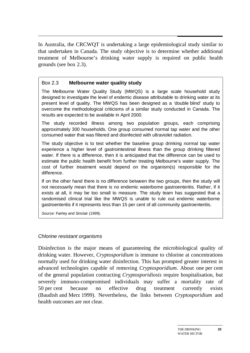In Australia, the CRCWQT is undertaking a large epidemiological study similar to that undertaken in Canada. The study objective is to determine whether additional treatment of Melbourne's drinking water supply is required on public health grounds (see box 2.3).

#### Box 2.3 **Melbourne water quality study**

The Melbourne Water Quality Study (MWQS) is a large scale household study designed to investigate the level of endemic disease attributable to drinking water at its present level of quality. The MWQS has been designed as a 'double blind' study to overcome the methodological criticisms of a similar study conducted in Canada. The results are expected to be available in April 2000.

The study recorded illness among two population groups, each comprising approximately 300 households. One group consumed normal tap water and the other consumed water that was filtered and disinfected with ultraviolet radiation.

The study objective is to test whether the baseline group drinking normal tap water experience a higher level of gastrointestinal illness than the group drinking filtered water. If there is a difference, then it is anticipated that the difference can be used to estimate the public health benefit from further treating Melbourne's water supply. The cost of further treatment would depend on the organism(s) responsible for the difference.

If on the other hand there is no difference between the two groups, then the study will not necessarily mean that there is no endemic waterborne gastroenteritis. Rather, if it exists at all, it may be too small to measure. The study team has suggested that a randomised clinical trial like the MWQS is unable to rule out endemic waterborne gastroenteritis if it represents less than 15 per cent of all community gastroenteritis.

Source: Fairley and Sinclair (1999).

#### Chlorine resistant organisms

Disinfection is the major means of guaranteeing the microbiological quality of drinking water. However, *Cryptosporidium* is immune to chlorine at concentrations normally used for drinking water disinfection. This has prompted greater interest in advanced technologies capable of removing *Cryptosporidium*. About one per cent of the general population contracting *Cryptosporidiosis* require hospitalisation, but severely immuno-compromised individuals may suffer a mortality rate of 50 per cent because no effective drug treatment currently exists (Baudish and Merz 1999). Nevertheless, the links between *Cryptosporidium* and health outcomes are not clear.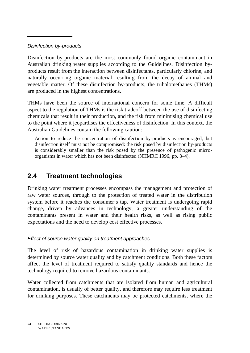### Disinfection by-products

Disinfection by-products are the most commonly found organic contaminant in Australian drinking water supplies according to the Guidelines. Disinfection byproducts result from the interaction between disinfectants, particularly chlorine, and naturally occurring organic material resulting from the decay of animal and vegetable matter. Of these disinfection by-products, the trihalomethanes (THMs) are produced in the highest concentrations.

THMs have been the source of international concern for some time. A difficult aspect to the regulation of THMs is the risk tradeoff between the use of disinfecting chemicals that result in their production, and the risk from minimising chemical use to the point where it jeopardises the effectiveness of disinfection. In this context, the Australian Guidelines contain the following caution:

Action to reduce the concentration of disinfection by-products is encouraged, but disinfection itself must not be compromised: the risk posed by disinfection by-products is considerably smaller than the risk posed by the presence of pathogenic microorganisms in water which has not been disinfected (NHMRC 1996, pp. 3–4).

# **2.4 Treatment technologies**

Drinking water treatment processes encompass the management and protection of raw water sources, through to the protection of treated water in the distribution system before it reaches the consumer's tap. Water treatment is undergoing rapid change, driven by advances in technology, a greater understanding of the contaminants present in water and their health risks, as well as rising public expectations and the need to develop cost effective processes.

# Effect of source water quality on treatment approaches

The level of risk of hazardous contamination in drinking water supplies is determined by source water quality and by catchment conditions. Both these factors affect the level of treatment required to satisfy quality standards and hence the technology required to remove hazardous contaminants.

Water collected from catchments that are isolated from human and agricultural contamination, is usually of better quality, and therefore may require less treatment for drinking purposes. These catchments may be protected catchments, where the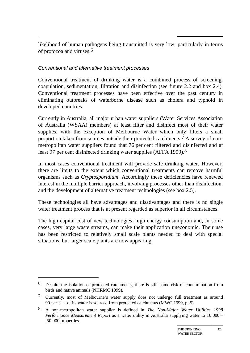likelihood of human pathogens being transmitted is very low, particularly in terms of protozoa and viruses.6

# Conventional and alternative treatment processes

Conventional treatment of drinking water is a combined process of screening, coagulation, sedimentation, filtration and disinfection (see figure 2.2 and box 2.4). Conventional treatment processes have been effective over the past century in eliminating outbreaks of waterborne disease such as cholera and typhoid in developed countries.

Currently in Australia, all major urban water suppliers (Water Services Association of Australia (WSAA) members) at least filter and disinfect most of their water supplies, with the exception of Melbourne Water which only filters a small proportion taken from sources outside their protected catchments.<sup>7</sup> A survey of nonmetropolitan water suppliers found that 76 per cent filtered and disinfected and at least 97 per cent disinfected drinking water supplies (AFFA 1999).<sup>8</sup>

In most cases conventional treatment will provide safe drinking water. However, there are limits to the extent which conventional treatments can remove harmful organisms such as *Cryptosporidium*. Accordingly these deficiencies have renewed interest in the multiple barrier approach, involving processes other than disinfection, and the development of alternative treatment technologies (see box 2.5).

These technologies all have advantages and disadvantages and there is no single water treatment process that is at present regarded as superior in all circumstances.

The high capital cost of new technologies, high energy consumption and, in some cases, very large waste streams, can make their application uneconomic. Their use has been restricted to relatively small scale plants needed to deal with special situations, but larger scale plants are now appearing.

 $\overline{a}$ 

<sup>6</sup> Despite the isolation of protected catchments, there is still some risk of contamination from birds and native animals (NHRMC 1999).

<sup>7</sup> Currently, most of Melbourne's water supply does not undergo full treatment as around 90 per cent of its water is sourced from protected catchments (MWC 1999, p. 5).

<sup>8</sup> A non-metropolitan water supplier is defined in *The Non-Major Water Utilities 1998 Performance Measurement Report* as a water utility in Australia supplying water to 10 000 – 50 000 properties.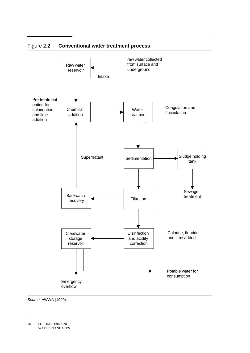

Figure 2.2 **Conventional water treatment process**

Source: AWWA (1990).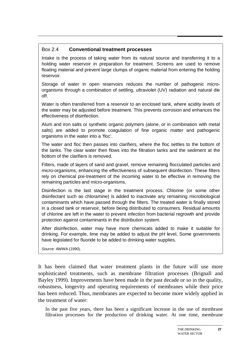### Box 2.4 **Conventional treatment processes**

Intake is the process of taking water from its natural source and transferring it to a holding water reservoir in preparation for treatment. Screens are used to remove floating material and prevent large clumps of organic material from entering the holding reservoir.

Storage of water in open reservoirs reduces the number of pathogenic microorganisms through a combination of settling, ultraviolet (UV) radiation and natural die off.

Water is often transferred from a reservoir to an enclosed tank, where acidity levels of the water may be adjusted before treatment. This prevents corrosion and enhances the effectiveness of disinfection.

Alum and iron salts or synthetic organic polymers (alone, or in combination with metal salts) are added to promote coagulation of fine organic matter and pathogenic organisms in the water into a 'floc'.

The water and floc then passes into clarifiers, where the floc settles to the bottom of the tanks. The clear water then flows into the filtration tanks and the sediment at the bottom of the clarifiers is removed.

Filters, made of layers of sand and gravel, remove remaining flocculated particles and micro-organisms, enhancing the effectiveness of subsequent disinfection. These filters rely on chemical pre-treatment of the incoming water to be effective in removing the remaining particles and micro-organisms.

Disinfection is the last stage in the treatment process. Chlorine (or some other disinfectant such as chloramine) is added to inactivate any remaining microbiological contaminants which have passed through the filters. The treated water is finally stored in a closed tank or reservoir, before being distributed to consumers. Residual amounts of chlorine are left in the water to prevent infection from bacterial regrowth and provide protection against contaminants in the distribution system.

After disinfection, water may have more chemicals added to make it suitable for drinking. For example, lime may be added to adjust the pH level. Some governments have legislated for fluoride to be added to drinking water supplies.

Source: AWWA (1990).

It has been claimed that water treatment plants in the future will use more sophisticated treatments, such as membrane filtration processes (Brignall and Bayley 1999)*.* Improvements have been made in the past decade or so in the quality, robustness, longevity and operating requirements of membranes while their price has been reduced. Thus, membranes are expected to become more widely applied in the treatment of water:

In the past five years, there has been a significant increase in the use of membrane filtration processes for the production of drinking water. At one time, membrane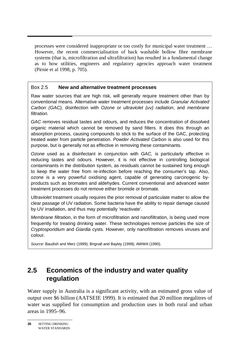processes were considered inappropriate or too costly for municipal water treatment … However, the recent commercialisation of back washable hollow fibre membrane systems (that is, microfiltration and ultrafiltration) has resulted in a fundamental change as to how utilities, engineers and regulatory agencies approach water treatment (Pirnie et al 1998, p. 705).

#### Box 2.5 **New and alternative treatment processes**

Raw water sources that are high risk, will generally require treatment other than by conventional means. Alternative water treatment processes include Granular Activated Carbon (GAC), disinfection with Ozone or ultraviolet (uv) radiation, and membrane filtration.

GAC removes residual tastes and odours, and reduces the concentration of dissolved organic material which cannot be removed by sand filters. It does this through an absorption process, causing compounds to stick to the surface of the GAC, protecting treated water from particle penetration. Powder Activated Carbon is also used for this purpose, but is generally not as effective in removing these contaminants.

Ozone used as a disinfectant in conjunction with GAC, is particularly effective in reducing tastes and odours. However, it is not effective in controlling biological contaminants in the distribution system, as residuals cannot be sustained long enough to keep the water free from re-infection before reaching the consumer's tap. Also, ozone is a very powerful oxidising agent, capable of generating carcinogenic byproducts such as bromates and aldehydes. Current conventional and advanced water treatment processes do not remove either bromide or bromate.

Ultraviolet treatment usually requires the prior removal of particulate matter to allow the clear passage of UV radiation. Some bacteria have the ability to repair damage caused by UV irradiation, and thus may potentially 'reactivate'.

Membrane filtration, in the form of microfiltration and nanofiltration, is being used more frequently for treating drinking water. These technologies remove particles the size of Cryptosporidium and Giardia cysts. However, only nanofiltration removes viruses and colour.

Source: Baudish and Merz (1999); Brignall and Bayley (1999); AWWA (1990).

# **2.5 Economics of the industry and water quality regulation**

Water supply in Australia is a significant activity, with an estimated gross value of output over \$6 billion (AATSEIE 1999). It is estimated that 20 million megalitres of water was supplied for consumption and production uses in both rural and urban areas in 1995–96.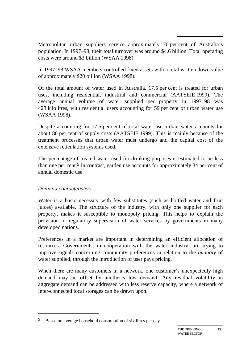Metropolitan urban suppliers service approximately 70 per cent of Australia's population. In 1997–98, their total turnover was around \$4.6 billion. Total operating costs were around \$3 billion (WSAA 1998).

In 1997–98 WSAA members controlled fixed assets with a total written down value of approximately \$20 billion (WSAA 1998).

Of the total amount of water used in Australia, 17.5 per cent is treated for urban uses, including residential, industrial and commercial (AATSEIE 1999). The average annual volume of water supplied per property in 1997–98 was 423 kilolitres, with residential users accounting for 59 per cent of urban water use (WSAA 1998).

Despite accounting for 17.5 per cent of total water use, urban water accounts for about 80 per cent of supply costs (AATSEIE 1999). This is mainly because of the treatment processes that urban water must undergo and the capital cost of the extensive reticulation systems used.

The percentage of treated water used for drinking purposes is estimated to be less than one per cent.<sup>9</sup> In contrast, garden use accounts for approximately 34 per cent of annual domestic use.

# Demand characteristics

 $\overline{a}$ 

Water is a basic necessity with few substitutes (such as bottled water and fruit juices) available. The structure of the industry, with only one supplier for each property, makes it susceptible to monopoly pricing. This helps to explain the provision or regulatory supervision of water services by governments in many developed nations.

Preferences in a market are important in determining an efficient allocation of resources. Governments, in cooperation with the water industry, are trying to improve signals concerning community preferences in relation to the *quantity* of water supplied, through the introduction of user pays pricing.

When there are many customers in a network, one customer's unexpectedly high demand may be offset by another's low demand. Any residual volatility in aggregate demand can be addressed with less reserve capacity, where a network of inter-connected local storages can be drawn upon.

<sup>9</sup> Based on average household consumption of six litres per day.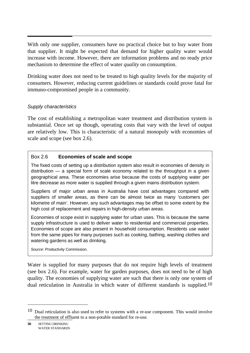With only one supplier, consumers have no practical choice but to buy water from that supplier. It might be expected that demand for higher quality water would increase with income. However, there are information problems and no ready price mechanism to determine the effect of water *quality* on consumption.

Drinking water does not need to be treated to high quality levels for the majority of consumers. However, reducing current guidelines or standards could prove fatal for immuno-compromised people in a community.

### Supply characteristics

The cost of establishing a metropolitan water treatment and distribution system is substantial. Once set up though, operating costs that vary with the level of output are relatively low. This is characteristic of a natural monopoly with economies of scale and scope (see box 2.6).

### Box 2.6 **Economies of scale and scope**

The fixed costs of setting up a distribution system also result in economies of density in distribution — a special form of scale economy related to the throughput in a given geographical area. These economies arise because the costs of supplying water per litre decrease as more water is supplied through a given mains distribution system.

Suppliers of major urban areas in Australia have cost advantages compared with suppliers of smaller areas, as there can be almost twice as many 'customers per kilometre of main'. However, any such advantages may be offset to some extent by the high cost of replacement and repairs in high-density urban areas.

Economies of scope exist in supplying water for urban uses. This is because the same supply infrastructure is used to deliver water to residential and commercial properties. Economies of scope are also present in household consumption. Residents use water from the same pipes for many purposes such as cooking, bathing, washing clothes and watering gardens as well as drinking.

Source: Productivity Commission.

Water is supplied for many purposes that do not require high levels of treatment (see box 2.6). For example, water for garden purposes, does not need to be of high quality. The economies of supplying water are such that there is only one system of dual reticulation in Australia in which water of different standards is supplied.10

 $\overline{a}$ 

<sup>10</sup> Dual reticulation is also used to refer to systems with a re-use component. This would involve the treatment of effluent to a non-potable standard for re-use.

**<sup>30</sup>** SETTING DRINKING WATER STANDARDS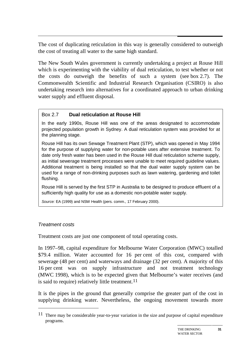The cost of duplicating reticulation in this way is generally considered to outweigh the cost of treating all water to the same high standard.

The New South Wales government is currently undertaking a project at Rouse Hill which is experimenting with the viability of dual reticulation, to test whether or not the costs do outweigh the benefits of such a system (see box 2.7). The Commonwealth Scientific and Industrial Research Organisation (CSIRO) is also undertaking research into alternatives for a coordinated approach to urban drinking water supply and effluent disposal.

### Box 2.7 **Dual reticulation at Rouse Hill**

In the early 1990s, Rouse Hill was one of the areas designated to accommodate projected population growth in Sydney. A dual reticulation system was provided for at the planning stage.

Rouse Hill has its own Sewage Treatment Plant (STP), which was opened in May 1994 for the purpose of supplying water for non-potable uses after extensive treatment. To date only fresh water has been used in the Rouse Hill dual reticulation scheme supply, as initial sewerage treatment processes were unable to meet required guideline values. Additional treatment is being installed so that the dual water supply system can be used for a range of non-drinking purposes such as lawn watering, gardening and toilet flushing.

Rouse Hill is served by the first STP in Australia to be designed to produce effluent of a sufficiently high quality for use as a domestic non-potable water supply.

Source: EA (1999) and NSW Health (pers. comm., 17 February 2000).

#### Treatment costs

 $\overline{a}$ 

Treatment costs are just one component of total operating costs.

In 1997–98, capital expenditure for Melbourne Water Corporation (MWC) totalled \$79.4 million. Water accounted for 16 per cent of this cost, compared with sewerage (48 per cent) and waterways and drainage (32 per cent). A majority of this 16 per cent was on supply infrastructure and not treatment technology (MWC 1998), which is to be expected given that Melbourne's water receives (and is said to require) relatively little treatment.<sup>11</sup>

It is the pipes in the ground that generally comprise the greater part of the cost in supplying drinking water. Nevertheless, the ongoing movement towards more

<sup>&</sup>lt;sup>11</sup> There may be considerable year-to-year variation in the size and purpose of capital expenditure programs.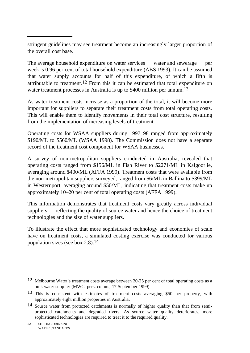stringent guidelines may see treatment become an increasingly larger proportion of the overall cost base.

The average household expenditure on water services — water and sewerage — per week is 0.96 per cent of total household expenditure (ABS 1993). It can be assumed that water supply accounts for half of this expenditure, of which a fifth is attributable to treatment.<sup>12</sup> From this it can be estimated that total expenditure on water treatment processes in Australia is up to \$400 million per annum.<sup>13</sup>

As water treatment costs increase as a proportion of the total, it will become more important for suppliers to separate their treatment costs from total operating costs. This will enable them to identify movements in their total cost structure, resulting from the implementation of increasing levels of treatment.

Operating costs for WSAA suppliers during 1997–98 ranged from approximately \$190/ML to \$560/ML (WSAA 1998). The Commission does not have a separate record of the treatment cost component for WSAA businesses.

A survey of non-metropolitan suppliers conducted in Australia, revealed that operating costs ranged from \$156/ML in Fish River to \$2271/ML in Kalgoorlie, averaging around \$400/ML (AFFA 1999). Treatment costs that were available from the non-metropolitan suppliers surveyed, ranged from \$6/ML in Ballina to \$399/ML in Westernport, averaging around \$50/ML, indicating that treatment costs make up approximately 10–20 per cent of total operating costs (AFFA 1999).

This information demonstrates that treatment costs vary greatly across individual suppliers — reflecting the quality of source water and hence the choice of treatment technologies and the size of water suppliers.

To illustrate the effect that more sophisticated technology and economies of scale have on treatment costs, a simulated costing exercise was conducted for various population sizes (see box  $2.8$ ).<sup>14</sup>

 $\overline{a}$ 

<sup>12</sup> Melbourne Water's treatment costs average between 20-25 per cent of total operating costs as a bulk water supplier (MWC, pers. comm., 17 September 1999).

<sup>13</sup> This is consistent with estimates of treatment costs averaging \$50 per property, with approximately eight million properties in Australia.

<sup>14</sup> Source water from protected catchments is normally of higher quality than that from semiprotected catchments and degraded rivers. As source water quality deteriorates, more sophisticated technologies are required to treat it to the required quality.

**<sup>32</sup>** SETTING DRINKING WATER STANDARDS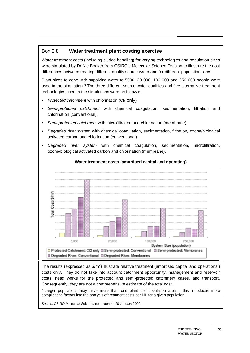#### Box 2.8 **Water treatment plant costing exercise**

Water treatment costs (including sludge handling) for varying technologies and population sizes were simulated by Dr Nic Booker from CSIRO's Molecular Science Division to illustrate the cost differences between treating different quality source water and for different population sizes.

Plant sizes to cope with supplying water to 5000, 20 000, 100 000 and 250 000 people were used in the simulation.**a** The three different source water qualities and five alternative treatment technologies used in the simulations were as follows:

- Protected catchment with chlorination  $(C_2$  only).
- Semi-protected catchment with chemical coagulation, sedimentation, filtration and chlorination (conventional).
- Semi-protected catchment with microfiltration and chlorination (membrane).
- Degraded river system with chemical coagulation, sedimentation, filtration, ozone/biological activated carbon and chlorination (conventional).
- Degraded river system with chemical coagulation, sedimentation, microfiltration, ozone/biological activated carbon and chlorination (membrane).



#### **Water treatment costs (amortised capital and operating)**

The results (expressed as  $\$/m^3$ ) illustrate relative treatment (amortised capital and operational) costs only. They do not take into account catchment opportunity, management and reservoir costs, head works for the protected and semi-protected catchment cases, and transport. Consequently, they are not a comprehensive estimate of the total cost.

**a** Larger populations may have more than one plant per population area – this introduces more complicating factors into the analysis of treatment costs per ML for a given population.

Source: CSIRO Molecular Science, pers. comm., 20 January 2000.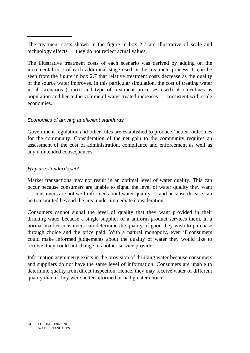The treatment costs shown in the figure in box 2.7 are illustrative of scale and technology effects — they do not reflect actual values.

The illustrative treatment costs of each scenario was derived by adding on the incremental cost of each additional stage used in the treatment process. It can be seen from the figure in box 2.7 that relative treatment costs decrease as the quality of the source water improves. In this particular simulation, the cost of treating water in all scenarios (source and type of treatment processes used) also declines as population and hence the volume of water treated increases — consistent with scale economies.

# Economics of arriving at efficient standards

Government regulation and other rules are established to produce 'better' outcomes for the community. Consideration of the net gain to the community requires an assessment of the cost of administration, compliance and enforcement as well as any unintended consequences.

# *Why are standards set?*

Market transactions may not result in an optimal level of water quality. This can occur because consumers are unable to signal the level of water quality they want — consumers are not well informed about water quality — and because disease can be transmitted beyond the area under immediate consideration.

Consumers cannot signal the level of quality that they want provided in their drinking water because a single supplier of a uniform product services them. In a normal market consumers can determine the quality of good they wish to purchase through choice and the price paid. With a natural monopoly, even if consumers could make informed judgements about the quality of water they would like to receive, they could not change to another service provider.

Information asymmetry exists in the provision of drinking water because consumers and suppliers do not have the same level of information. Consumers are unable to determine quality from direct inspection. Hence, they may receive water of different quality than if they were better informed or had greater choice.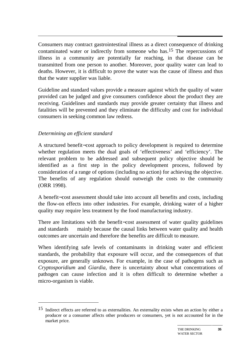Consumers may contract gastrointestinal illness as a direct consequence of drinking contaminated water or indirectly from someone who has.<sup>15</sup> The repercussions of illness in a community are potentially far reaching, in that disease can be transmitted from one person to another. Moreover, poor quality water can lead to deaths. However, it is difficult to prove the water was the cause of illness and thus that the water supplier was liable.

Guideline and standard values provide a measure against which the quality of water provided can be judged and give consumers confidence about the product they are receiving. Guidelines and standards may provide greater certainty that illness and fatalities will be prevented and they eliminate the difficulty and cost for individual consumers in seeking common law redress.

# *Determining an efficient standard*

 $\overline{a}$ 

A structured benefit−cost approach to policy development is required to determine whether regulation meets the dual goals of 'effectiveness' and 'efficiency'. The relevant problem to be addressed and subsequent policy objective should be identified as a first step in the policy development process, followed by consideration of a range of options (including no action) for achieving the objective. The benefits of any regulation should outweigh the costs to the community (ORR 1998).

A benefit−cost assessment should take into account all benefits and costs, including the flow-on effects into other industries. For example, drinking water of a higher quality may require less treatment by the food manufacturing industry.

There are limitations with the benefit−cost assessment of water quality guidelines and standards — mainly because the causal links between water quality and health outcomes are uncertain and therefore the benefits are difficult to measure.

When identifying safe levels of contaminants in drinking water and efficient standards, the probability that exposure will occur, and the consequences of that exposure, are generally unknown. For example, in the case of pathogens such as *Cryptosporidium* and *Giardia*, there is uncertainty about what concentrations of pathogen can cause infection and it is often difficult to determine whether a micro-organism is viable.

<sup>15</sup> Indirect effects are referred to as externalities. An externality exists when an action by either a producer or a consumer affects other producers or consumers, yet is not accounted for in the market price.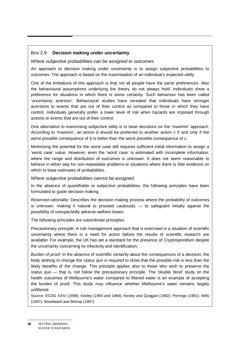#### Box 2.9 **Decision making under uncertainty**

#### Where subjective probabilities can be assigned to outcomes

An approach to decision making under uncertainty is to assign subjective probabilities to outcomes. The approach is based on the maximisation of an individual's expected utility.

One of the limitations of this approach is that not all people have the same preferences. Also the behavioural assumptions underlying the theory do not always hold. Individuals show a preference for situations in which there is some certainty. Such behaviour has been called 'uncertainty aversion'. Behavioural studies have revealed that individuals have stronger aversions to events that are out of their control as compared to those in which they have control. Individuals generally prefer a lower level of risk when hazards are imposed through actions or events that are out of their control.

One alternative to maximising subjective utility is to base decisions on the 'maximin' approach. According to 'maximin', an action  $b$  should be preferred to another action  $c$  if and only if the worst possible consequence of b is better than the worst possible consequence of c.

Minimising the potential for the worst case still requires sufficient initial information to assign a 'worst case' value. However, even the 'worst case' is estimated with incomplete information, where the range and distribution of outcomes is unknown. It does not seem reasonable to behave in either way for non-repeatable problems or situations where there is little evidence on which to base estimates of probabilities.

Where subjective probabilities cannot be assigned

In the absence of quantifiable or subjective probabilities. the following principles have been formulated to quide decision making.

Reserved rationality: Describes the decision making process where the probability of outcomes is unknown, making it natural to proceed cautiously  $-$  to safeguard initially against the possibility of unexpectedly adverse welfare losses.

The following principles are subordinate principles.

Precautionary principle: A risk management approach that is exercised in a situation of scientific uncertainty where there is a need for action before the results of scientific research are available. For example, the UK has set a standard for the presence of Cryptosporidium despite the uncertainty concerning its infectivity and identification.

Burden of proof: In the absence of scientific certainty about the consequences of a decision, the body wishing to change the status quo is required to show that the possible risk is less than the likely benefits of the change. This principle applies also to those who wish to preserve the status quo — that is, not follow the precautionary principle. The 'double blind' study on the health outcomes of Melbourne's water compared to filtered water is an example of accepting the burden of proof. This study may influence whether Melbourne's water remains largely unfiltered.

Source: ECDG XXIV (1998); Kesley (1993 and 1994); Kesley and Quiggan (1992); Perrings (1991); Wills (1997); Woodward and Bishop (1997).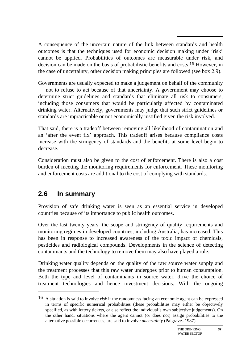A consequence of the uncertain nature of the link between standards and health outcomes is that the techniques used for economic decision making under 'risk' cannot be applied. Probabilities of outcomes are measurable under risk, and decision can be made on the basis of probabilistic benefits and costs.16 However, in the case of uncertainty, other decision making principles are followed (see box 2.9).

Governments are usually expected to make a judgement on behalf of the community not to refuse to act because of that uncertainty. A government may choose to determine strict guidelines and standards that eliminate all risk to consumers, including those consumers that would be particularly affected by contaminated drinking water. Alternatively, governments may judge that such strict guidelines or standards are impracticable or not economically justified given the risk involved.

That said, there is a tradeoff between removing all likelihood of contamination and an 'after the event fix' approach. This tradeoff arises because compliance costs increase with the stringency of standards and the benefits at some level begin to decrease.

Consideration must also be given to the cost of enforcement. There is also a cost burden of meeting the monitoring requirements for enforcement. These monitoring and enforcement costs are additional to the cost of complying with standards.

# **2.6 In summary**

 $\overline{a}$ 

Provision of safe drinking water is seen as an essential service in developed countries because of its importance to public health outcomes.

Over the last twenty years, the scope and stringency of quality requirements and monitoring regimes in developed countries, including Australia, has increased. This has been in response to increased awareness of the toxic impact of chemicals, pesticides and radiological compounds. Developments in the science of detecting contaminants and the technology to remove them may also have played a role.

Drinking water quality depends on the quality of the raw source water supply and the treatment processes that this raw water undergoes prior to human consumption. Both the type and level of contaminants in source water, drive the choice of treatment technologies and hence investment decisions. With the ongoing

<sup>16</sup> A situation is said to involve *risk* if the randomness facing an economic agent can be expressed in terms of specific numerical probabilities (these probabilities may either be objectively specified, as with lottery tickets, or else reflect the individual's own subjective judgements). On the other hand, situations where the agent cannot (or does not) assign probabilities to the alternative possible occurrences, are said to involve *uncertainty* (Palgraves 1987).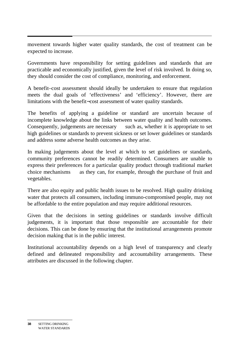movement towards higher water quality standards, the cost of treatment can be expected to increase.

Governments have responsibility for setting guidelines and standards that are practicable and economically justified, given the level of risk involved. In doing so, they should consider the cost of compliance, monitoring, and enforcement.

A benefit–cost assessment should ideally be undertaken to ensure that regulation meets the dual goals of 'effectiveness' and 'efficiency'. However, there are limitations with the benefit−cost assessment of water quality standards.

The benefits of applying a guideline or standard are uncertain because of incomplete knowledge about the links between water quality and health outcomes. Consequently, judgements are necessary — such as, whether it is appropriate to set high guidelines or standards to prevent sickness or set lower guidelines or standards and address some adverse health outcomes as they arise.

In making judgements about the level at which to set guidelines or standards, community preferences cannot be readily determined. Consumers are unable to express their preferences for a particular quality product through traditional market choice mechanisms  $\frac{a}{b}$  as they can, for example, through the purchase of fruit and vegetables.

There are also equity and public health issues to be resolved. High quality drinking water that protects all consumers, including immuno-compromised people, may not be affordable to the entire population and may require additional resources.

Given that the decisions in setting guidelines or standards involve difficult judgements, it is important that those responsible are accountable for their decisions. This can be done by ensuring that the institutional arrangements promote decision making that is in the public interest.

Institutional accountability depends on a high level of transparency and clearly defined and delineated responsibility and accountability arrangements. These attributes are discussed in the following chapter.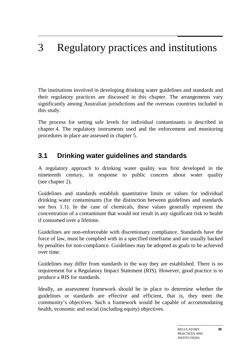# 3 Regulatory practices and institutions

The institutions involved in developing drinking water guidelines and standards and their regulatory practices are discussed in this chapter. The arrangements vary significantly among Australian jurisdictions and the overseas countries included in this study.

The process for setting safe levels for individual contaminants is described in chapter 4. The regulatory instruments used and the enforcement and monitoring procedures in place are assessed in chapter 5.

# **3.1 Drinking water guidelines and standards**

A regulatory approach to drinking water quality was first developed in the nineteenth century, in response to public concern about water quality (see chapter 2).

Guidelines and standards establish quantitative limits or values for individual drinking water contaminants (for the distinction between guidelines and standards see box 1.1). In the case of chemicals, these values generally represent the concentration of a contaminant that would not result in any significant risk to health if consumed over a lifetime.

Guidelines are non-enforceable with discretionary compliance. Standards have the force of law, must be complied with in a specified timeframe and are usually backed by penalties for non-compliance. Guidelines may be adopted as goals to be achieved over time.

Guidelines may differ from standards in the way they are established. There is no requirement for a Regulatory Impact Statement (RIS). However, good practice is to produce a RIS for standards.

Ideally, an assessment framework should be in place to determine whether the guidelines or standards are effective and efficient, that is, they meet the community's objectives. Such a framework would be capable of accommodating health, economic and social (including equity) objectives.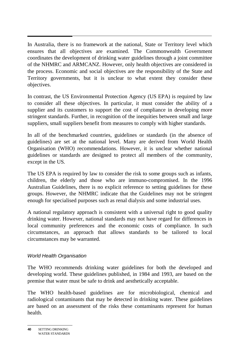In Australia, there is no framework at the national, State or Territory level which ensures that all objectives are examined. The Commonwealth Government coordinates the development of drinking water guidelines through a joint committee of the NHMRC and ARMCANZ. However, only health objectives are considered in the process. Economic and social objectives are the responsibility of the State and Territory governments, but it is unclear to what extent they consider these objectives.

In contrast, the US Environmental Protection Agency (US EPA) is required by law to consider all these objectives. In particular, it must consider the ability of a supplier and its customers to support the cost of compliance in developing more stringent standards. Further, in recognition of the inequities between small and large suppliers, small suppliers benefit from measures to comply with higher standards.

In all of the benchmarked countries, guidelines or standards (in the absence of guidelines) are set at the national level. Many are derived from World Health Organisation (WHO) recommendations. However, it is unclear whether national guidelines or standards are designed to protect all members of the community, except in the US.

The US EPA is required by law to consider the risk to some groups such as infants, children, the elderly and those who are immuno-compromised. In the 1996 Australian Guidelines, there is no explicit reference to setting guidelines for these groups. However, the NHMRC indicate that the Guidelines may not be stringent enough for specialised purposes such as renal dialysis and some industrial uses.

A national regulatory approach is consistent with a universal right to good quality drinking water. However, national standards may not have regard for differences in local community preferences and the economic costs of compliance. In such circumstances, an approach that allows standards to be tailored to local circumstances may be warranted.

## World Health Organisation

The WHO recommends drinking water guidelines for both the developed and developing world. These guidelines published, in 1984 and 1993, are based on the premise that water must be safe to drink and aesthetically acceptable.

The WHO health-based guidelines are for microbiological, chemical and radiological contaminants that may be detected in drinking water. These guidelines are based on an assessment of the risks these contaminants represent for human health.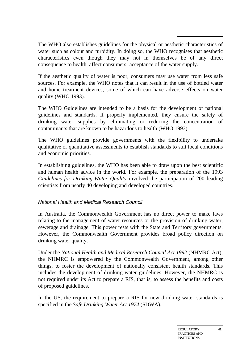The WHO also establishes guidelines for the physical or aesthetic characteristics of water such as colour and turbidity. In doing so, the WHO recognises that aesthetic characteristics even though they may not in themselves be of any direct consequence to health, affect consumers' acceptance of the water supply.

If the aesthetic quality of water is poor, consumers may use water from less safe sources. For example, the WHO notes that it can result in the use of bottled water and home treatment devices, some of which can have adverse effects on water quality (WHO 1993).

The WHO Guidelines are intended to be a basis for the development of national guidelines and standards. If properly implemented, they ensure the safety of drinking water supplies by eliminating or reducing the concentration of contaminants that are known to be hazardous to health (WHO 1993).

The WHO guidelines provide governments with the flexibility to undertake qualitative or quantitative assessments to establish standards to suit local conditions and economic priorities.

In establishing guidelines, the WHO has been able to draw upon the best scientific and human health advice in the world. For example, the preparation of the 1993 *Guidelines for Drinking-Water Quality* involved the participation of 200 leading scientists from nearly 40 developing and developed countries.

## National Health and Medical Research Council

In Australia, the Commonwealth Government has no direct power to make laws relating to the management of water resources or the provision of drinking water, sewerage and drainage. This power rests with the State and Territory governments. However, the Commonwealth Government provides broad policy direction on drinking water quality.

Under the *National Health and Medical Research Council Act 1992* (NHMRC Act), the NHMRC is empowered by the Commonwealth Government, among other things, to foster the development of nationally consistent health standards. This includes the development of drinking water guidelines. However, the NHMRC is not required under its Act to prepare a RIS, that is, to assess the benefits and costs of proposed guidelines.

In the US, the requirement to prepare a RIS for new drinking water standards is specified in the *Safe Drinking Water Act 1974* (SDWA).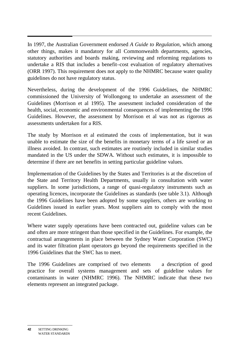In 1997, the Australian Government endorsed *A Guide to Regulation*, which among other things, makes it mandatory for all Commonwealth departments, agencies, statutory authorities and boards making, reviewing and reforming regulations to undertake a RIS that includes a benefit–cost evaluation of regulatory alternatives (ORR 1997). This requirement does not apply to the NHMRC because water quality guidelines do not have regulatory status.

Nevertheless, during the development of the 1996 Guidelines, the NHMRC commissioned the University of Wollongong to undertake an assessment of the Guidelines (Morrison et al 1995). The assessment included consideration of the health, social, economic and environmental consequences of implementing the 1996 Guidelines. However, the assessment by Morrison et al was not as rigorous as assessments undertaken for a RIS.

The study by Morrison et al estimated the costs of implementation, but it was unable to estimate the size of the benefits in monetary terms of a life saved or an illness avoided. In contrast, such estimates are routinely included in similar studies mandated in the US under the SDWA. Without such estimates, it is impossible to determine if there are net benefits in setting particular guideline values.

Implementation of the Guidelines by the States and Territories is at the discretion of the State and Territory Health Departments, usually in consultation with water suppliers. In some jurisdictions, a range of quasi-regulatory instruments such as operating licences, incorporate the Guidelines as standards (see table 3.1). Although the 1996 Guidelines have been adopted by some suppliers, others are working to Guidelines issued in earlier years. Most suppliers aim to comply with the most recent Guidelines.

Where water supply operations have been contracted out, guideline values can be and often are more stringent than those specified in the Guidelines. For example, the contractual arrangements in place between the Sydney Water Corporation (SWC) and its water filtration plant operators go beyond the requirements specified in the 1996 Guidelines that the SWC has to meet.

The 1996 Guidelines are comprised of two elements  $\overline{\phantom{a}}$  a description of good practice for overall systems management and sets of guideline values for contaminants in water (NHMRC 1996). The NHMRC indicate that these two elements represent an integrated package.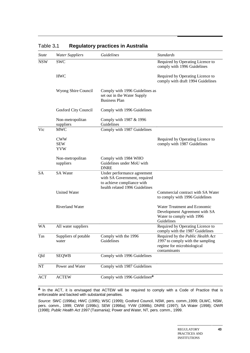| <b>State</b> | <b>Water Suppliers</b>                 | <b>Guidelines</b>                                                                                                           | <b>Standards</b>                                                                                                    |
|--------------|----------------------------------------|-----------------------------------------------------------------------------------------------------------------------------|---------------------------------------------------------------------------------------------------------------------|
| <b>NSW</b>   | <b>SWC</b>                             |                                                                                                                             | Required by Operating Licence to<br>comply with 1996 Guidelines                                                     |
|              | <b>HWC</b>                             |                                                                                                                             | Required by Operating Licence to<br>comply with draft 1994 Guidelines                                               |
|              | Wyong Shire Council                    | Comply with 1996 Guidelines as<br>set out in the Water Supply<br><b>Business Plan</b>                                       |                                                                                                                     |
|              | Gosford City Council                   | Comply with 1996 Guidelines                                                                                                 |                                                                                                                     |
|              | Non-metropolitan<br>suppliers          | Comply with 1987 & 1996<br>Guidelines                                                                                       |                                                                                                                     |
| Vic          | <b>MWC</b>                             | Comply with 1987 Guidelines                                                                                                 |                                                                                                                     |
|              | <b>CWW</b><br><b>SEW</b><br><b>YVW</b> |                                                                                                                             | Required by Operating Licence to<br>comply with 1987 Guidelines                                                     |
|              | Non-metropolitan<br>suppliers          | Comply with 1984 WHO<br>Guidelines under MoU with<br><b>DNRE</b>                                                            |                                                                                                                     |
| <b>SA</b>    | SA Water                               | Under performance agreement<br>with SA Government, required<br>to achieve compliance with<br>health related 1996 Guidelines |                                                                                                                     |
|              | <b>United Water</b>                    |                                                                                                                             | Commercial contract with SA Water<br>to comply with 1996 Guidelines                                                 |
|              | Riverland Water                        |                                                                                                                             | Water Treatment and Economic<br>Development Agreement with SA<br>Water to comply with 1996<br>Guidelines            |
| <b>WA</b>    | All water suppliers                    |                                                                                                                             | Required by Operating Licence to<br>comply with the 1987 Guidelines                                                 |
| $\rm{ Tas}$  | Suppliers of potable<br>water          | Comply with the 1996<br>Guidelines                                                                                          | Required by the Public Health Act<br>1997 to comply with the sampling<br>regime for microbiological<br>contaminants |
| Qld          | <b>SEQWB</b>                           | Comply with 1996 Guidelines                                                                                                 |                                                                                                                     |
| NT           | Power and Water                        | Comply with 1987 Guidelines                                                                                                 |                                                                                                                     |
| <b>ACT</b>   | <b>ACTEW</b>                           | Comply with 1996 Guidelines <sup>a</sup>                                                                                    |                                                                                                                     |

#### Table 3**.**1 **Regulatory practices in Australia**

**a** In the ACT, it is envisaged that ACTEW will be required to comply with a Code of Practice that is enforceable and backed with substantial penalties.

Source: SWC (1998a); HWC (1995); WSC (1999); Gosford Council, NSW, pers. comm.,1999; DLWC, NSW, pers. comm., 1999; CWW (1998c); SEW (1998a); YVW (1998b); DNRE (1997); SA Water (1998); OWR (1998); Public Health Act 1997 (Tasmania); Power and Water, NT, pers. comm., 1999.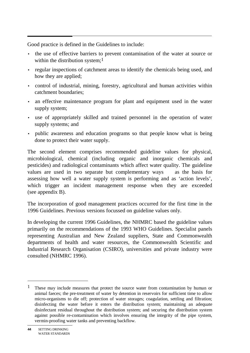Good practice is defined in the Guidelines to include:

- the use of effective barriers to prevent contamination of the water at source or within the distribution system;<sup>1</sup>
- regular inspections of catchment areas to identify the chemicals being used, and how they are applied;
- control of industrial, mining, forestry, agricultural and human activities within catchment boundaries;
- an effective maintenance program for plant and equipment used in the water supply system;
- use of appropriately skilled and trained personnel in the operation of water supply systems; and
- public awareness and education programs so that people know what is being done to protect their water supply.

The second element comprises recommended guideline values for physical, microbiological, chemical (including organic and inorganic chemicals and pesticides) and radiological contaminants which affect water quality. The guideline values are used in two separate but complementary ways  $\frac{1}{x}$  as the basis for assessing how well a water supply system is performing and as 'action levels', which trigger an incident management response when they are exceeded (see appendix B).

The incorporation of good management practices occurred for the first time in the 1996 Guidelines. Previous versions focussed on guideline values only.

In developing the current 1996 Guidelines, the NHMRC based the guideline values primarily on the recommendations of the 1993 WHO Guidelines. Specialist panels representing Australian and New Zealand suppliers, State and Commonwealth departments of health and water resources, the Commonwealth Scientific and Industrial Research Organisation (CSIRO), universities and private industry were consulted (NHMRC 1996).

<sup>&</sup>lt;sup>1</sup> These may include measures that protect the source water from contamination by human or animal faeces; the pre-treatment of water by detention in reservoirs for sufficient time to allow micro-organisms to die off; protection of water storages; coagulation, settling and filtration; disinfecting the water before it enters the distribution system; maintaining an adequate disinfectant residual throughout the distribution system; and securing the distribution system against possible re-contamination which involves ensuring the integrity of the pipe system, vermin-proofing water tanks and preventing backflow.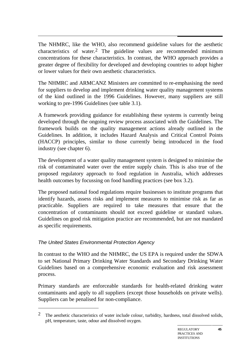The NHMRC, like the WHO, also recommend guideline values for the aesthetic characteristics of water.2 The guideline values are recommended minimum concentrations for these characteristics. In contrast, the WHO approach provides a greater degree of flexibility for developed and developing countries to adopt higher or lower values for their own aesthetic characteristics.

The NHMRC and ARMCANZ Ministers are committed to re-emphasising the need for suppliers to develop and implement drinking water quality management systems of the kind outlined in the 1996 Guidelines. However, many suppliers are still working to pre-1996 Guidelines (see table 3.1).

A framework providing guidance for establishing these systems is currently being developed through the ongoing review process associated with the Guidelines. The framework builds on the quality management actions already outlined in the Guidelines. In addition, it includes Hazard Analysis and Critical Control Points (HACCP) principles, similar to those currently being introduced in the food industry (see chapter 6).

The development of a water quality management system is designed to minimise the risk of contaminated water over the entire supply chain. This is also true of the proposed regulatory approach to food regulation in Australia, which addresses health outcomes by focussing on food handling practices (see box 3.2).

The proposed national food regulations require businesses to institute programs that identify hazards, assess risks and implement measures to minimise risk as far as practicable. Suppliers are required to take measures that ensure that the concentration of contaminants should not exceed guideline or standard values. Guidelines on good risk mitigation practice are recommended, but are not mandated as specific requirements.

# The United States Environmental Protection Agency

 $\overline{a}$ 

In contrast to the WHO and the NHMRC, the US EPA is required under the SDWA to set National Primary Drinking Water Standards and Secondary Drinking Water Guidelines based on a comprehensive economic evaluation and risk assessment process.

Primary standards are enforceable standards for health-related drinking water contaminants and apply to all suppliers (except those households on private wells). Suppliers can be penalised for non-compliance.

<sup>2</sup> The aesthetic characteristics of water include colour, turbidity, hardness, total dissolved solids, pH, temperature, taste, odour and dissolved oxygen.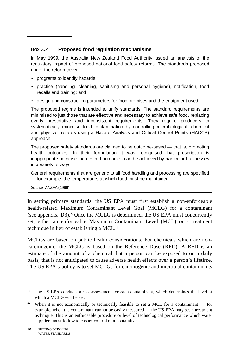#### Box 3**.**2 **Proposed food regulation mechanisms**

In May 1999, the Australia New Zealand Food Authority issued an analysis of the regulatory impact of proposed national food safety reforms. The standards proposed under the reform cover:

- programs to identify hazards;
- practice (handling, cleaning, sanitising and personal hygiene), notification, food recalls and training; and
- design and construction parameters for food premises and the equipment used.

The proposed regime is intended to unify standards. The standard requirements are minimised to just those that are effective and necessary to achieve safe food, replacing overly prescriptive and inconsistent requirements. They require producers to systematically minimise food contamination by controlling microbiological, chemical and physical hazards using a Hazard Analysis and Critical Control Points (HACCP) approach.

The proposed safety standards are claimed to be outcome-based — that is, promoting health outcomes. In their formulation it was recognised that prescription is inappropriate because the desired outcomes can be achieved by particular businesses in a variety of ways.

General requirements that are generic to all food handling and processing are specified — for example, the temperatures at which food must be maintained.

Source: ANZFA (1999).

In setting primary standards, the US EPA must first establish a non-enforceable health-related Maximum Contaminant Level Goal (MCLG) for a contaminant (see appendix  $D3$ ).<sup>3</sup> Once the MCLG is determined, the US EPA must concurrently set, either an enforceable Maximum Contaminant Level (MCL) or a treatment technique in lieu of establishing a MCL.4

MCLGs are based on public health considerations. For chemicals which are noncarcinogenic, the MCLG is based on the Reference Dose (RFD). A RFD is an estimate of the amount of a chemical that a person can be exposed to on a daily basis, that is not anticipated to cause adverse health effects over a person's lifetime. The US EPA's policy is to set MCLGs for carcinogenic and microbial contaminants

 $3$  The US EPA conducts a risk assessment for each contaminant, which determines the level at which a MCLG will be set.

<sup>&</sup>lt;sup>4</sup> When it is not economically or technically feasible to set a MCL for a contaminant  $-$  for example, when the contaminant cannot be easily measured — the US EPA may set a treatment technique. This is an enforceable procedure or level of technological performance which water suppliers must follow to ensure control of a contaminant.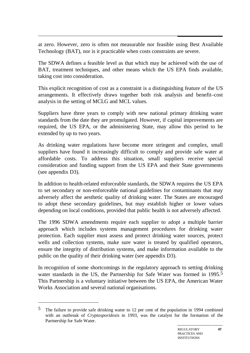at zero. However, zero is often not measurable nor feasible using Best Available Technology (BAT), nor is it practicable when costs constraints are severe.

The SDWA defines a feasible level as that which may be achieved with the use of BAT, treatment techniques, and other means which the US EPA finds available, taking cost into consideration.

This explicit recognition of cost as a constraint is a distinguishing feature of the US arrangements. It effectively draws together both risk analysis and benefit–cost analysis in the setting of MCLG and MCL values.

Suppliers have three years to comply with new national primary drinking water standards from the date they are promulgated. However, if capital improvements are required, the US EPA, or the administering State, may allow this period to be extended by up to two years.

As drinking water regulations have become more stringent and complex, small suppliers have found it increasingly difficult to comply and provide safe water at affordable costs. To address this situation, small suppliers receive special consideration and funding support from the US EPA and their State governments (see appendix D3).

In addition to health-related enforceable standards, the SDWA requires the US EPA to set secondary or non-enforceable national guidelines for contaminants that may adversely affect the aesthetic quality of drinking water. The States are encouraged to adopt these secondary guidelines, but may establish higher or lower values depending on local conditions, provided that public health is not adversely affected.

The 1996 SDWA amendments require each supplier to adopt a multiple barrier approach which includes systems management procedures for drinking water protection. Each supplier must assess and protect drinking water sources, protect wells and collection systems, make sure water is treated by qualified operators, ensure the integrity of distribution systems, and make information available to the public on the quality of their drinking water (see appendix D3).

In recognition of some shortcomings in the regulatory approach to setting drinking water standards in the US, the Partnership for Safe Water was formed in 1995.<sup>5</sup> This Partnership is a voluntary initiative between the US EPA, the American Water Works Association and several national organisations.

<sup>5</sup> The failure to provide safe drinking water to 12 per cent of the population in 1994 combined with an outbreak of *Cryptosporidosis* in 1993, was the catalyst for the formation of the Partnership for Safe Water.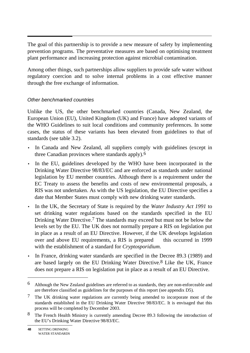The goal of this partnership is to provide a new measure of safety by implementing prevention programs. The preventative measures are based on optimising treatment plant performance and increasing protection against microbial contamination.

Among other things, such partnerships allow suppliers to provide safe water without regulatory coercion and to solve internal problems in a cost effective manner through the free exchange of information.

## Other benchmarked countries

Unlike the US, the other benchmarked countries (Canada, New Zealand, the European Union (EU), United Kingdom (UK) and France) have adopted variants of the WHO Guidelines to suit local conditions and community preferences. In some cases, the status of these variants has been elevated from guidelines to that of standards (see table 3.2).

- In Canada and New Zealand, all suppliers comply with guidelines (except in three Canadian provinces where standards apply).6
- In the EU, guidelines developed by the WHO have been incorporated in the Drinking Water Directive 98/83/EC and are enforced as standards under national legislation by EU member countries. Although there is a requirement under the EC Treaty to assess the benefits and costs of new environmental proposals, a RIS was not undertaken. As with the US legislation, the EU Directive specifies a date that Member States must comply with new drinking water standards.
- In the UK, the Secretary of State is required by the *Water Industry Act 1991* to set drinking water regulations based on the standards specified in the EU Drinking Water Directive.<sup>7</sup> The standards may exceed but must not be below the levels set by the EU. The UK does not normally prepare a RIS on legislation put in place as a result of an EU Directive. However, if the UK develops legislation over and above EU requirements, a RIS is prepared — this occurred in 1999 with the establishment of a standard for *Cryptosporidium*.
- In France, drinking water standards are specified in the Decree 89.3 (1989) and are based largely on the EU Drinking Water Directive.8 Like the UK, France does not prepare a RIS on legislation put in place as a result of an EU Directive.

<sup>6</sup> Although the New Zealand guidelines are referred to as standards, they are non-enforceable and are therefore classified as guidelines for the purposes of this report (see appendix D5).

<sup>7</sup> The UK drinking water regulations are currently being amended to incorporate most of the standards established in the EU Drinking Water Directive 98/83/EC. It is envisaged that this process will be completed by December 2003.

 $8$  The French Health Ministry is currently amending Decree 89.3 following the introduction of the EU's Drinking Water Directive 98/83/EC.

**<sup>48</sup>** SETTING DRINKING WATER STANDARDS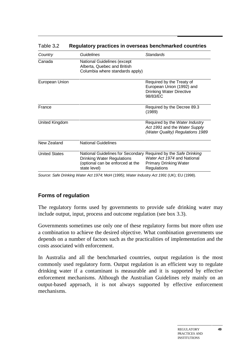| Country              | Guidelines                                                                                                                                        | <b>Standards</b>                                                                                      |
|----------------------|---------------------------------------------------------------------------------------------------------------------------------------------------|-------------------------------------------------------------------------------------------------------|
| Canada               | National Guidelines (except<br>Alberta, Quebec and British<br>Columbia where standards apply)                                                     |                                                                                                       |
| European Union       |                                                                                                                                                   | Required by the Treaty of<br>European Union (1992) and<br><b>Drinking Water Directive</b><br>98/83/EC |
| France               |                                                                                                                                                   | Required by the Decree 89.3<br>(1989)                                                                 |
| United Kingdom       |                                                                                                                                                   | Required by the Water Industry<br>Act 1991 and the Water Supply<br>(Water Quality) Regulations 1989   |
| New Zealand          | <b>National Guidelines</b>                                                                                                                        |                                                                                                       |
| <b>United States</b> | National Guidelines for Secondary Required by the Safe Drinking<br>Drinking Water Regulations<br>(optional can be enforced at the<br>state level) | Water Act 1974 and National<br><b>Primary Drinking Water</b><br>Regulations                           |

#### Table 3**.**2 **Regulatory practices in overseas benchmarked countries**

Source: Safe Drinking Water Act 1974; MoH (1995); Water Industry Act 1991 (UK); EU (1998).

# **Forms of regulation**

The regulatory forms used by governments to provide safe drinking water may include output, input, process and outcome regulation (see box 3.3).

Governments sometimes use only one of these regulatory forms but more often use a combination to achieve the desired objective. What combination governments use depends on a number of factors such as the practicalities of implementation and the costs associated with enforcement.

In Australia and all the benchmarked countries, output regulation is the most commonly used regulatory form. Output regulation is an efficient way to regulate drinking water if a contaminant is measurable and it is supported by effective enforcement mechanisms. Although the Australian Guidelines rely mainly on an output-based approach, it is not always supported by effective enforcement mechanisms.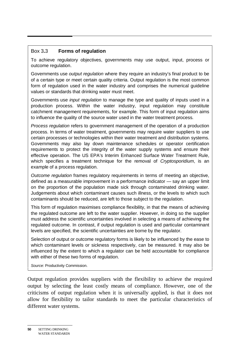#### Box 3**.**3 **Forms of regulation**

To achieve regulatory objectives, governments may use output, input, process or outcome regulation.

Governments use output regulation where they require an industry's final product to be of a certain type or meet certain quality criteria. Output regulation is the most common form of regulation used in the water industry and comprises the numerical guideline values or standards that drinking water must meet.

Governments use input regulation to manage the type and quality of inputs used in a production process. Within the water industry, input regulation may constitute catchment management requirements, for example. This form of input regulation aims to influence the quality of the source water used in the water treatment process.

Process regulation refers to government management of the operation of a production process. In terms of water treatment, governments may require water suppliers to use certain processes or technologies within their water treatment and distribution systems. Governments may also lay down maintenance schedules or operator certification requirements to protect the integrity of the water supply systems and ensure their effective operation. The US EPA's Interim Enhanced Surface Water Treatment Rule, which specifies a treatment technique for the removal of *Cryptosporidium*, is an example of a process regulation.

Outcome regulation frames regulatory requirements in terms of meeting an objective, defined as a measurable improvement in a performance indicator — say an upper limit on the proportion of the population made sick through contaminated drinking water. Judgements about which contaminant causes such illness, or the levels to which such contaminants should be reduced, are left to those subject to the regulation.

This form of regulation maximises compliance flexibility, in that the means of achieving the regulated outcome are left to the water supplier. However, in doing so the supplier must address the scientific uncertainties involved in selecting a means of achieving the regulated outcome. In contrast, if output regulation is used and particular contaminant levels are specified, the scientific uncertainties are borne by the regulator.

Selection of output or outcome regulatory forms is likely to be influenced by the ease to which contaminant levels or sickness respectively, can be measured. It may also be influenced by the extent to which a regulator can be held accountable for compliance with either of these two forms of regulation.

Source: Productivity Commission.

Output regulation provides suppliers with the flexibility to achieve the required output by selecting the least costly means of compliance. However, one of the criticisms of output regulation when it is universally applied, is that it does not allow for flexibility to tailor standards to meet the particular characteristics of different water systems.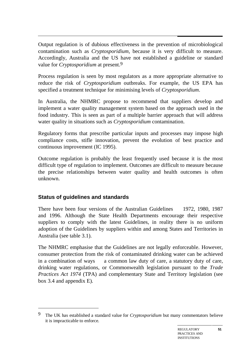Output regulation is of dubious effectiveness in the prevention of microbiological contamination such as *Cryptosporidium*, because it is very difficult to measure. Accordingly, Australia and the US have not established a guideline or standard value for *Cryptosporidium* at present.9

Process regulation is seen by most regulators as a more appropriate alternative to reduce the risk of *Cryptosporidium* outbreaks. For example, the US EPA has specified a treatment technique for minimising levels of *Cryptosporidium*.

In Australia, the NHMRC propose to recommend that suppliers develop and implement a water quality management system based on the approach used in the food industry. This is seen as part of a multiple barrier approach that will address water quality in situations such as *Cryptosporidium* contamination.

Regulatory forms that prescribe particular inputs and processes may impose high compliance costs, stifle innovation, prevent the evolution of best practice and continuous improvement (IC 1995).

Outcome regulation is probably the least frequently used because it is the most difficult type of regulation to implement. Outcomes are difficult to measure because the precise relationships between water quality and health outcomes is often unknown.

# **Status of guidelines and standards**

 $\overline{a}$ 

There have been four versions of the Australian Guidelines  $-$  1972, 1980, 1987 and 1996. Although the State Health Departments encourage their respective suppliers to comply with the latest Guidelines, in reality there is no uniform adoption of the Guidelines by suppliers within and among States and Territories in Australia (see table 3.1).

The NHMRC emphasise that the Guidelines are not legally enforceable. However, consumer protection from the risk of contaminated drinking water can be achieved in a combination of ways  $\frac{a}{x}$  a common law duty of care, a statutory duty of care, drinking water regulations, or Commonwealth legislation pursuant to the *Trade Practices Act 1974* (TPA) and complementary State and Territory legislation (see box 3.4 and appendix E).

<sup>9</sup> The UK has established a standard value for *Cryptosporidium* but many commentators believe it is impracticable to enforce.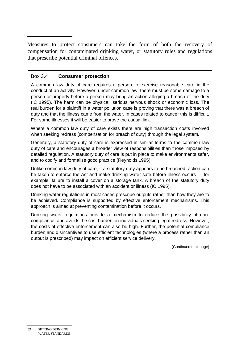Measures to protect consumers can take the form of both the recovery of compensation for contaminated drinking water, or statutory rules and regulations that prescribe potential criminal offences.

#### Box 3**.**4 **Consumer protection**

A common law duty of care requires a person to exercise reasonable care in the conduct of an activity. However, under common law, there must be some damage to a person or property before a person may bring an action alleging a breach of the duty (IC 1995). The harm can be physical, serious nervous shock or economic loss. The real burden for a plaintiff in a water pollution case is proving that there was a breach of duty and that the illness came from the water. In cases related to cancer this is difficult. For some illnesses it will be easier to prove the causal link.

Where a common law duty of care exists there are high transaction costs involved when seeking redress (compensation for breach of duty) through the legal system.

Generally, a statutory duty of care is expressed in similar terms to the common law duty of care and encourages a broader view of responsibilities than those imposed by detailed regulation. A statutory duty of care is put in place to make environments safer, and to codify and formalise good practice (Reynolds 1995).

Unlike common law duty of care, if a statutory duty appears to be breached, action can be taken to enforce the Act and make drinking water safe before illness occurs — for example, failure to install a cover on a storage tank. A breach of the statutory duty does not have to be associated with an accident or illness (IC 1995).

Drinking water regulations in most cases prescribe outputs rather than how they are to be achieved. Compliance is supported by effective enforcement mechanisms. This approach is aimed at preventing contamination before it occurs.

Drinking water regulations provide a mechanism to reduce the possibility of noncompliance, and avoids the cost burden on individuals seeking legal redress. However, the costs of effective enforcement can also be high. Further, the potential compliance burden and disincentives to use efficient technologies (where a process rather than an output is prescribed) may impact on efficient service delivery.

(Continued next page)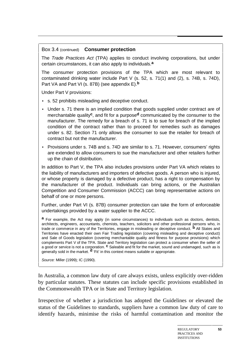#### Box 3.4 (continued) **Consumer protection**

The Trade Practices Act (TPA) applies to conduct involving corporations, but under certain circumstances, it can also apply to individuals.**a** 

The consumer protection provisions of the TPA which are most relevant to contaminated drinking water include Part V (s. 52, s. 71(1) and (2), s. 74B, s. 74D), Part VA and Part VI (s. 87B) (see appendix E).**b**

Under Part V provisions:

- s. 52 prohibits misleading and deceptive conduct.
- Under s. 71 there is an implied condition that goods supplied under contract are of merchantable quality**c**, and fit for a purpose**d** communicated by the consumer to the manufacturer. The remedy for a breach of s. 71 is to sue for breach of the implied condition of the contract rather than to proceed for remedies such as damages under s. 82. Section 71 only allows the consumer to sue the retailer for breach of contract but not the manufacturer.
- Provisions under s. 74B and s. 74D are similar to s. 71. However, consumers' rights are extended to allow consumers to sue the manufacturer and other retailers further up the chain of distribution.

In addition to Part V, the TPA also includes provisions under Part VA which relates to the liability of manufacturers and importers of defective goods. A person who is injured, or whose property is damaged by a defective product, has a right to compensation by the manufacturer of the product. Individuals can bring actions, or the Australian Competition and Consumer Commission (ACCC) can bring representative actions on behalf of one or more persons.

Further, under Part VI (s. 87B) consumer protection can take the form of enforceable undertakings provided by a water supplier to the ACCC.

**a** For example, the Act may apply (in some circumstances) to individuals such as doctors, dentists, architects, engineers, accountants, chemists, teachers, solicitors and other professional persons who, in trade or commerce in any of the Territories, engage in misleading or deceptive conduct. **b** All States and Territories have enacted their own Fair Trading legislation (covering misleading and deceptive conduct) and Sale of Goods legislation (covering merchantable quality and fitness for purpose provisions) which complements Part V of the TPA. State and Territory legislation can protect a consumer when the seller of a good or service is not a corporation. **c** Saleable and fit for the market, sound and undamaged, such as is generally sold in the market. **d** 'Fit' in this context means suitable or appropriate.

Source: Miller (1999); IC (1990).

In Australia, a common law duty of care always exists, unless explicitly over-ridden by particular statutes. These statutes can include specific provisions established in the Commonwealth TPA or in State and Territory legislation.

Irrespective of whether a jurisdiction has adopted the Guidelines or elevated the status of the Guidelines to standards, suppliers have a common law duty of care to identify hazards, minimise the risks of harmful contamination and monitor the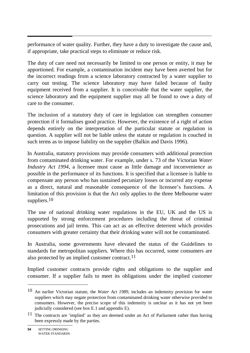performance of water quality. Further, they have a duty to investigate the cause and, if appropriate, take practical steps to eliminate or reduce risk.

The duty of care need not necessarily be limited to one person or entity, it may be apportioned. For example, a contamination incident may have been averted but for the incorrect readings from a science laboratory contracted by a water supplier to carry out testing. The science laboratory may have failed because of faulty equipment received from a supplier. It is conceivable that the water supplier, the science laboratory and the equipment supplier may all be found to owe a duty of care to the consumer.

The inclusion of a statutory duty of care in legislation can strengthen consumer protection if it formalises good practice. However, the existence of a right of action depends entirely on the interpretation of the particular statute or regulation in question. A supplier will not be liable unless the statute or regulation is couched in such terms as to impose liability on the supplier (Balkin and Davis 1996).

In Australia, statutory provisions may provide consumers with additional protection from contaminated drinking water. For example, under s. 73 of the Victorian *Water Industry Act 1994*, a licensee must cause as little damage and inconvenience as possible in the performance of its functions. It is specified that a licensee is liable to compensate any person who has sustained pecuniary losses or incurred any expense as a direct, natural and reasonable consequence of the licensee's functions. A limitation of this provision is that the Act only applies to the three Melbourne water suppliers.<sup>10</sup>

The use of national drinking water regulations in the EU, UK and the US is supported by strong enforcement procedures including the threat of criminal prosecutions and jail terms. This can act as an effective deterrent which provides consumers with greater certainty that their drinking water will not be contaminated.

In Australia, some governments have elevated the status of the Guidelines to standards for metropolitan suppliers. Where this has occurred, some consumers are also protected by an implied customer contract.<sup>11</sup>

Implied customer contracts provide rights and obligations to the supplier and consumer. If a supplier fails to meet its obligations under the implied customer

<sup>10</sup> An earlier Victorian statute, the *Water Act 1989*, includes an indemnity provision for water suppliers which may negate protection from contaminated drinking water otherwise provided to consumers. However, the precise scope of this indemnity is unclear as it has not yet been judicially considered (see box E.1 and appendix E).

<sup>11</sup> The contracts are 'implied' as they are deemed under an Act of Parliament rather than having been expressly made by the parties.

**<sup>54</sup>** SETTING DRINKING WATER STANDARDS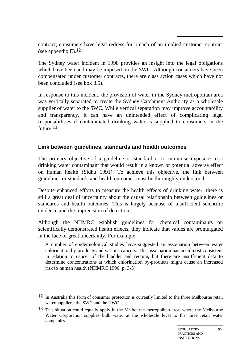contract, consumers have legal redress for breach of an implied customer contract (see appendix  $E$ ).<sup>12</sup>

The Sydney water incident in 1998 provides an insight into the legal obligations which have been and may be imposed on the SWC. Although consumers have been compensated under customer contracts, there are class action cases which have not been concluded (see box 3.5).

In response to this incident, the provision of water in the Sydney metropolitan area was vertically separated to create the Sydney Catchment Authority as a wholesale supplier of water to the SWC. While vertical separation may improve accountability and transparency, it can have an unintended effect of complicating legal responsibilities if contaminated drinking water is supplied to consumers in the future.13

## **Link between guidelines, standards and health outcomes**

The primary objective of a guideline or standard is to minimise exposure to a drinking water contaminant that would result in a known or potential adverse effect on human health (Sidhu 1991). To achieve this objective, the link between guidelines or standards and health outcomes must be thoroughly understood.

Despite enhanced efforts to measure the health effects of drinking water, there is still a great deal of uncertainty about the causal relationship between guidelines or standards and health outcomes. This is largely because of insufficient scientific evidence and the imprecision of detection.

Although the NHMRC establish guidelines for chemical contaminants on scientifically demonstrated health effects, they indicate that values are promulgated in the face of great uncertainty. For example:

A number of epidemiological studies have suggested an association between water chlorination by-products and various cancers. This association has been most consistent in relation to cancer of the bladder and rectum, but there are insufficient data to determine concentrations at which chlorination by-products might cause an increased risk to human health (NHMRC 1996, p. 3-3).

<sup>12</sup> In Australia this form of consumer protection is currently limited to the three Melbourne retail water suppliers, the SWC and the HWC.

<sup>&</sup>lt;sup>13</sup> This situation could equally apply in the Melbourne metropolitan area, where the Melbourne Water Corporation supplies bulk water at the wholesale level to the three retail water companies.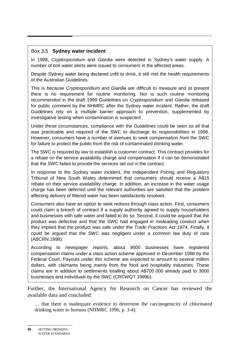#### Box 3**.**5 **Sydney water incident**

In 1998, Cryptosporidium and Giardia were detected in Sydney's water supply. A number of boil water alerts were issued to consumers in the affected areas.

Despite Sydney water being declared unfit to drink, it still met the health requirements of the Australian Guidelines.

This is because Cryptosporidium and Giardia are difficult to measure and at present there is no requirement for routine monitoring. Nor is such routine monitoring recommended in the draft 1999 Guidelines on Cryptosporidium and Giardia released for public comment by the NHMRC after the Sydney water incident. Rather, the draft Guidelines rely on a multiple barrier approach to prevention, supplemented by investigative testing when contamination is suspected.

Under these circumstances, compliance with the Guidelines could be seen as all that was practicable and required of the SWC to discharge its responsibilities in 1998. However, consumers have a number of avenues to seek compensation from the SWC for failure to protect the public from the risk of contaminated drinking water.

The SWC is required by law to establish a customer contract. This contract provides for a rebate on the service availability charge and compensation if it can be demonstrated that the SWC failed to provide the services set out in the contract.

In response to the Sydney water incident, the Independent Pricing and Regulatory Tribunal of New South Wales determined that consumers should receive a A\$15 rebate on their service availability charge. In addition, an increase in the water usage charge has been deferred until the relevant authorities are satisfied that the problem affecting delivery of filtered water has been satisfactorily resolved.

Consumers also have an option to seek redress through class action. First, consumers could claim a breach of contract if a supply authority agreed to supply householders and businesses with safe water and failed to do so. Second, it could be argued that the product was defective and that the SWC had engaged in misleading conduct when they implied that the product was safe under the Trade Practices Act 1974. Finally, it could be argued that the SWC was negligent under a common law duty of care (ABCRN 1998).

According to newspaper reports, about 9000 businesses have registered compensation claims under a class action scheme approved in December 1998 by the Federal Court. Payouts under this scheme are expected to amount to several million dollars, with claimants being mainly from the food and hospitality industries. These claims are in addition to settlements totalling about A\$700 000 already paid to 3000 businesses and individuals by the SWC (CRCWQT 1999b).

Further, the International Agency for Research on Cancer has reviewed the available data and concluded:

… that there is inadequate evidence to determine the carcinogenicity of chlorinated drinking water to humans (NHMRC 1996, p. 3-4).

**<sup>56</sup>** SETTING DRINKING WATER STANDARDS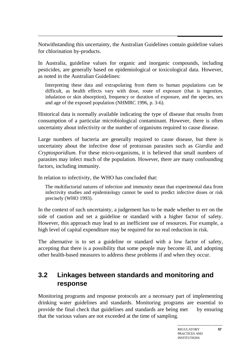Notwithstanding this uncertainty, the Australian Guidelines contain guideline values for chlorination by-products.

In Australia, guideline values for organic and inorganic compounds, including pesticides, are generally based on epidemiological or toxicological data. However, as noted in the Australian Guidelines:

Interpreting these data and extrapolating from them to human populations can be difficult, as health effects vary with dose, route of exposure (that is ingestion, inhalation or skin absorption), frequency or duration of exposure, and the species, sex and age of the exposed population (NHMRC 1996, p. 3-6).

Historical data is normally available indicating the type of disease that results from consumption of a particular microbiological contaminant. However, there is often uncertainty about infectivity or the number of organisms required to cause disease.

Large numbers of bacteria are generally required to cause disease, but there is uncertainty about the infective dose of protozoan parasites such as *Giardia* and *Cryptosporidium*. For these micro-organisms, it is believed that small numbers of parasites may infect much of the population. However, there are many confounding factors, including immunity.

In relation to infectivity, the WHO has concluded that:

The multifactorial natures of infection and immunity mean that experimental data from infectivity studies and epidemiology cannot be used to predict infective doses or risk precisely (WHO 1993).

In the context of such uncertainty, a judgement has to be made whether to err on the side of caution and set a guideline or standard with a higher factor of safety. However, this approach may lead to an inefficient use of resources. For example, a high level of capital expenditure may be required for no real reduction in risk.

The alternative is to set a guideline or standard with a low factor of safety, accepting that there is a possibility that some people may become ill, and adopting other health-based measures to address these problems if and when they occur.

# **3.2 Linkages between standards and monitoring and response**

Monitoring programs and response protocols are a necessary part of implementing drinking water guidelines and standards. Monitoring programs are essential to provide the final check that guidelines and standards are being met  $-$  by ensuring that the various values are not exceeded at the time of sampling.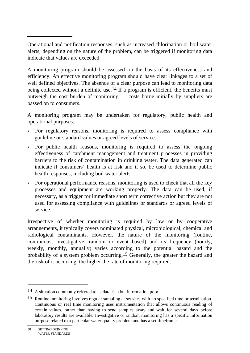Operational and notification responses, such as increased chlorination or boil water alerts, depending on the nature of the problem, can be triggered if monitoring data indicate that values are exceeded.

A monitoring program should be assessed on the basis of its effectiveness and efficiency. An effective monitoring program should have clear linkages to a set of well defined objectives. The absence of a clear purpose can lead to monitoring data being collected without a definite use.<sup>14</sup> If a program is efficient, the benefits must outweigh the cost burden of monitoring  $\sim$  costs borne initially by suppliers are passed on to consumers.

A monitoring program may be undertaken for regulatory, public health and operational purposes.

- For regulatory reasons, monitoring is required to assess compliance with guideline or standard values or agreed levels of service.
- For public health reasons, monitoring is required to assess the ongoing effectiveness of catchment management and treatment processes in providing barriers to the risk of contamination in drinking water. The data generated can indicate if consumers' health is at risk and if so, be used to determine public health responses, including boil water alerts.
- For operational performance reasons, monitoring is used to check that all the key processes and equipment are working properly. The data can be used, if necessary, as a trigger for immediate short term corrective action but they are not used for assessing compliance with guidelines or standards or agreed levels of service.

Irrespective of whether monitoring is required by law or by cooperative arrangements, it typically covers nominated physical, microbiological, chemical and radiological contaminants. However, the nature of the monitoring (routine, continuous, investigative, random or event based) and its frequency (hourly, weekly, monthly, annually) varies according to the potential hazard and the probability of a system problem occurring.15 Generally, the greater the hazard and the risk of it occurring, the higher the rate of monitoring required.

<sup>14</sup> A situation commonly referred to as data rich but information poor.

<sup>15</sup> Routine monitoring involves regular sampling at set sites with no specified time or termination. Continuous or real time monitoring uses instrumentation that allows continuous reading of certain values, rather than having to send samples away and wait for several days before laboratory results are available. Investigative or random monitoring has a specific information purpose related to a particular water quality problem and has a set timeframe.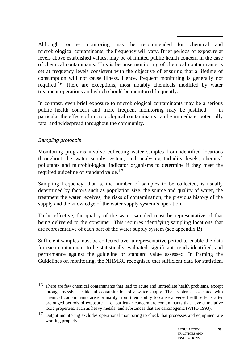Although routine monitoring may be recommended for chemical and microbiological contaminants, the frequency will vary. Brief periods of exposure at levels above established values, may be of limited public health concern in the case of chemical contaminants. This is because monitoring of chemical contaminants is set at frequency levels consistent with the objective of ensuring that a lifetime of consumption will not cause illness. Hence, frequent monitoring is generally not required.16 There are exceptions, most notably chemicals modified by water treatment operations and which should be monitored frequently.

In contrast, even brief exposure to microbiological contaminants may be a serious public health concern and more frequent monitoring may be justified  $-$  in particular the effects of microbiological contaminants can be immediate, potentially fatal and widespread throughout the community.

## Sampling protocols

 $\overline{a}$ 

Monitoring programs involve collecting water samples from identified locations throughout the water supply system, and analysing turbidity levels, chemical pollutants and microbiological indicator organisms to determine if they meet the required guideline or standard value.<sup>17</sup>

Sampling frequency, that is, the number of samples to be collected, is usually determined by factors such as population size, the source and quality of water, the treatment the water receives, the risks of contamination, the previous history of the supply and the knowledge of the water supply system's operation.

To be effective, the quality of the water sampled must be representative of that being delivered to the consumer. This requires identifying sampling locations that are representative of each part of the water supply system (see appendix B).

Sufficient samples must be collected over a representative period to enable the data for each contaminant to be statistically evaluated, significant trends identified, and performance against the guideline or standard value assessed. In framing the Guidelines on monitoring, the NHMRC recognised that sufficient data for statistical

<sup>16</sup> There are few chemical contaminants that lead to acute and immediate health problems, except through massive accidental contamination of a water supply. The problems associated with chemical contaminants arise primarily from their ability to cause adverse health effects after prolonged periods of exposure  $\sim$  of particular concern are contaminants that have cumulative toxic properties, such as heavy metals, and substances that are carcinogenic (WHO 1993).

<sup>&</sup>lt;sup>17</sup> Output monitoring excludes operational monitoring to check that processes and equipment are working properly.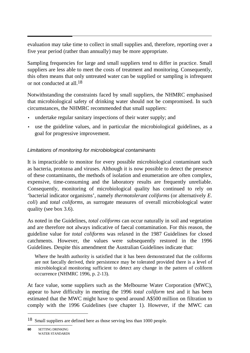evaluation may take time to collect in small supplies and, therefore, reporting over a five year period (rather than annually) may be more appropriate.

Sampling frequencies for large and small suppliers tend to differ in practice. Small suppliers are less able to meet the costs of treatment and monitoring. Consequently, this often means that only untreated water can be supplied or sampling is infrequent or not conducted at all.18

Notwithstanding the constraints faced by small suppliers, the NHMRC emphasised that microbiological safety of drinking water should not be compromised. In such circumstances, the NHMRC recommended that small suppliers:

- undertake regular sanitary inspections of their water supply; and
- use the guideline values, and in particular the microbiological guidelines, as a goal for progressive improvement.

## Limitations of monitoring for microbiological contaminants

It is impracticable to monitor for every possible microbiological contaminant such as bacteria, protozoa and viruses. Although it is now possible to detect the presence of these contaminants, the methods of isolation and enumeration are often complex, expensive, time-consuming and the laboratory results are frequently unreliable. Consequently, monitoring of microbiological quality has continued to rely on 'bacterial indicator organisms', namely *thermotolerant coliforms* (or alternatively *E*. *coli*) and *total coliforms,* as surrogate measures of overall microbiological water quality (see box 3.6).

As noted in the Guidelines, *total coliforms* can occur naturally in soil and vegetation and are therefore not always indicative of faecal contamination. For this reason, the guideline value for *total coliforms* was relaxed in the 1987 Guidelines for closed catchments. However, the values were subsequently restored in the 1996 Guidelines. Despite this amendment the Australian Guidelines indicate that:

Where the health authority is satisfied that it has been demonstrated that the coliforms are not faecally derived, their persistence may be tolerated provided there is a level of microbiological monitoring sufficient to detect any change in the pattern of coliform occurrence (NHMRC 1996, p. 2-13).

At face value, some suppliers such as the Melbourne Water Corporation (MWC), appear to have difficulty in meeting the 1996 *total coliform* test and it has been estimated that the MWC might have to spend around A\$500 million on filtration to comply with the 1996 Guidelines (see chapter 1). However, if the MWC can

<sup>18</sup> Small suppliers are defined here as those serving less than 1000 people.

**<sup>60</sup>** SETTING DRINKING WATER STANDARDS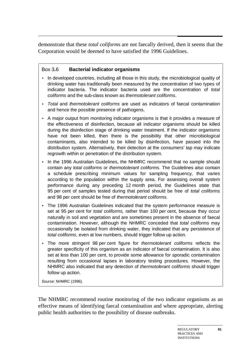demonstrate that these *total coliforms* are not faecally derived, then it seems that the Corporation would be deemed to have satisfied the 1996 Guidelines.

## Box 3**.**6 **Bacterial indicator organisms**

- In developed countries, including all those in this study, the microbiological quality of drinking water has traditionally been measured by the concentration of two types of indicator bacteria. The indicator bacteria used are the concentration of total coliforms and the sub-class known as thermotolerant coliforms.
- Total and thermotolerant coliforms are used as indicators of faecal contamination and hence the possible presence of pathogens.
- A major output from monitoring indicator organisms is that it provides a measure of the effectiveness of disinfection, because all indicator organisms should be killed during the disinfection stage of drinking water treatment. If the indicator organisms have not been killed, then there is the possibility that other microbiological contaminants, also intended to be killed by disinfection, have passed into the distribution system. Alternatively, their detection at the consumers' tap may indicate regrowth within or penetration of the distribution system.
- In the 1996 Australian Guidelines, the NHMRC recommend that no sample should contain any total coliforms or thermotolerant coliforms. The Guidelines also contain a schedule prescribing minimum values for sampling frequency, that varies according to the population within the supply area. For assessing overall system performance during any preceding 12 month period, the Guidelines state that 95 per cent of samples tested during that period should be free of total coliforms and 98 per cent should be free of thermotolerant coliforms.
- The 1996 Australian Guidelines indicated that the system performance measure is set at 95 per cent for total coliforms, rather than 100 per cent, because they occur naturally in soil and vegetation and are sometimes present in the absence of faecal contamination. However, although the NHMRC conceded that total coliforms may occasionally be isolated from drinking water, they indicated that any persistence of total coliforms, even at low numbers, should trigger follow up action.
- The more stringent 98 per cent figure for thermotolerant coliforms reflects the greater specificity of this organism as an indicator of faecal contamination. It is also set at less than 100 per cent, to provide some allowance for sporadic contamination resulting from occasional lapses in laboratory testing procedures. However, the NHMRC also indicated that any detection of thermotolerant coliforms should trigger follow up action.

Source: NHMRC (1996).

The NHMRC recommend routine monitoring of the two indicator organisms as an effective means of identifying faecal contamination and where appropriate, alerting public health authorities to the possibility of disease outbreaks.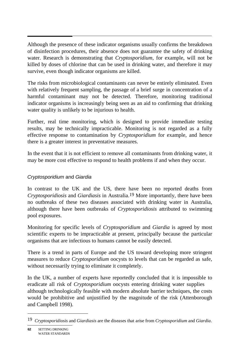Although the presence of these indicator organisms usually confirms the breakdown of disinfection procedures, their absence does not guarantee the safety of drinking water. Research is demonstrating that *Cryptosporidium*, for example, will not be killed by doses of chlorine that can be used in drinking water, and therefore it may survive, even though indicator organisms are killed.

The risks from microbiological contaminants can never be entirely eliminated. Even with relatively frequent sampling, the passage of a brief surge in concentration of a harmful contaminant may not be detected. Therefore, monitoring traditional indicator organisms is increasingly being seen as an aid to confirming that drinking water quality is unlikely to be injurious to health.

Further, real time monitoring, which is designed to provide immediate testing results, may be technically impracticable. Monitoring is not regarded as a fully effective response to contamination by *Cryptosporidium* for example, and hence there is a greater interest in preventative measures.

In the event that it is not efficient to remove all contaminants from drinking water, it may be more cost effective to respond to health problems if and when they occur.

# Cryptosporidium and Giardia

In contrast to the UK and the US, there have been no reported deaths from *Cryptosporidiosis* and *Giardiasis* in Australia.19 More importantly, there have been no outbreaks of these two diseases associated with drinking water in Australia, although there have been outbreaks of *Cryptosporidiosis* attributed to swimming pool exposures.

Monitoring for specific levels of *Cryptosporidium* and *Giardia* is agreed by most scientific experts to be impracticable at present, principally because the particular organisms that are infectious to humans cannot be easily detected.

There is a trend in parts of Europe and the US toward developing more stringent measures to reduce *Cryptosporidium* oocysts to levels that can be regarded as safe, without necessarily trying to eliminate it completely.

In the UK, a number of experts have reportedly concluded that it is impossible to eradicate all risk of *Cryptosporidium* oocysts entering drinking water supplies although technologically feasible with modern absolute barrier techniques, the costs would be prohibitive and unjustified by the magnitude of the risk (Attenborough and Campbell 1998).

<sup>19</sup> *Cryptosporidiosis* and *Giardiasis* are the diseases that arise from *Cryptosporidium* and *Giardia*.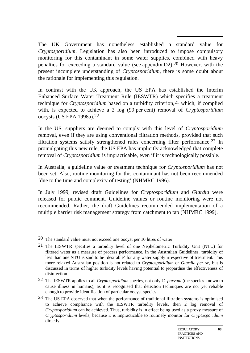The UK Government has nonetheless established a standard value for *Cryptosporidium*. Legislation has also been introduced to impose compulsory monitoring for this contaminant in some water supplies, combined with heavy penalties for exceeding a standard value (see appendix  $D2$ ).<sup>20</sup> However, with the present incomplete understanding of *Cryptosporidium*, there is some doubt about the rationale for implementing this regulation.

In contrast with the UK approach, the US EPA has established the Interim Enhanced Surface Water Treatment Rule (IESWTR) which specifies a treatment technique for *Cryptosporidium* based on a turbidity criterion,21 which, if complied with, is expected to achieve a 2 log (99 per cent) removal of *Cryptosporidium* oocysts (US EPA 1998a).22

In the US, suppliers are deemed to comply with this level of *Cryptosporidium* removal, even if they are using conventional filtration methods, provided that such filtration systems satisfy strengthened rules concerning filter performance.<sup>23</sup> In promulgating this new rule, the US EPA has implicitly acknowledged that complete removal of *Cryptosporidium* is impracticable, even if it is technologically possible.

In Australia, a guideline value or treatment technique for *Cryptosporidium* has not been set. Also, routine monitoring for this contaminant has not been recommended 'due to the time and complexity of testing' (NHMRC 1996).

In July 1999, revised draft Guidelines for *Cryptosporidium* and *Giardia* were released for public comment. Guideline values or routine monitoring were not recommended. Rather, the draft Guidelines recommended implementation of a multiple barrier risk management strategy from catchment to tap (NHMRC 1999).

<sup>20</sup> The standard value must not exceed one oocyst per 10 litres of water.

<sup>21</sup> The IESWTR specifies a turbidity level of one Nephelometric Turbidity Unit (NTU) for filtered water as a measure of process performance. In the Australian Guidelines, turbidity of less than one NTU is said to be 'desirable' for any water supply irrespective of treatment. This more relaxed Australian position is not related to *Cryptosporidium* or *Giardia per se,* but is discussed in terms of higher turbidity levels having potential to jeopardise the effectiveness of disinfection.

<sup>22</sup> The IESWTR applies to all *Cryptosporidium* species, not only *C. parvum* (the species known to cause illness in humans), as it is recognised that detection techniques are not yet reliable enough to provide identification of particular oocyst species.

<sup>23</sup> The US EPA observed that when the performance of traditional filtration systems is optimised to achieve compliance with the IESWTR turbidity levels, then 2 log removal of *Cryptosporidium* can be achieved. Thus, turbidity is in effect being used as a proxy measure of *Cryptosporidium* levels, because it is impracticable to routinely monitor for *Cryptosporidium* directly.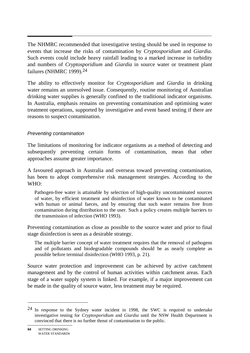The NHMRC recommended that investigative testing should be used in response to events that increase the risks of contamination by *Cryptosporidium* and *Giardia.* Such events could include heavy rainfall leading to a marked increase in turbidity and numbers of *Cryptosporidium* and *Giardia* in source water or treatment plant failures (NHMRC 1999).24

The ability to effectively monitor for *Cryptosporidium* and *Giardia* in drinking water remains an unresolved issue. Consequently, routine monitoring of Australian drinking water supplies is generally confined to the traditional indicator organisms. In Australia, emphasis remains on preventing contamination and optimising water treatment operations, supported by investigative and event based testing if there are reasons to suspect contamination.

## Preventing contamination

The limitations of monitoring for indicator organisms as a method of detecting and subsequently preventing certain forms of contamination, mean that other approaches assume greater importance.

A favoured approach in Australia and overseas toward preventing contamination, has been to adopt comprehensive risk management strategies. According to the WHO:

Pathogen-free water is attainable by selection of high-quality uncontaminated sources of water, by efficient treatment and disinfection of water known to be contaminated with human or animal faeces, and by ensuring that such water remains free from contamination during distribution to the user. Such a policy creates multiple barriers to the transmission of infection (WHO 1993).

Preventing contamination as close as possible to the source water and prior to final stage disinfection is seen as a desirable strategy.

The multiple barrier concept of water treatment requires that the removal of pathogens and of pollutants and biodegradable compounds should be as nearly complete as possible before terminal disinfection (WHO 1993, p. 21).

Source water protection and improvement can be achieved by active catchment management and by the control of human activities within catchment areas. Each stage of a water supply system is linked. For example, if a major improvement can be made in the quality of source water, less treatment may be required.

<sup>24</sup> In response to the Sydney water incident in 1998, the SWC is required to undertake investigative testing for *Cryptosporidium* and *Giardia* until the NSW Health Department is convinced that there is no further threat of contamination to the public.

**<sup>64</sup>** SETTING DRINKING WATER STANDARDS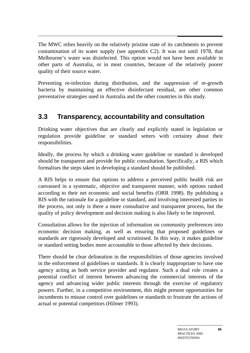The MWC relies heavily on the relatively pristine state of its catchments to prevent contamination of its water supply (see appendix C2). It was not until 1978, that Melbourne's water was disinfected. This option would not have been available in other parts of Australia, or in most countries, because of the relatively poorer quality of their source water.

Preventing re-infection during distribution, and the suppression of re-growth bacteria by maintaining an effective disinfectant residual, are other common preventative strategies used in Australia and the other countries in this study.

# **3.3 Transparency, accountability and consultation**

Drinking water objectives that are clearly and explicitly stated in legislation or regulation provide guideline or standard setters with certainty about their responsibilities.

Ideally, the process by which a drinking water guideline or standard is developed should be transparent and provide for public consultation. Specifically, a RIS which formalises the steps taken in developing a standard should be published.

A RIS helps to ensure that options to address a perceived public health risk are canvassed in a systematic, objective and transparent manner, with options ranked according to their net economic and social benefits (ORR 1998). By publishing a RIS with the rationale for a guideline or standard, and involving interested parties in the process, not only is there a more consultative and transparent process, but the quality of policy development and decision making is also likely to be improved.

Consultation allows for the injection of information on community preferences into economic decision making, as well as ensuring that proposed guidelines or standards are rigorously developed and scrutinised. In this way, it makes guideline or standard setting bodies more accountable to those affected by their decisions.

There should be clear delineation in the responsibilities of those agencies involved in the enforcement of guidelines or standards. It is clearly inappropriate to have one agency acting as both service provider and regulator. Such a dual role creates a potential conflict of interest between advancing the commercial interests of the agency and advancing wider public interests through the exercise of regulatory powers. Further, in a competitive environment, this might present opportunities for incumbents to misuse control over guidelines or standards to frustrate the actions of actual or potential competitors (Hilmer 1993).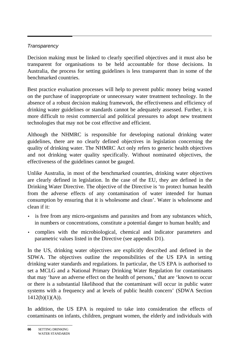## **Transparency**

Decision making must be linked to clearly specified objectives and it must also be transparent for organisations to be held accountable for those decisions. In Australia, the process for setting guidelines is less transparent than in some of the benchmarked countries.

Best practice evaluation processes will help to prevent public money being wasted on the purchase of inappropriate or unnecessary water treatment technology. In the absence of a robust decision making framework, the effectiveness and efficiency of drinking water guidelines or standards cannot be adequately assessed. Further, it is more difficult to resist commercial and political pressures to adopt new treatment technologies that may not be cost effective and efficient.

Although the NHMRC is responsible for developing national drinking water guidelines, there are no clearly defined objectives in legislation concerning the quality of drinking water. The NHMRC Act only refers to generic health objectives and not drinking water quality specifically. Without nominated objectives, the effectiveness of the guidelines cannot be gauged.

Unlike Australia, in most of the benchmarked countries, drinking water objectives are clearly defined in legislation. In the case of the EU, they are defined in the Drinking Water Directive. The objective of the Directive is 'to protect human health from the adverse effects of any contamination of water intended for human consumption by ensuring that it is wholesome and clean'. Water is wholesome and clean if it:

- is free from any micro-organisms and parasites and from any substances which, in numbers or concentrations, constitute a potential danger to human health; and
- complies with the microbiological, chemical and indicator parameters and parametric values listed in the Directive (see appendix D1).

In the US, drinking water objectives are explicitly described and defined in the SDWA. The objectives outline the responsibilities of the US EPA in setting drinking water standards and regulations. In particular, the US EPA is authorised to set a MCLG and a National Primary Drinking Water Regulation for contaminants that may 'have an adverse effect on the health of persons,' that are 'known to occur or there is a substantial likelihood that the contaminant will occur in public water systems with a frequency and at levels of public health concern' (SDWA Section  $1412(b)(1)(A)).$ 

In addition, the US EPA is required to take into consideration the effects of contaminants on infants, children, pregnant women, the elderly and individuals with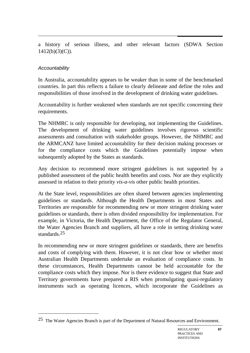a history of serious illness, and other relevant factors (SDWA Section 1412(b)(3)(C)).

## **Accountability**

 $\overline{a}$ 

In Australia, accountability appears to be weaker than in some of the benchmarked countries. In part this reflects a failure to clearly delineate and define the roles and responsibilities of those involved in the development of drinking water guidelines.

Accountability is further weakened when standards are not specific concerning their requirements.

The NHMRC is only responsible for developing, not implementing the Guidelines. The development of drinking water guidelines involves rigorous scientific assessments and consultation with stakeholder groups. However, the NHMRC and the ARMCANZ have limited accountability for their decision making processes or for the compliance costs which the Guidelines potentially impose when subsequently adopted by the States as standards.

Any decision to recommend more stringent guidelines is not supported by a published assessment of the public health benefits and costs. Nor are they explicitly assessed in relation to their priority *vis-a-vis* other public health priorities.

At the State level, responsibilities are often shared between agencies implementing guidelines or standards. Although the Health Departments in most States and Territories are responsible for recommending new or more stringent drinking water guidelines or standards, there is often divided responsibility for implementation. For example, in Victoria, the Health Department, the Office of the Regulator General, the Water Agencies Branch and suppliers, all have a role in setting drinking water standards.25

In recommending new or more stringent guidelines or standards, there are benefits and costs of complying with them. However, it is not clear how or whether most Australian Health Departments undertake an evaluation of compliance costs. In these circumstances, Health Departments cannot be held accountable for the compliance costs which they impose. Nor is there evidence to suggest that State and Territory governments have prepared a RIS when promulgating quasi-regulatory instruments such as operating licences, which incorporate the Guidelines as

<sup>25</sup> The Water Agencies Branch is part of the Department of Natural Resources and Environment.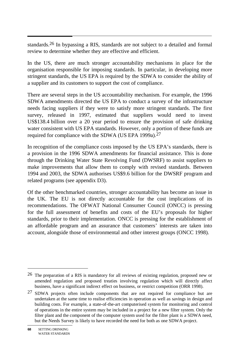standards.26 In bypassing a RIS, standards are not subject to a detailed and formal review to determine whether they are effective and efficient.

In the US, there are much stronger accountability mechanisms in place for the organisation responsible for imposing standards. In particular, in developing more stringent standards, the US EPA is required by the SDWA to consider the ability of a supplier and its customers to support the cost of compliance.

There are several steps in the US accountability mechanism. For example, the 1996 SDWA amendments directed the US EPA to conduct a survey of the infrastructure needs facing suppliers if they were to satisfy more stringent standards. The first survey, released in 1997, estimated that suppliers would need to invest US\$138.4 billion over a 20 year period to ensure the provision of safe drinking water consistent with US EPA standards. However, only a portion of these funds are required for compliance with the SDWA (US EPA 1999a).27

In recognition of the compliance costs imposed by the US EPA's standards, there is a provision in the 1996 SDWA amendments for financial assistance. This is done through the Drinking Water State Revolving Fund (DWSRF) to assist suppliers to make improvements that allow them to comply with revised standards. Between 1994 and 2003, the SDWA authorises US\$9.6 billion for the DWSRF program and related programs (see appendix D3).

Of the other benchmarked countries, stronger accountability has become an issue in the UK. The EU is not directly accountable for the cost implications of its recommendations. The OFWAT National Consumer Council (ONCC) is pressing for the full assessment of benefits and costs of the EU's proposals for higher standards, prior to their implementation. ONCC is pressing for the establishment of an affordable program and an assurance that customers' interests are taken into account, alongside those of environmental and other interest groups (ONCC 1998).

<sup>26</sup> The preparation of a RIS is mandatory for all reviews of existing regulation, proposed new or amended regulation and proposed treaties involving regulation which will directly affect business, have a significant indirect effect on business, or restrict competition (ORR 1998).

<sup>27</sup> SDWA projects often include components that are not required for compliance but are undertaken at the same time to realise efficiencies in operation as well as savings in design and building costs. For example, a state-of-the-art computerised system for monitoring and control of operations in the entire system may be included in a project for a new filter system. Only the filter plant and the component of the computer system used for the filter plant is a SDWA need, but the Needs Survey is likely to have recorded the need for both as one SDWA project.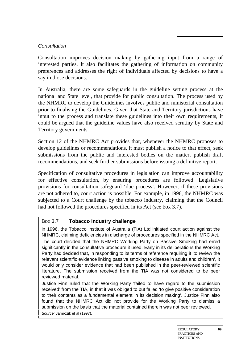#### **Consultation**

Consultation improves decision making by gathering input from a range of interested parties. It also facilitates the gathering of information on community preferences and addresses the right of individuals affected by decisions to have a say in those decisions.

In Australia, there are some safeguards in the guideline setting process at the national and State level, that provide for public consultation. The process used by the NHMRC to develop the Guidelines involves public and ministerial consultation prior to finalising the Guidelines. Given that State and Territory jurisdictions have input to the process and translate these guidelines into their own requirements, it could be argued that the guideline values have also received scrutiny by State and Territory governments.

Section 12 of the NHMRC Act provides that, whenever the NHMRC proposes to develop guidelines or recommendations, it must publish a notice to that effect, seek submissions from the public and interested bodies on the matter, publish draft recommendations, and seek further submissions before issuing a definitive report.

Specification of consultative procedures in legislation can improve accountability for effective consultation, by ensuring procedures are followed. Legislative provisions for consultation safeguard 'due process'. However, if these provisions are not adhered to, court action is possible. For example, in 1996, the NHMRC was subjected to a Court challenge by the tobacco industry, claiming that the Council had not followed the procedures specified in its Act (see box 3.7).

## Box 3**.**7 **Tobacco industry challenge**

In 1996, the Tobacco Institute of Australia (TIA) Ltd initiated court action against the NHMRC, claiming deficiencies in discharge of procedures specified in the NHMRC Act. The court decided that the NHMRC Working Party on Passive Smoking had erred significantly in the consultative procedure it used. Early in its deliberations the Working Party had decided that, in responding to its terms of reference requiring it 'to review the relevant scientific evidence linking passive smoking to disease in adults and children', it would only consider evidence that had been published in the peer-reviewed scientific literature. The submission received from the TIA was not considered to be peer reviewed material.

Justice Finn ruled that the Working Party 'failed to have regard to the submission received' from the TIA, in that it was obliged to but failed 'to give positive consideration to their contents as a fundamental element in its decision making'. Justice Finn also found that the NHMRC Act did not provide for the Working Party to dismiss a submission on the basis that the material contained therein was not peer reviewed. Source: Jamrozik et al (1997).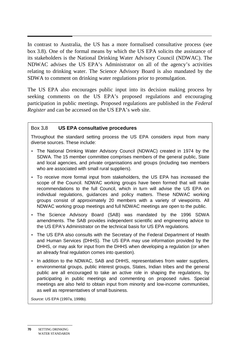In contrast to Australia, the US has a more formalised consultative process (see box 3.8). One of the formal means by which the US EPA solicits the assistance of its stakeholders is the National Drinking Water Advisory Council (NDWAC). The NDWAC advises the US EPA's Administrator on all of the agency's activities relating to drinking water. The Science Advisory Board is also mandated by the SDWA to comment on drinking water regulations prior to promulgation.

The US EPA also encourages public input into its decision making process by seeking comments on the US EPA's proposed regulations and encouraging participation in public meetings. Proposed regulations are published in the *Federal Register* and can be accessed on the US EPA's web site.

#### Box 3**.**8 **US EPA consultative procedures**

Throughout the standard setting process the US EPA considers input from many diverse sources. These include:

- The National Drinking Water Advisory Council (NDWAC) created in 1974 by the SDWA. The 15 member committee comprises members of the general public, State and local agencies, and private organisations and groups (including two members who are associated with small rural suppliers).
- To receive more formal input from stakeholders, the US EPA has increased the scope of the Council. NDWAC working groups have been formed that will make recommendations to the full Council, which in turn will advise the US EPA on individual regulations, guidances and policy matters. These NDWAC working groups consist of approximately 20 members with a variety of viewpoints. All NDWAC working group meetings and full NDWAC meetings are open to the public.
- The Science Advisory Board (SAB) was mandated by the 1996 SDWA amendments. The SAB provides independent scientific and engineering advice to the US EPA's Administrator on the technical basis for US EPA regulations.
- The US EPA also consults with the Secretary of the Federal Department of Health and Human Services (DHHS). The US EPA may use information provided by the DHHS, or may ask for input from the DHHS when developing a regulation (or when an already final regulation comes into question).
- In addition to the NDWAC, SAB and DHHS, representatives from water suppliers, environmental groups, public interest groups, States, Indian tribes and the general public are all encouraged to take an active role in shaping the regulations, by participating in public meetings and commenting on proposed rules. Special meetings are also held to obtain input from minority and low-income communities, as well as representatives of small business.

Source: US EPA (1997a, 1998b).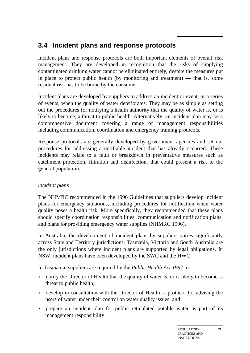# **3.4 Incident plans and response protocols**

Incident plans and response protocols are both important elements of overall risk management. They are developed in recognition that the risks of supplying contaminated drinking water cannot be eliminated entirely, despite the measures put in place to protect public health (by monitoring and treatment) — that is, some residual risk has to be borne by the consumer.

Incident plans are developed by suppliers to address an incident or event, or a series of events, when the quality of water deteriorates. They may be as simple as setting out the procedures for notifying a health authority that the quality of water is, or is likely to become, a threat to public health. Alternatively, an incident plan may be a comprehensive document covering a range of management responsibilities including communication, coordination and emergency training protocols.

Response protocols are generally developed by government agencies and set out procedures for addressing a notifiable incident that has already occurred. These incidents may relate to a fault or breakdown in preventative measures such as catchment protection, filtration and disinfection, that could present a risk to the general population.

## Incident plans

The NHMRC recommended in the 1996 Guidelines that suppliers develop incident plans for emergency situations, including procedures for notification when water quality poses a health risk. More specifically, they recommended that these plans should specify coordination responsibilities, communication and notification plans, and plans for providing emergency water supplies (NHMRC 1996).

In Australia, the development of incident plans by suppliers varies significantly across State and Territory jurisdictions. Tasmania, Victoria and South Australia are the only jurisdictions where incident plans are supported by legal obligations. In NSW, incident plans have been developed by the SWC and the HWC.

In Tasmania, suppliers are required by the *Public Health Act 1997* to:

- notify the Director of Health that the quality of water is, or is likely to become, a threat to public health;
- develop in consultation with the Director of Health, a protocol for advising the users of water under their control on water quality issues; and
- prepare an incident plan for public reticulated potable water as part of its management responsibility.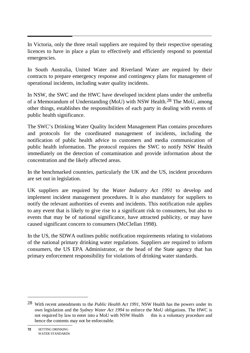In Victoria, only the three retail suppliers are required by their respective operating licences to have in place a plan to effectively and efficiently respond to potential emergencies.

In South Australia, United Water and Riverland Water are required by their contracts to prepare emergency response and contingency plans for management of operational incidents, including water quality incidents.

In NSW, the SWC and the HWC have developed incident plans under the umbrella of a Memorandum of Understanding (MoU) with NSW Health.28 The MoU, among other things, establishes the responsibilities of each party in dealing with events of public health significance.

The SWC's Drinking Water Quality Incident Management Plan contains procedures and protocols for the coordinated management of incidents, including the notification of public health advice to customers and media communication of public health information. The protocol requires the SWC to notify NSW Health immediately on the detection of contamination and provide information about the concentration and the likely affected areas.

In the benchmarked countries, particularly the UK and the US, incident procedures are set out in legislation.

UK suppliers are required by the *Water Industry Act 1991* to develop and implement incident management procedures. It is also mandatory for suppliers to notify the relevant authorities of events and incidents. This notification rule applies to any event that is likely to give rise to a significant risk to consumers, but also to events that may be of national significance, have attracted publicity, or may have caused significant concern to consumers (McClellan 1998).

In the US, the SDWA outlines public notification requirements relating to violations of the national primary drinking water regulations. Suppliers are required to inform consumers, the US EPA Administrator, or the head of the State agency that has primary enforcement responsibility for violations of drinking water standards.

<sup>28</sup> With recent amendments to the *Public Health Act 1991*, NSW Health has the powers under its own legislation and the *Sydney Water Act 1994* to enforce the MoU obligations. The HWC is not required by law to enter into a MoU with NSW Health — this is a voluntary procedure and hence the contents may not be enforceable.

**<sup>72</sup>** SETTING DRINKING WATER STANDARDS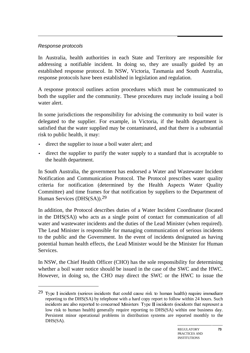#### Response protocols

 $\overline{a}$ 

In Australia, health authorities in each State and Territory are responsible for addressing a notifiable incident. In doing so, they are usually guided by an established response protocol. In NSW, Victoria, Tasmania and South Australia, response protocols have been established in legislation and regulation.

A response protocol outlines action procedures which must be communicated to both the supplier and the community. These procedures may include issuing a boil water alert.

In some jurisdictions the responsibility for advising the community to boil water is delegated to the supplier. For example, in Victoria, if the health department is satisfied that the water supplied may be contaminated, and that there is a substantial risk to public health, it may:

- direct the supplier to issue a boil water alert; and
- direct the supplier to purify the water supply to a standard that is acceptable to the health department.

In South Australia, the government has endorsed a Water and Wastewater Incident Notification and Communication Protocol. The Protocol prescribes water quality criteria for notification (determined by the Health Aspects Water Quality Committee) and time frames for that notification by suppliers to the Department of Human Services (DHS(SA)).29

In addition, the Protocol describes duties of a Water Incident Coordinator (located in the DHS(SA)) who acts as a single point of contact for communication of all water and wastewater incidents and the duties of the Lead Minister (when required). The Lead Minister is responsible for managing communication of serious incidents to the public and the Government. In the event of incidents designated as having potential human health effects, the Lead Minister would be the Minister for Human Services.

In NSW, the Chief Health Officer (CHO) has the sole responsibility for determining whether a boil water notice should be issued in the case of the SWC and the HWC. However, in doing so, the CHO may direct the SWC or the HWC to issue the

 $29$  Type I incidents (serious incidents that could cause risk to human health) require immediate reporting to the DHS(SA) by telephone with a hard copy report to follow within 24 hours. Such incidents are also reported to concerned Ministers. Type  $\Pi$  incidents (incidents that represent a low risk to human health) generally require reporting to DHS(SA) within one business day. Persistent minor operational problems in distribution systems are reported monthly to the DHS(SA).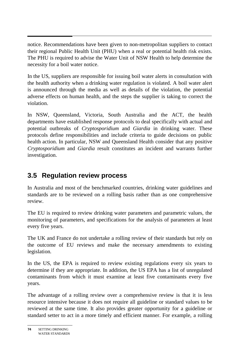notice. Recommendations have been given to non-metropolitan suppliers to contact their regional Public Health Unit (PHU) when a real or potential health risk exists. The PHU is required to advise the Water Unit of NSW Health to help determine the necessity for a boil water notice.

In the US, suppliers are responsible for issuing boil water alerts in consultation with the health authority when a drinking water regulation is violated. A boil water alert is announced through the media as well as details of the violation, the potential adverse effects on human health, and the steps the supplier is taking to correct the violation.

In NSW, Queensland, Victoria, South Australia and the ACT, the health departments have established response protocols to deal specifically with actual and potential outbreaks of *Cryptosporidium* and *Giardia* in drinking water. These protocols define responsibilities and include criteria to guide decisions on public health action. In particular, NSW and Queensland Health consider that any positive *Cryptosporidium* and *Giardia* result constitutes an incident and warrants further investigation.

## **3.5 Regulation review process**

In Australia and most of the benchmarked countries, drinking water guidelines and standards are to be reviewed on a rolling basis rather than as one comprehensive review.

The EU is required to review drinking water parameters and parametric values, the monitoring of parameters, and specifications for the analysis of parameters at least every five years.

The UK and France do not undertake a rolling review of their standards but rely on the outcome of EU reviews and make the necessary amendments to existing legislation*.*

In the US, the EPA is required to review existing regulations every six years to determine if they are appropriate. In addition, the US EPA has a list of unregulated contaminants from which it must examine at least five contaminants every five years.

The advantage of a rolling review over a comprehensive review is that it is less resource intensive because it does not require all guideline or standard values to be reviewed at the same time. It also provides greater opportunity for a guideline or standard setter to act in a more timely and efficient manner. For example, a rolling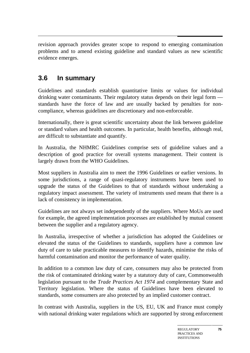revision approach provides greater scope to respond to emerging contamination problems and to amend existing guideline and standard values as new scientific evidence emerges.

## **3.6 In summary**

Guidelines and standards establish quantitative limits or values for individual drinking water contaminants. Their regulatory status depends on their legal form standards have the force of law and are usually backed by penalties for noncompliance, whereas guidelines are discretionary and non-enforceable.

Internationally, there is great scientific uncertainty about the link between guideline or standard values and health outcomes. In particular, health benefits, although real, are difficult to substantiate and quantify.

In Australia, the NHMRC Guidelines comprise sets of guideline values and a description of good practice for overall systems management. Their content is largely drawn from the WHO Guidelines.

Most suppliers in Australia aim to meet the 1996 Guidelines or earlier versions. In some jurisdictions, a range of quasi-regulatory instruments have been used to upgrade the status of the Guidelines to that of standards without undertaking a regulatory impact assessment. The variety of instruments used means that there is a lack of consistency in implementation.

Guidelines are not always set independently of the suppliers. Where MoUs are used for example, the agreed implementation processes are established by mutual consent between the supplier and a regulatory agency.

In Australia, irrespective of whether a jurisdiction has adopted the Guidelines or elevated the status of the Guidelines to standards, suppliers have a common law duty of care to take practicable measures to identify hazards, minimise the risks of harmful contamination and monitor the performance of water quality.

In addition to a common law duty of care, consumers may also be protected from the risk of contaminated drinking water by a statutory duty of care, Commonwealth legislation pursuant to the *Trade Practices Act 1974* and complementary State and Territory legislation. Where the status of Guidelines have been elevated to standards, some consumers are also protected by an implied customer contract.

In contrast with Australia, suppliers in the US, EU, UK and France must comply with national drinking water regulations which are supported by strong enforcement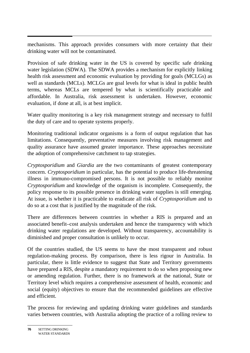mechanisms. This approach provides consumers with more certainty that their drinking water will not be contaminated.

Provision of safe drinking water in the US is covered by specific safe drinking water legislation (SDWA). The SDWA provides a mechanism for explicitly linking health risk assessment and economic evaluation by providing for goals (MCLGs) as well as standards (MCLs). MCLGs are goal levels for what is ideal in public health terms, whereas MCLs are tempered by what is scientifically practicable and affordable. In Australia, risk assessment is undertaken. However, economic evaluation, if done at all, is at best implicit.

Water quality monitoring is a key risk management strategy and necessary to fulfil the duty of care and to operate systems properly.

Monitoring traditional indicator organisms is a form of output regulation that has limitations. Consequently, preventative measures involving risk management and quality assurance have assumed greater importance. These approaches necessitate the adoption of comprehensive catchment to tap strategies.

*Cryptosporidium* and *Giardia* are the two contaminants of greatest contemporary concern. *Cryptosporidium* in particular, has the potential to produce life-threatening illness in immuno-compromised persons. It is not possible to reliably monitor *Cryptosporidium* and knowledge of the organism is incomplete. Consequently, the policy response to its possible presence in drinking water supplies is still emerging. At issue, is whether it is practicable to eradicate all risk of *Cryptosporidium* and to do so at a cost that is justified by the magnitude of the risk.

There are differences between countries in whether a RIS is prepared and an associated benefit–cost analysis undertaken and hence the transparency with which drinking water regulations are developed. Without transparency, accountability is diminished and proper consultation is unlikely to occur.

Of the countries studied, the US seems to have the most transparent and robust regulation-making process. By comparison, there is less rigour in Australia. In particular, there is little evidence to suggest that State and Territory governments have prepared a RIS, despite a mandatory requirement to do so when proposing new or amending regulation. Further, there is no framework at the national, State or Territory level which requires a comprehensive assessment of health, economic and social (equity) objectives to ensure that the recommended guidelines are effective and efficient.

The process for reviewing and updating drinking water guidelines and standards varies between countries, with Australia adopting the practice of a rolling review to

**<sup>76</sup>** SETTING DRINKING WATER STANDARDS